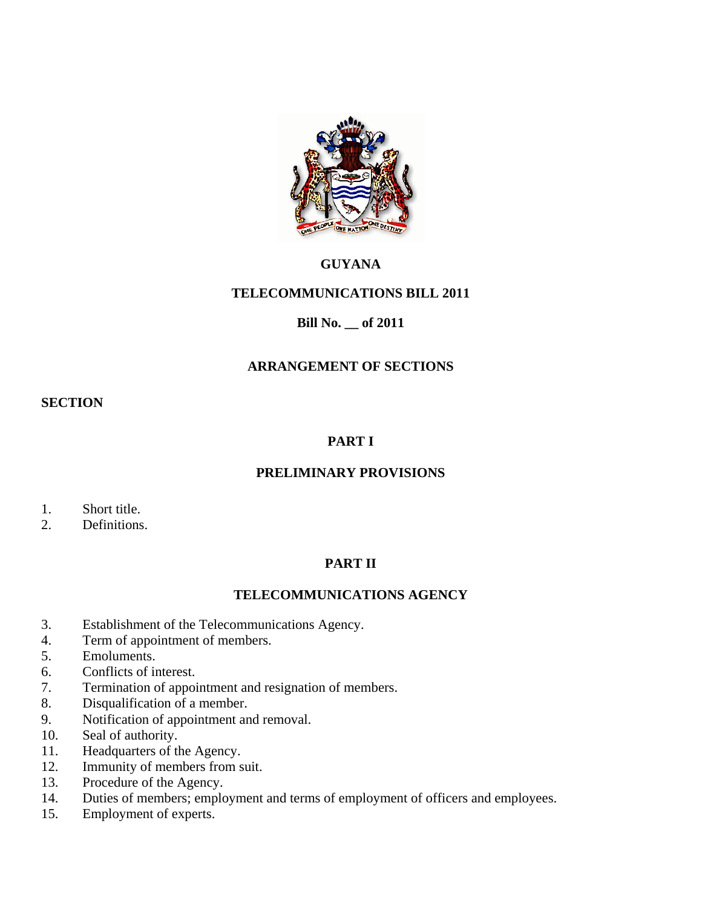

## **GUYANA**

# **TELECOMMUNICATIONS BILL 2011**

## **Bill No. \_\_ of 2011**

## **ARRANGEMENT OF SECTIONS**

#### **SECTION**

# **PART I**

## **PRELIMINARY PROVISIONS**

- 1. Short title.
- 2. Definitions.

## **PART II**

## **TELECOMMUNICATIONS AGENCY**

- 3. Establishment of the Telecommunications Agency.
- 4. Term of appointment of members.
- 5. Emoluments.
- 6. Conflicts of interest.
- 7. Termination of appointment and resignation of members.
- 8. Disqualification of a member.
- 9. Notification of appointment and removal.
- 10. Seal of authority.
- 11. Headquarters of the Agency.
- 12. Immunity of members from suit.
- 13. Procedure of the Agency.
- 14. Duties of members; employment and terms of employment of officers and employees.
- 15. Employment of experts.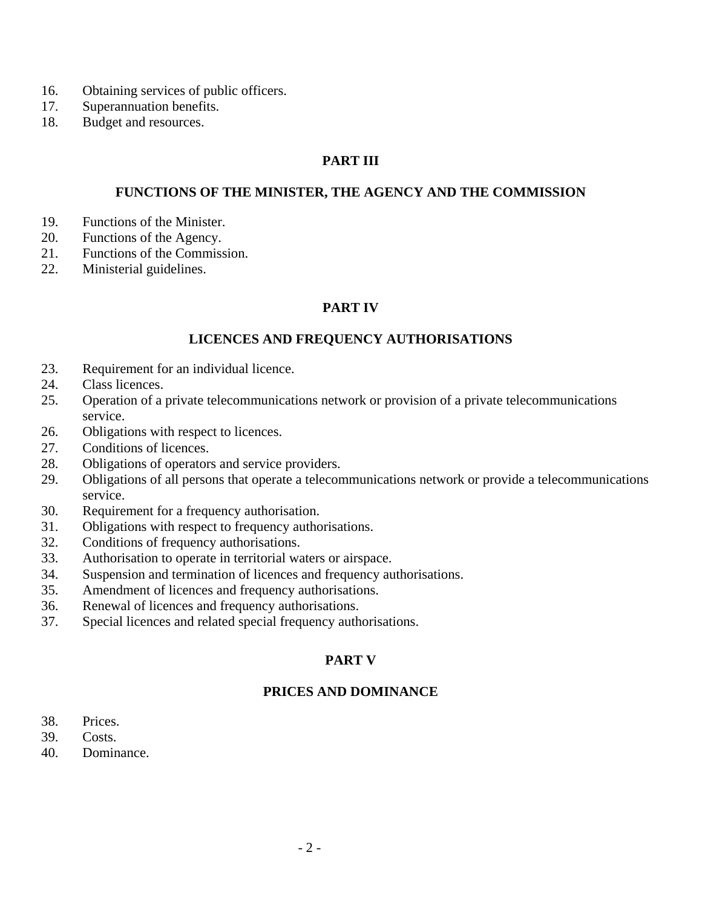- 16. Obtaining services of public officers.
- 17. Superannuation benefits.
- 18. Budget and resources.

### **PART III**

#### **FUNCTIONS OF THE MINISTER, THE AGENCY AND THE COMMISSION**

- 19. Functions of the Minister.
- 20. Functions of the Agency.
- 21. Functions of the Commission.
- 22. Ministerial guidelines.

### **PART IV**

#### **LICENCES AND FREQUENCY AUTHORISATIONS**

- 23. Requirement for an individual licence.
- 24. Class licences.
- 25. Operation of a private telecommunications network or provision of a private telecommunications service.
- 26. Obligations with respect to licences.
- 27. Conditions of licences.
- 28. Obligations of operators and service providers.
- 29. Obligations of all persons that operate a telecommunications network or provide a telecommunications service.
- 30. Requirement for a frequency authorisation.
- 31. Obligations with respect to frequency authorisations.
- 32. Conditions of frequency authorisations.
- 33. Authorisation to operate in territorial waters or airspace.
- 34. Suspension and termination of licences and frequency authorisations.
- 35. Amendment of licences and frequency authorisations.
- 36. Renewal of licences and frequency authorisations.
- 37. Special licences and related special frequency authorisations.

## **PART V**

#### **PRICES AND DOMINANCE**

- 38. Prices.
- 39. Costs.
- 40. Dominance.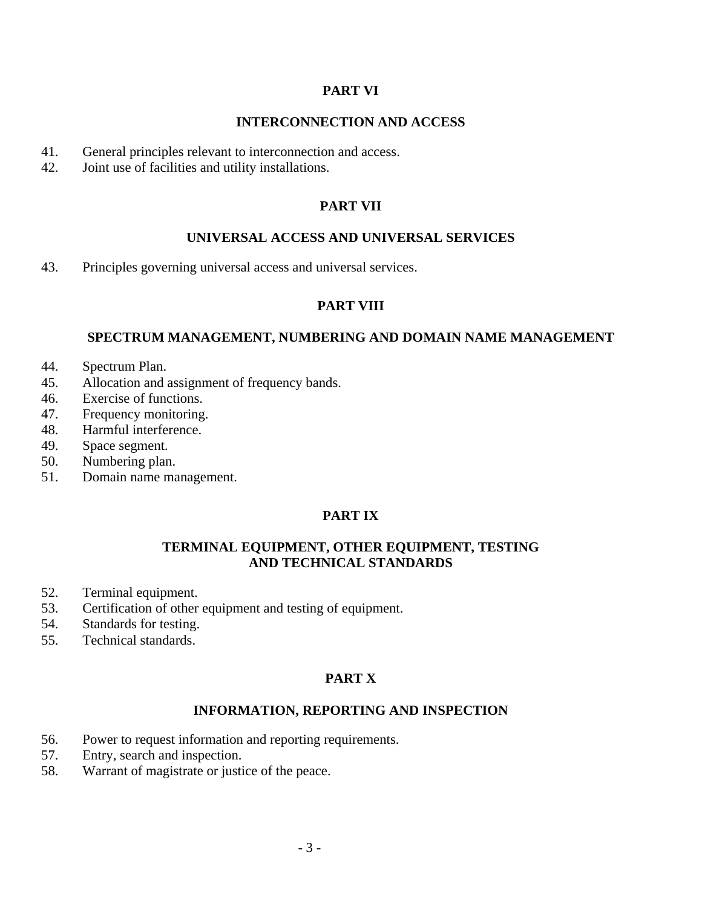### **PART VI**

### **INTERCONNECTION AND ACCESS**

- 41. General principles relevant to interconnection and access.
- 42. Joint use of facilities and utility installations.

#### **PART VII**

### **UNIVERSAL ACCESS AND UNIVERSAL SERVICES**

43. Principles governing universal access and universal services.

## **PART VIII**

### **SPECTRUM MANAGEMENT, NUMBERING AND DOMAIN NAME MANAGEMENT**

- 44. Spectrum Plan.
- 45. Allocation and assignment of frequency bands.
- 46. Exercise of functions.
- 47. Frequency monitoring.
- 48. Harmful interference.
- 49. Space segment.
- 50. Numbering plan.
- 51. Domain name management.

## **PART IX**

#### **TERMINAL EQUIPMENT, OTHER EQUIPMENT, TESTING AND TECHNICAL STANDARDS**

- 52. Terminal equipment.
- 53. Certification of other equipment and testing of equipment.
- 54. Standards for testing.
- 55. Technical standards.

## **PART X**

#### **INFORMATION, REPORTING AND INSPECTION**

- 56. Power to request information and reporting requirements.
- 57. Entry, search and inspection.
- 58. Warrant of magistrate or justice of the peace.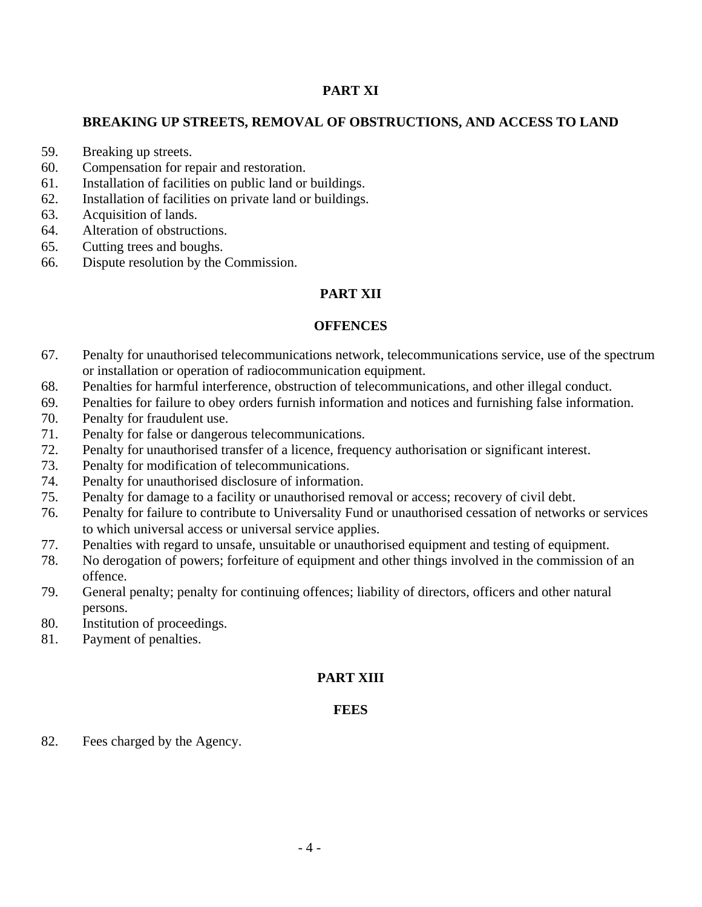### **PART XI**

## **BREAKING UP STREETS, REMOVAL OF OBSTRUCTIONS, AND ACCESS TO LAND**

- 59. Breaking up streets.
- 60. Compensation for repair and restoration.
- 61. Installation of facilities on public land or buildings.
- 62. Installation of facilities on private land or buildings.
- 63. Acquisition of lands.
- 64. Alteration of obstructions.
- 65. Cutting trees and boughs.
- 66. Dispute resolution by the Commission.

#### **PART XII**

#### **OFFENCES**

- 67. Penalty for unauthorised telecommunications network, telecommunications service, use of the spectrum or installation or operation of radiocommunication equipment.
- 68. Penalties for harmful interference, obstruction of telecommunications, and other illegal conduct.
- 69. Penalties for failure to obey orders furnish information and notices and furnishing false information.
- 70. Penalty for fraudulent use.
- 71. Penalty for false or dangerous telecommunications.
- 72. Penalty for unauthorised transfer of a licence, frequency authorisation or significant interest.
- 73. Penalty for modification of telecommunications.
- 74. Penalty for unauthorised disclosure of information.
- 75. Penalty for damage to a facility or unauthorised removal or access; recovery of civil debt.
- 76. Penalty for failure to contribute to Universality Fund or unauthorised cessation of networks or services to which universal access or universal service applies.
- 77. Penalties with regard to unsafe, unsuitable or unauthorised equipment and testing of equipment.
- 78. No derogation of powers; forfeiture of equipment and other things involved in the commission of an offence.
- 79. General penalty; penalty for continuing offences; liability of directors, officers and other natural persons.
- 80. Institution of proceedings.
- 81. Payment of penalties.

#### **PART XIII**

#### **FEES**

82. Fees charged by the Agency.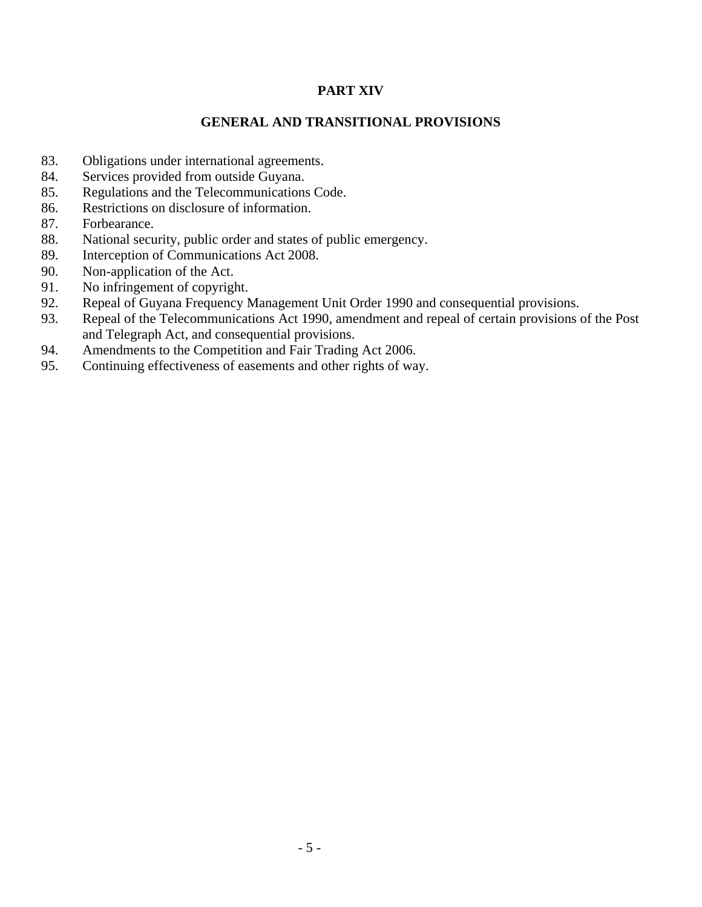## **PART XIV**

### **GENERAL AND TRANSITIONAL PROVISIONS**

- 83. Obligations under international agreements.
- 84. Services provided from outside Guyana.
- 85. Regulations and the Telecommunications Code.
- 86. Restrictions on disclosure of information.
- 87. Forbearance.
- 88. National security, public order and states of public emergency.
- 89. Interception of Communications Act 2008.
- 90. Non-application of the Act.
- 91. No infringement of copyright.
- 92. Repeal of Guyana Frequency Management Unit Order 1990 and consequential provisions.
- 93. Repeal of the Telecommunications Act 1990, amendment and repeal of certain provisions of the Post and Telegraph Act, and consequential provisions.
- 94. Amendments to the Competition and Fair Trading Act 2006.
- 95. Continuing effectiveness of easements and other rights of way.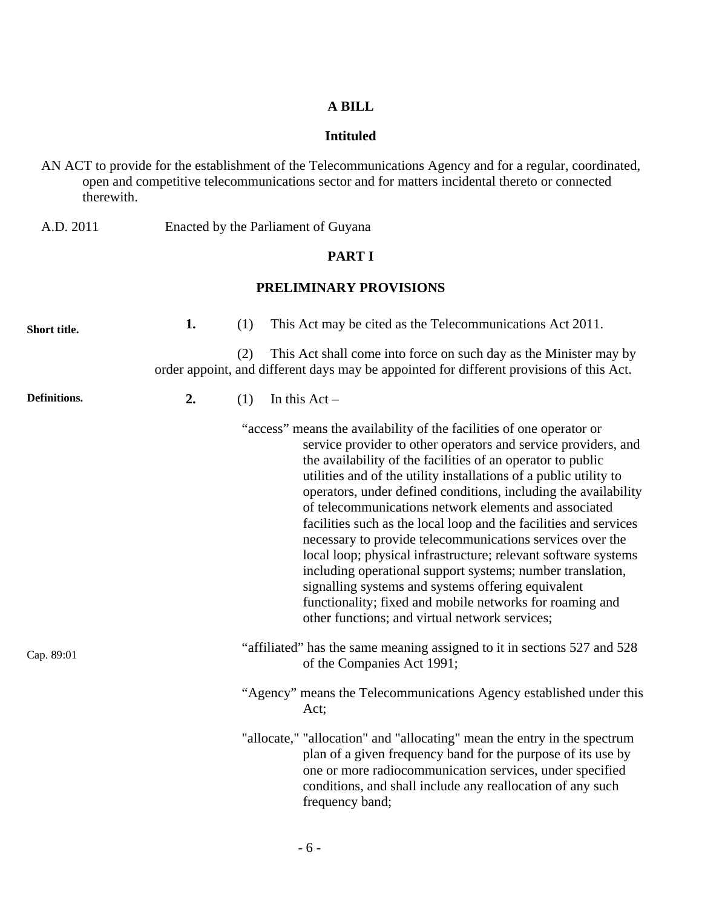### **A BILL**

#### **Intituled**

AN ACT to provide for the establishment of the Telecommunications Agency and for a regular, coordinated, open and competitive telecommunications sector and for matters incidental thereto or connected therewith.

A.D. 2011 Enacted by the Parliament of Guyana

#### **PART I**

## **PRELIMINARY PROVISIONS**

| Short title. | 1. | (1) | This Act may be cited as the Telecommunications Act 2011.                                                                                                                                                                                                                                                                                                                                                                                                                                                                                                                                                                                                                                                                                                                                                                                    |
|--------------|----|-----|----------------------------------------------------------------------------------------------------------------------------------------------------------------------------------------------------------------------------------------------------------------------------------------------------------------------------------------------------------------------------------------------------------------------------------------------------------------------------------------------------------------------------------------------------------------------------------------------------------------------------------------------------------------------------------------------------------------------------------------------------------------------------------------------------------------------------------------------|
|              |    | (2) | This Act shall come into force on such day as the Minister may by<br>order appoint, and different days may be appointed for different provisions of this Act.                                                                                                                                                                                                                                                                                                                                                                                                                                                                                                                                                                                                                                                                                |
| Definitions. | 2. | (1) | In this $Act -$                                                                                                                                                                                                                                                                                                                                                                                                                                                                                                                                                                                                                                                                                                                                                                                                                              |
|              |    |     | "access" means the availability of the facilities of one operator or<br>service provider to other operators and service providers, and<br>the availability of the facilities of an operator to public<br>utilities and of the utility installations of a public utility to<br>operators, under defined conditions, including the availability<br>of telecommunications network elements and associated<br>facilities such as the local loop and the facilities and services<br>necessary to provide telecommunications services over the<br>local loop; physical infrastructure; relevant software systems<br>including operational support systems; number translation,<br>signalling systems and systems offering equivalent<br>functionality; fixed and mobile networks for roaming and<br>other functions; and virtual network services; |
| Cap. 89:01   |    |     | "affiliated" has the same meaning assigned to it in sections 527 and 528<br>of the Companies Act 1991;                                                                                                                                                                                                                                                                                                                                                                                                                                                                                                                                                                                                                                                                                                                                       |
|              |    |     | "Agency" means the Telecommunications Agency established under this<br>Act;                                                                                                                                                                                                                                                                                                                                                                                                                                                                                                                                                                                                                                                                                                                                                                  |
|              |    |     | "allocate," "allocation" and "allocating" mean the entry in the spectrum<br>plan of a given frequency band for the purpose of its use by<br>one or more radiocommunication services, under specified<br>conditions, and shall include any reallocation of any such<br>frequency band;                                                                                                                                                                                                                                                                                                                                                                                                                                                                                                                                                        |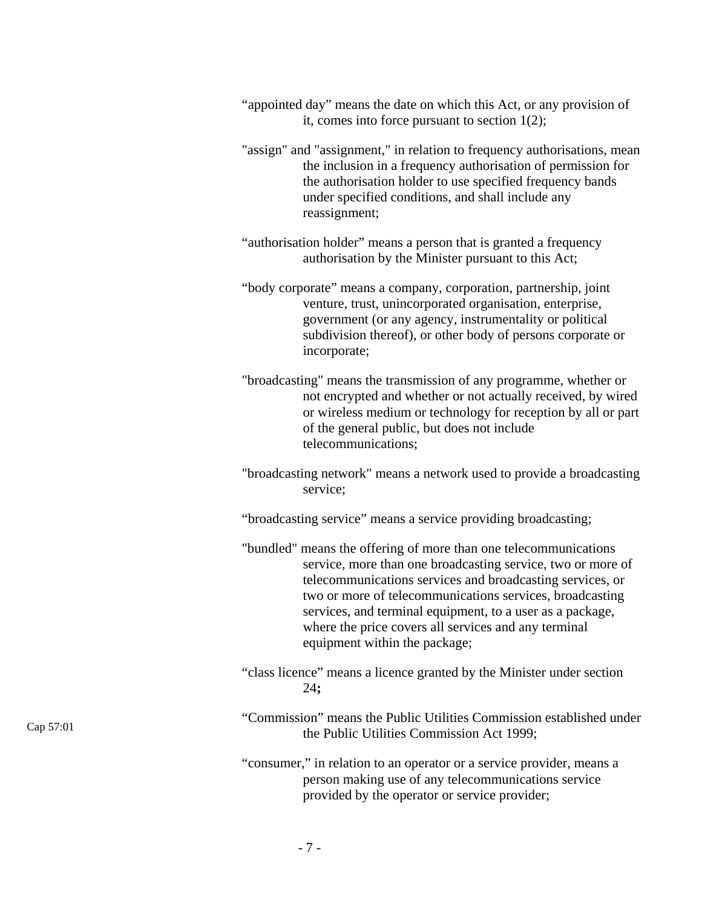| "appointed day" means the date on which this Act, or any provision of |  |
|-----------------------------------------------------------------------|--|
| it, comes into force pursuant to section $1(2)$ ;                     |  |

"assign" and "assignment," in relation to frequency authorisations, mean the inclusion in a frequency authorisation of permission for the authorisation holder to use specified frequency bands under specified conditions, and shall include any reassignment;

"authorisation holder" means a person that is granted a frequency authorisation by the Minister pursuant to this Act;

"body corporate" means a company, corporation, partnership, joint venture, trust, unincorporated organisation, enterprise, government (or any agency, instrumentality or political subdivision thereof), or other body of persons corporate or incorporate;

"broadcasting" means the transmission of any programme, whether or not encrypted and whether or not actually received, by wired or wireless medium or technology for reception by all or part of the general public, but does not include telecommunications;

"broadcasting network" means a network used to provide a broadcasting service;

"broadcasting service" means a service providing broadcasting;

"bundled" means the offering of more than one telecommunications service, more than one broadcasting service, two or more of telecommunications services and broadcasting services, or two or more of telecommunications services, broadcasting services, and terminal equipment, to a user as a package, where the price covers all services and any terminal equipment within the package;

- "class licence" means a licence granted by the Minister under section 24**;**
- "Commission" means the Public Utilities Commission established under the Public Utilities Commission Act 1999;

"consumer," in relation to an operator or a service provider, means a person making use of any telecommunications service provided by the operator or service provider;

Cap 57:01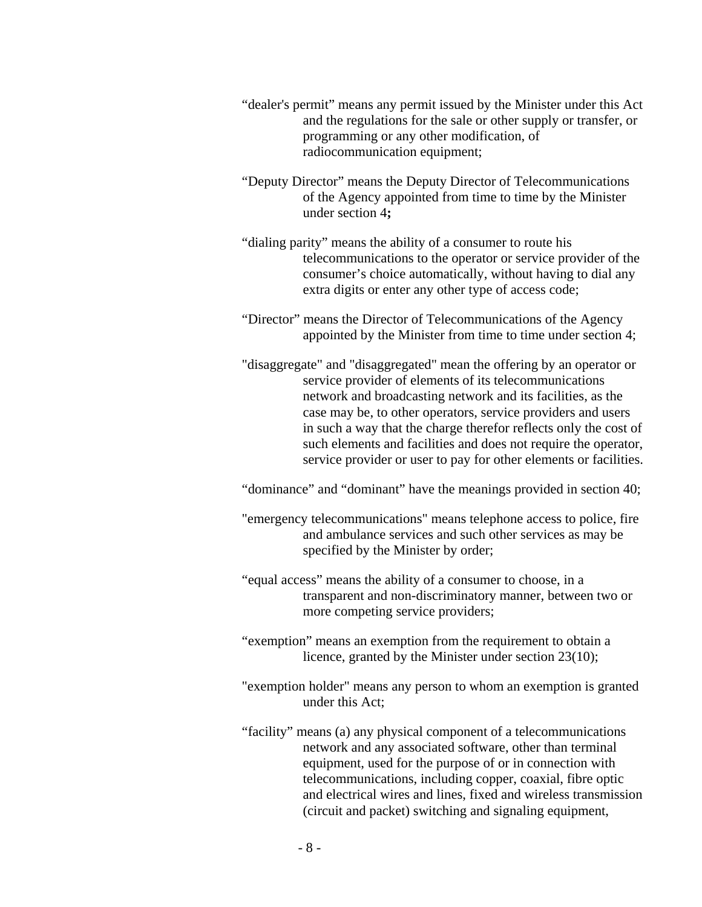- "dealer's permit" means any permit issued by the Minister under this Act and the regulations for the sale or other supply or transfer, or programming or any other modification, of radiocommunication equipment;
- "Deputy Director" means the Deputy Director of Telecommunications of the Agency appointed from time to time by the Minister under section 4**;**
- "dialing parity" means the ability of a consumer to route his telecommunications to the operator or service provider of the consumer's choice automatically, without having to dial any extra digits or enter any other type of access code;
- "Director" means the Director of Telecommunications of the Agency appointed by the Minister from time to time under section 4;
- "disaggregate" and "disaggregated" mean the offering by an operator or service provider of elements of its telecommunications network and broadcasting network and its facilities, as the case may be, to other operators, service providers and users in such a way that the charge therefor reflects only the cost of such elements and facilities and does not require the operator, service provider or user to pay for other elements or facilities.
- "dominance" and "dominant" have the meanings provided in section 40;
- "emergency telecommunications" means telephone access to police, fire and ambulance services and such other services as may be specified by the Minister by order;
- "equal access" means the ability of a consumer to choose, in a transparent and non-discriminatory manner, between two or more competing service providers;
- "exemption" means an exemption from the requirement to obtain a licence, granted by the Minister under section 23(10);
- "exemption holder" means any person to whom an exemption is granted under this Act;
- "facility" means (a) any physical component of a telecommunications network and any associated software, other than terminal equipment, used for the purpose of or in connection with telecommunications, including copper, coaxial, fibre optic and electrical wires and lines, fixed and wireless transmission (circuit and packet) switching and signaling equipment,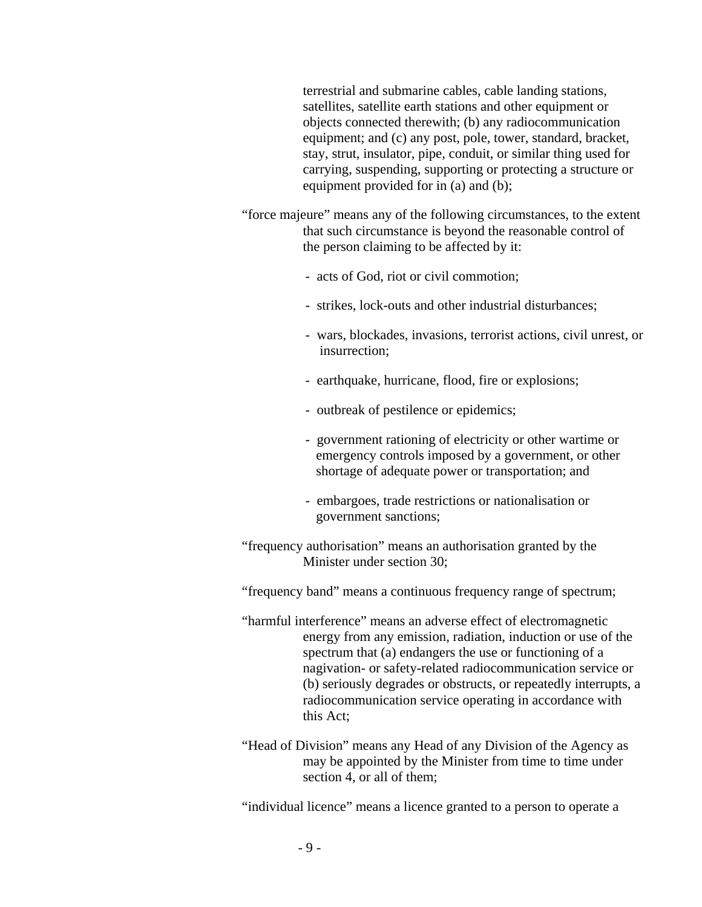terrestrial and submarine cables, cable landing stations, satellites, satellite earth stations and other equipment or objects connected therewith; (b) any radiocommunication equipment; and (c) any post, pole, tower, standard, bracket, stay, strut, insulator, pipe, conduit, or similar thing used for carrying, suspending, supporting or protecting a structure or equipment provided for in (a) and (b);

- "force majeure" means any of the following circumstances, to the extent that such circumstance is beyond the reasonable control of the person claiming to be affected by it:
	- acts of God, riot or civil commotion;
	- strikes, lock-outs and other industrial disturbances;
	- wars, blockades, invasions, terrorist actions, civil unrest, or insurrection;
	- earthquake, hurricane, flood, fire or explosions;
	- outbreak of pestilence or epidemics;
	- government rationing of electricity or other wartime or emergency controls imposed by a government, or other shortage of adequate power or transportation; and
	- embargoes, trade restrictions or nationalisation or government sanctions;
- "frequency authorisation" means an authorisation granted by the Minister under section 30;
- "frequency band" means a continuous frequency range of spectrum;
- "harmful interference" means an adverse effect of electromagnetic energy from any emission, radiation, induction or use of the spectrum that (a) endangers the use or functioning of a nagivation- or safety-related radiocommunication service or (b) seriously degrades or obstructs, or repeatedly interrupts, a radiocommunication service operating in accordance with this Act;
- "Head of Division" means any Head of any Division of the Agency as may be appointed by the Minister from time to time under section 4, or all of them;

"individual licence" means a licence granted to a person to operate a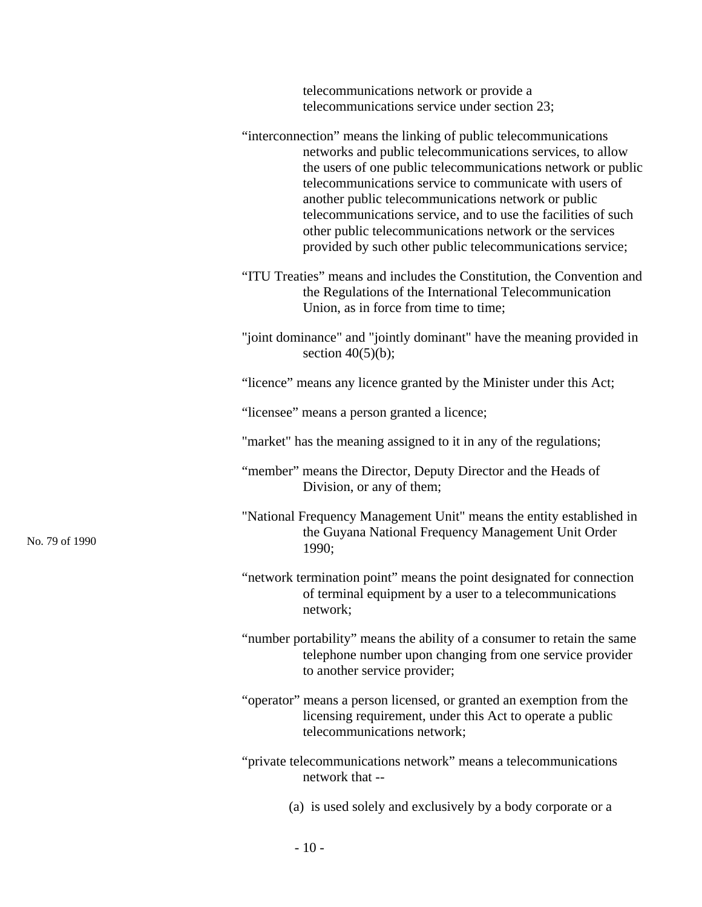telecommunications network or provide a telecommunications service under section 23;

|                | "interconnection" means the linking of public telecommunications<br>networks and public telecommunications services, to allow<br>the users of one public telecommunications network or public<br>telecommunications service to communicate with users of<br>another public telecommunications network or public<br>telecommunications service, and to use the facilities of such<br>other public telecommunications network or the services<br>provided by such other public telecommunications service; |
|----------------|----------------------------------------------------------------------------------------------------------------------------------------------------------------------------------------------------------------------------------------------------------------------------------------------------------------------------------------------------------------------------------------------------------------------------------------------------------------------------------------------------------|
|                | "ITU Treaties" means and includes the Constitution, the Convention and<br>the Regulations of the International Telecommunication<br>Union, as in force from time to time;                                                                                                                                                                                                                                                                                                                                |
|                | "joint dominance" and "jointly dominant" have the meaning provided in<br>section $40(5)(b)$ ;                                                                                                                                                                                                                                                                                                                                                                                                            |
|                | "licence" means any licence granted by the Minister under this Act;                                                                                                                                                                                                                                                                                                                                                                                                                                      |
|                | "licensee" means a person granted a licence;                                                                                                                                                                                                                                                                                                                                                                                                                                                             |
|                | "market" has the meaning assigned to it in any of the regulations;                                                                                                                                                                                                                                                                                                                                                                                                                                       |
|                | "member" means the Director, Deputy Director and the Heads of<br>Division, or any of them;                                                                                                                                                                                                                                                                                                                                                                                                               |
| No. 79 of 1990 | "National Frequency Management Unit" means the entity established in<br>the Guyana National Frequency Management Unit Order<br>1990;                                                                                                                                                                                                                                                                                                                                                                     |
|                | "network termination point" means the point designated for connection<br>of terminal equipment by a user to a telecommunications<br>network;                                                                                                                                                                                                                                                                                                                                                             |
|                | "number portability" means the ability of a consumer to retain the same<br>telephone number upon changing from one service provider<br>to another service provider;                                                                                                                                                                                                                                                                                                                                      |
|                | "operator" means a person licensed, or granted an exemption from the<br>licensing requirement, under this Act to operate a public<br>telecommunications network;                                                                                                                                                                                                                                                                                                                                         |
|                | "private telecommunications network" means a telecommunications<br>network that --                                                                                                                                                                                                                                                                                                                                                                                                                       |
|                | (a) is used solely and exclusively by a body corporate or a                                                                                                                                                                                                                                                                                                                                                                                                                                              |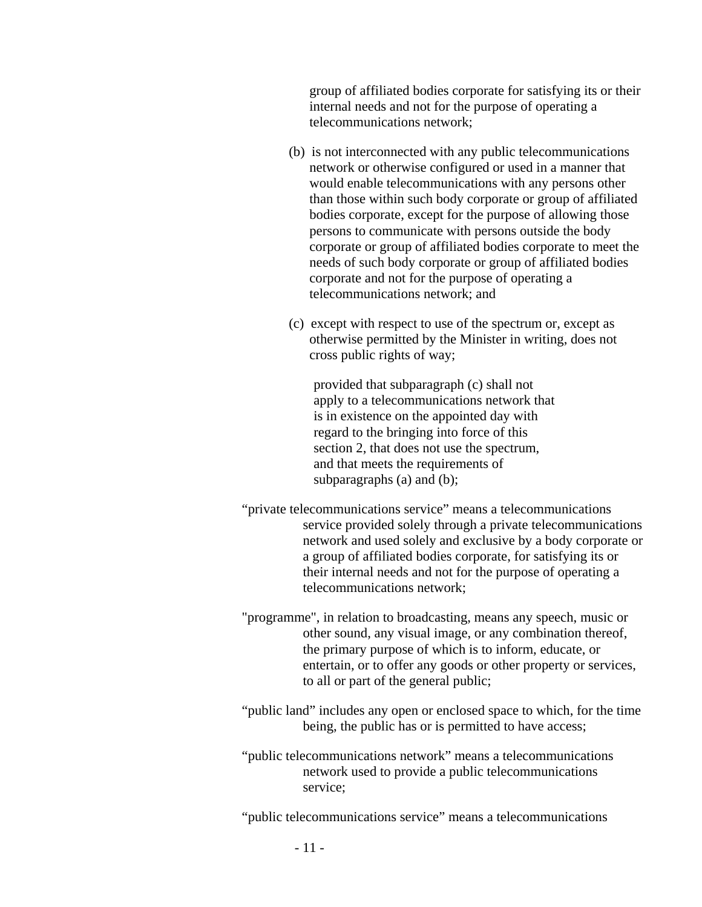group of affiliated bodies corporate for satisfying its or their internal needs and not for the purpose of operating a telecommunications network;

- (b) is not interconnected with any public telecommunications network or otherwise configured or used in a manner that would enable telecommunications with any persons other than those within such body corporate or group of affiliated bodies corporate, except for the purpose of allowing those persons to communicate with persons outside the body corporate or group of affiliated bodies corporate to meet the needs of such body corporate or group of affiliated bodies corporate and not for the purpose of operating a telecommunications network; and
- (c) except with respect to use of the spectrum or, except as otherwise permitted by the Minister in writing, does not cross public rights of way;

provided that subparagraph (c) shall not apply to a telecommunications network that is in existence on the appointed day with regard to the bringing into force of this section 2, that does not use the spectrum, and that meets the requirements of subparagraphs (a) and (b);

- "private telecommunications service" means a telecommunications service provided solely through a private telecommunications network and used solely and exclusive by a body corporate or a group of affiliated bodies corporate, for satisfying its or their internal needs and not for the purpose of operating a telecommunications network;
- "programme", in relation to broadcasting, means any speech, music or other sound, any visual image, or any combination thereof, the primary purpose of which is to inform, educate, or entertain, or to offer any goods or other property or services, to all or part of the general public;
- "public land" includes any open or enclosed space to which, for the time being, the public has or is permitted to have access;
- "public telecommunications network" means a telecommunications network used to provide a public telecommunications service;

"public telecommunications service" means a telecommunications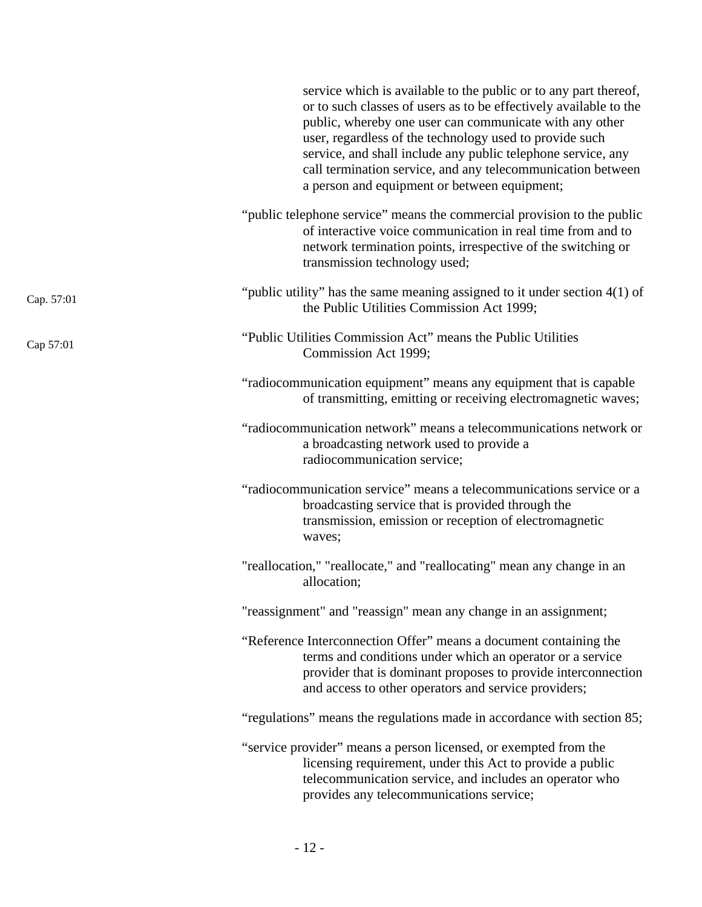|            | service which is available to the public or to any part thereof,<br>or to such classes of users as to be effectively available to the<br>public, whereby one user can communicate with any other<br>user, regardless of the technology used to provide such<br>service, and shall include any public telephone service, any<br>call termination service, and any telecommunication between<br>a person and equipment or between equipment; |
|------------|--------------------------------------------------------------------------------------------------------------------------------------------------------------------------------------------------------------------------------------------------------------------------------------------------------------------------------------------------------------------------------------------------------------------------------------------|
|            | "public telephone service" means the commercial provision to the public<br>of interactive voice communication in real time from and to<br>network termination points, irrespective of the switching or<br>transmission technology used;                                                                                                                                                                                                    |
| Cap. 57:01 | "public utility" has the same meaning assigned to it under section $4(1)$ of<br>the Public Utilities Commission Act 1999;                                                                                                                                                                                                                                                                                                                  |
| Cap 57:01  | "Public Utilities Commission Act" means the Public Utilities<br>Commission Act 1999;                                                                                                                                                                                                                                                                                                                                                       |
|            | "radiocommunication equipment" means any equipment that is capable<br>of transmitting, emitting or receiving electromagnetic waves;                                                                                                                                                                                                                                                                                                        |
|            | "radiocommunication network" means a telecommunications network or<br>a broadcasting network used to provide a<br>radiocommunication service;                                                                                                                                                                                                                                                                                              |
|            | "radiocommunication service" means a telecommunications service or a<br>broadcasting service that is provided through the<br>transmission, emission or reception of electromagnetic<br>waves;                                                                                                                                                                                                                                              |
|            | "reallocation," "reallocate," and "reallocating" mean any change in an<br>allocation;                                                                                                                                                                                                                                                                                                                                                      |
|            | "reassignment" and "reassign" mean any change in an assignment;                                                                                                                                                                                                                                                                                                                                                                            |
|            | "Reference Interconnection Offer" means a document containing the<br>terms and conditions under which an operator or a service<br>provider that is dominant proposes to provide interconnection<br>and access to other operators and service providers;                                                                                                                                                                                    |
|            | "regulations" means the regulations made in accordance with section 85;                                                                                                                                                                                                                                                                                                                                                                    |
|            | "service provider" means a person licensed, or exempted from the<br>licensing requirement, under this Act to provide a public<br>telecommunication service, and includes an operator who<br>provides any telecommunications service;                                                                                                                                                                                                       |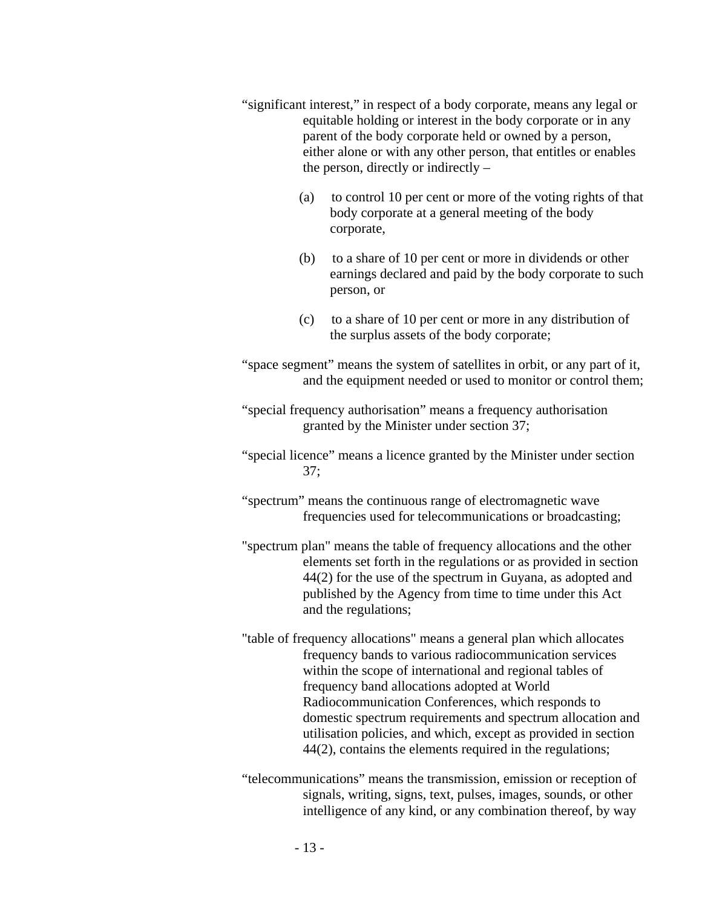- "significant interest," in respect of a body corporate, means any legal or equitable holding or interest in the body corporate or in any parent of the body corporate held or owned by a person, either alone or with any other person, that entitles or enables the person, directly or indirectly –
	- (a) to control 10 per cent or more of the voting rights of that body corporate at a general meeting of the body corporate,
	- (b) to a share of 10 per cent or more in dividends or other earnings declared and paid by the body corporate to such person, or
	- (c) to a share of 10 per cent or more in any distribution of the surplus assets of the body corporate;

"space segment" means the system of satellites in orbit, or any part of it, and the equipment needed or used to monitor or control them;

- "special frequency authorisation" means a frequency authorisation granted by the Minister under section 37;
- "special licence" means a licence granted by the Minister under section 37;
- "spectrum" means the continuous range of electromagnetic wave frequencies used for telecommunications or broadcasting;
- "spectrum plan" means the table of frequency allocations and the other elements set forth in the regulations or as provided in section 44(2) for the use of the spectrum in Guyana, as adopted and published by the Agency from time to time under this Act and the regulations;
- "table of frequency allocations" means a general plan which allocates frequency bands to various radiocommunication services within the scope of international and regional tables of frequency band allocations adopted at World Radiocommunication Conferences, which responds to domestic spectrum requirements and spectrum allocation and utilisation policies, and which, except as provided in section 44(2), contains the elements required in the regulations;
- "telecommunications" means the transmission, emission or reception of signals, writing, signs, text, pulses, images, sounds, or other intelligence of any kind, or any combination thereof, by way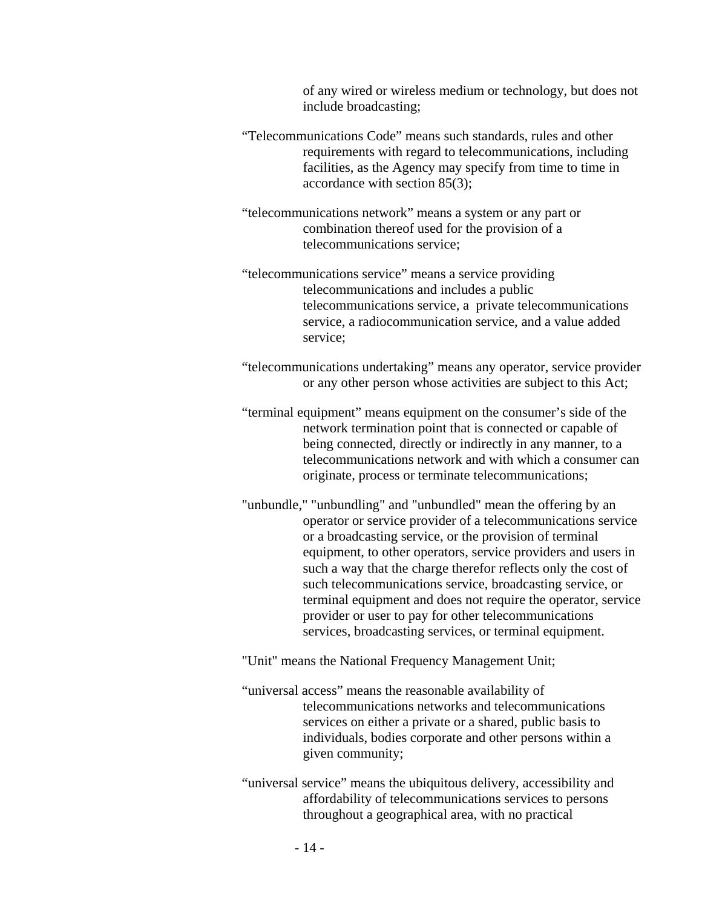of any wired or wireless medium or technology, but does not include broadcasting;

- "Telecommunications Code" means such standards, rules and other requirements with regard to telecommunications, including facilities, as the Agency may specify from time to time in accordance with section 85(3);
- "telecommunications network" means a system or any part or combination thereof used for the provision of a telecommunications service;
- "telecommunications service" means a service providing telecommunications and includes a public telecommunications service, a private telecommunications service, a radiocommunication service, and a value added service;
- "telecommunications undertaking" means any operator, service provider or any other person whose activities are subject to this Act;
- "terminal equipment" means equipment on the consumer's side of the network termination point that is connected or capable of being connected, directly or indirectly in any manner, to a telecommunications network and with which a consumer can originate, process or terminate telecommunications;
- "unbundle," "unbundling" and "unbundled" mean the offering by an operator or service provider of a telecommunications service or a broadcasting service, or the provision of terminal equipment, to other operators, service providers and users in such a way that the charge therefor reflects only the cost of such telecommunications service, broadcasting service, or terminal equipment and does not require the operator, service provider or user to pay for other telecommunications services, broadcasting services, or terminal equipment.
- "Unit" means the National Frequency Management Unit;
- "universal access" means the reasonable availability of telecommunications networks and telecommunications services on either a private or a shared, public basis to individuals, bodies corporate and other persons within a given community;
- "universal service" means the ubiquitous delivery, accessibility and affordability of telecommunications services to persons throughout a geographical area, with no practical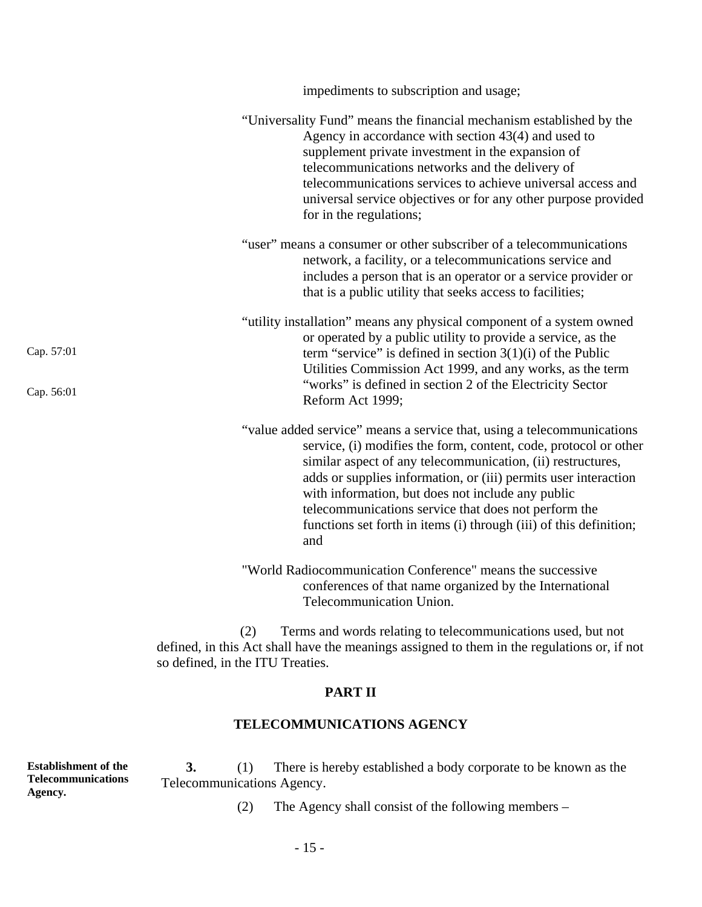|                          | impediments to subscription and usage;                                                                                                                                                                                                                                                                                                                                                                                                                                 |
|--------------------------|------------------------------------------------------------------------------------------------------------------------------------------------------------------------------------------------------------------------------------------------------------------------------------------------------------------------------------------------------------------------------------------------------------------------------------------------------------------------|
|                          | "Universality Fund" means the financial mechanism established by the<br>Agency in accordance with section $43(4)$ and used to<br>supplement private investment in the expansion of<br>telecommunications networks and the delivery of<br>telecommunications services to achieve universal access and<br>universal service objectives or for any other purpose provided<br>for in the regulations;                                                                      |
|                          | "user" means a consumer or other subscriber of a telecommunications<br>network, a facility, or a telecommunications service and<br>includes a person that is an operator or a service provider or<br>that is a public utility that seeks access to facilities;                                                                                                                                                                                                         |
| Cap. 57:01<br>Cap. 56:01 | "utility installation" means any physical component of a system owned<br>or operated by a public utility to provide a service, as the<br>term "service" is defined in section $3(1)(i)$ of the Public<br>Utilities Commission Act 1999, and any works, as the term<br>"works" is defined in section 2 of the Electricity Sector<br>Reform Act 1999;                                                                                                                    |
|                          | "value added service" means a service that, using a telecommunications<br>service, (i) modifies the form, content, code, protocol or other<br>similar aspect of any telecommunication, (ii) restructures,<br>adds or supplies information, or (iii) permits user interaction<br>with information, but does not include any public<br>telecommunications service that does not perform the<br>functions set forth in items (i) through (iii) of this definition;<br>and |
|                          | "World Radiocommunication Conference" means the successive<br>conferences of that name organized by the International<br>Telecommunication Union.                                                                                                                                                                                                                                                                                                                      |
|                          | Terms and words relating to telecommunications used, but not<br>(2)<br>defined, in this Act shall have the meanings assigned to them in the regulations or, if not<br>so defined, in the ITU Treaties.                                                                                                                                                                                                                                                                 |

### **PART II**

# **TELECOMMUNICATIONS AGENCY**

**Establishment of the Telecommunications Agency. 3.** (1) There is hereby established a body corporate to be known as the Telecommunications Agency.

(2) The Agency shall consist of the following members –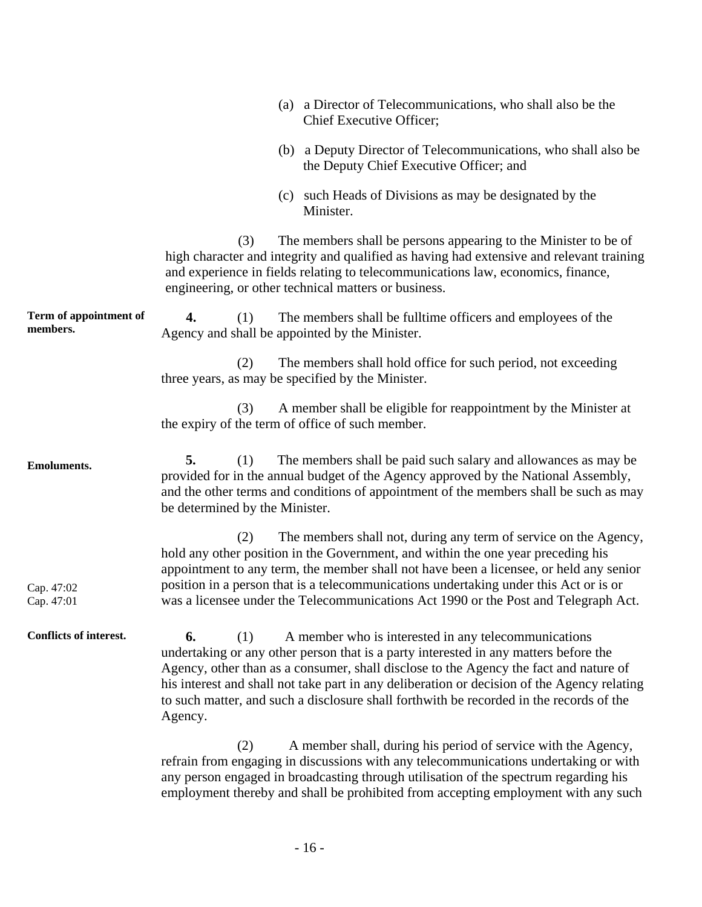|                                    | (a) a Director of Telecommunications, who shall also be the<br>Chief Executive Officer;                                                                                                                                                                                                                                                                                                                                                                 |
|------------------------------------|---------------------------------------------------------------------------------------------------------------------------------------------------------------------------------------------------------------------------------------------------------------------------------------------------------------------------------------------------------------------------------------------------------------------------------------------------------|
|                                    | (b) a Deputy Director of Telecommunications, who shall also be<br>the Deputy Chief Executive Officer; and                                                                                                                                                                                                                                                                                                                                               |
|                                    | (c) such Heads of Divisions as may be designated by the<br>Minister.                                                                                                                                                                                                                                                                                                                                                                                    |
|                                    | The members shall be persons appearing to the Minister to be of<br>(3)<br>high character and integrity and qualified as having had extensive and relevant training<br>and experience in fields relating to telecommunications law, economics, finance,<br>engineering, or other technical matters or business.                                                                                                                                          |
| Term of appointment of<br>members. | 4.<br>The members shall be full time officers and employees of the<br>(1)<br>Agency and shall be appointed by the Minister.                                                                                                                                                                                                                                                                                                                             |
|                                    | (2)<br>The members shall hold office for such period, not exceeding<br>three years, as may be specified by the Minister.                                                                                                                                                                                                                                                                                                                                |
|                                    | A member shall be eligible for reappointment by the Minister at<br>(3)<br>the expiry of the term of office of such member.                                                                                                                                                                                                                                                                                                                              |
| <b>Emoluments.</b>                 | The members shall be paid such salary and allowances as may be<br>5.<br>(1)<br>provided for in the annual budget of the Agency approved by the National Assembly,<br>and the other terms and conditions of appointment of the members shall be such as may<br>be determined by the Minister.                                                                                                                                                            |
| Cap. 47:02<br>Cap. 47:01           | The members shall not, during any term of service on the Agency,<br>(2)<br>hold any other position in the Government, and within the one year preceding his<br>appointment to any term, the member shall not have been a licensee, or held any senior<br>position in a person that is a telecommunications undertaking under this Act or is or<br>was a licensee under the Telecommunications Act 1990 or the Post and Telegraph Act.                   |
| Conflicts of interest.             | 6.<br>A member who is interested in any telecommunications<br>(1)<br>undertaking or any other person that is a party interested in any matters before the<br>Agency, other than as a consumer, shall disclose to the Agency the fact and nature of<br>his interest and shall not take part in any deliberation or decision of the Agency relating<br>to such matter, and such a disclosure shall forthwith be recorded in the records of the<br>Agency. |
|                                    | (2)<br>A member shall, during his period of service with the Agency,<br>refrain from engaging in discussions with any telecommunications undertaking or with<br>any person engaged in broadcasting through utilisation of the spectrum regarding his<br>employment thereby and shall be prohibited from accepting employment with any such                                                                                                              |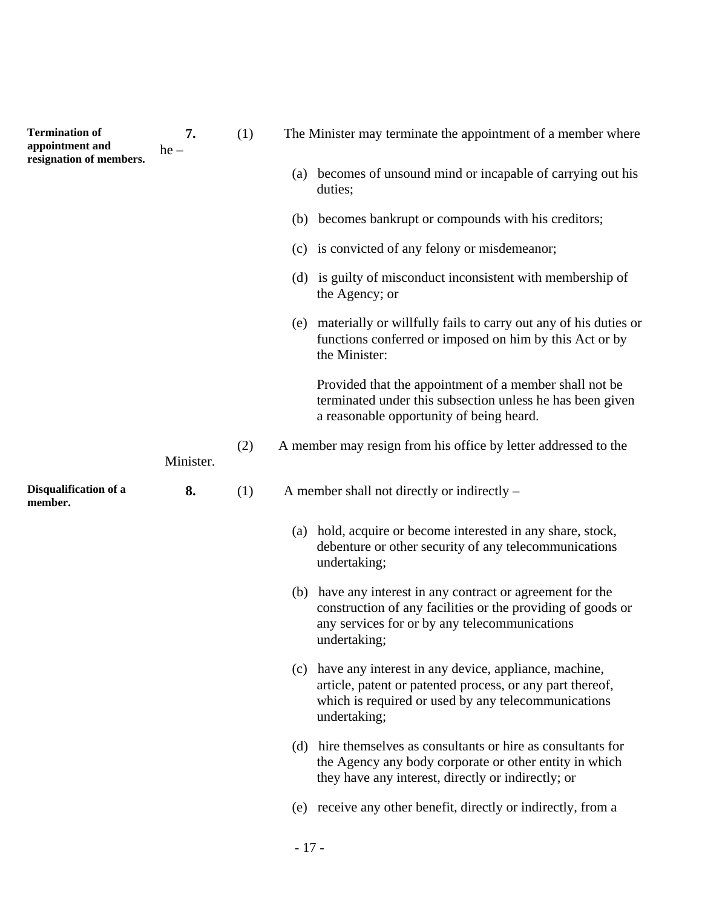| <b>Termination of</b><br>appointment and<br>resignation of members. | 7.<br>$he -$ | (1) |     | The Minister may terminate the appointment of a member where                                                                                                                                 |
|---------------------------------------------------------------------|--------------|-----|-----|----------------------------------------------------------------------------------------------------------------------------------------------------------------------------------------------|
|                                                                     |              |     |     | (a) becomes of unsound mind or incapable of carrying out his<br>duties;                                                                                                                      |
|                                                                     |              |     |     | (b) becomes bankrupt or compounds with his creditors;                                                                                                                                        |
|                                                                     |              |     |     | (c) is convicted of any felony or misdemeanor;                                                                                                                                               |
|                                                                     |              |     |     | (d) is guilty of misconduct inconsistent with membership of<br>the Agency; or                                                                                                                |
|                                                                     |              |     |     | (e) materially or willfully fails to carry out any of his duties or<br>functions conferred or imposed on him by this Act or by<br>the Minister:                                              |
|                                                                     |              |     |     | Provided that the appointment of a member shall not be<br>terminated under this subsection unless he has been given<br>a reasonable opportunity of being heard.                              |
|                                                                     | Minister.    | (2) |     | A member may resign from his office by letter addressed to the                                                                                                                               |
| Disqualification of a<br>member.                                    | 8.           | (1) |     | A member shall not directly or indirectly –                                                                                                                                                  |
|                                                                     |              |     | (a) | hold, acquire or become interested in any share, stock,<br>debenture or other security of any telecommunications<br>undertaking;                                                             |
|                                                                     |              |     |     | (b) have any interest in any contract or agreement for the<br>construction of any facilities or the providing of goods or<br>any services for or by any telecommunications<br>undertaking;   |
|                                                                     |              |     |     | (c) have any interest in any device, appliance, machine,<br>article, patent or patented process, or any part thereof,<br>which is required or used by any telecommunications<br>undertaking; |
|                                                                     |              |     |     | (d) hire themselves as consultants or hire as consultants for<br>the Agency any body corporate or other entity in which<br>they have any interest, directly or indirectly; or                |
|                                                                     |              |     |     | (e) receive any other benefit, directly or indirectly, from a                                                                                                                                |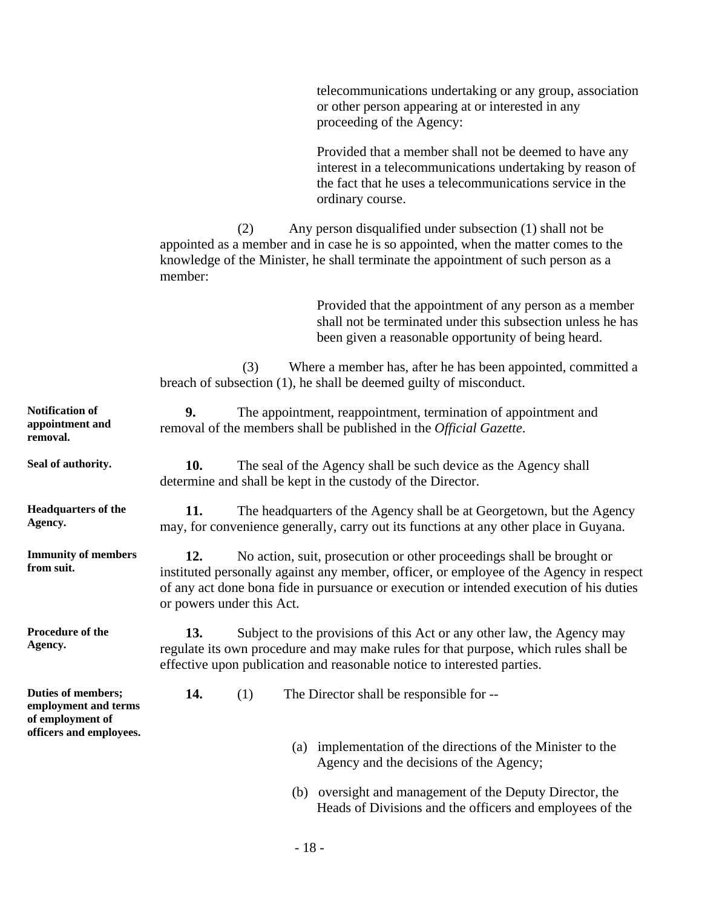telecommunications undertaking or any group, association or other person appearing at or interested in any proceeding of the Agency:

Provided that a member shall not be deemed to have any interest in a telecommunications undertaking by reason of the fact that he uses a telecommunications service in the ordinary course.

(2) Any person disqualified under subsection (1) shall not be appointed as a member and in case he is so appointed, when the matter comes to the knowledge of the Minister, he shall terminate the appointment of such person as a member:

> Provided that the appointment of any person as a member shall not be terminated under this subsection unless he has been given a reasonable opportunity of being heard.

(3) Where a member has, after he has been appointed, committed a breach of subsection (1), he shall be deemed guilty of misconduct.

| <b>Notification of</b><br>appointment and<br>removal.                                     | 9.                                                                                                                                                                                                                                                                                              |                                                                                                                                |     | The appointment, reappointment, termination of appointment and<br>removal of the members shall be published in the <i>Official Gazette</i> .                                                                                              |  |  |
|-------------------------------------------------------------------------------------------|-------------------------------------------------------------------------------------------------------------------------------------------------------------------------------------------------------------------------------------------------------------------------------------------------|--------------------------------------------------------------------------------------------------------------------------------|-----|-------------------------------------------------------------------------------------------------------------------------------------------------------------------------------------------------------------------------------------------|--|--|
| Seal of authority.                                                                        | 10.                                                                                                                                                                                                                                                                                             | The seal of the Agency shall be such device as the Agency shall<br>determine and shall be kept in the custody of the Director. |     |                                                                                                                                                                                                                                           |  |  |
| <b>Headquarters of the</b><br>Agency.                                                     | 11.<br>The headquarters of the Agency shall be at Georgetown, but the Agency<br>may, for convenience generally, carry out its functions at any other place in Guyana.                                                                                                                           |                                                                                                                                |     |                                                                                                                                                                                                                                           |  |  |
| <b>Immunity of members</b><br>from suit.                                                  | 12.<br>No action, suit, prosecution or other proceedings shall be brought or<br>instituted personally against any member, officer, or employee of the Agency in respect<br>of any act done bona fide in pursuance or execution or intended execution of his duties<br>or powers under this Act. |                                                                                                                                |     |                                                                                                                                                                                                                                           |  |  |
| Procedure of the<br>Agency.                                                               | 13.                                                                                                                                                                                                                                                                                             |                                                                                                                                |     | Subject to the provisions of this Act or any other law, the Agency may<br>regulate its own procedure and may make rules for that purpose, which rules shall be<br>effective upon publication and reasonable notice to interested parties. |  |  |
| Duties of members;<br>employment and terms<br>of employment of<br>officers and employees. | 14.                                                                                                                                                                                                                                                                                             | (1)                                                                                                                            |     | The Director shall be responsible for --                                                                                                                                                                                                  |  |  |
|                                                                                           |                                                                                                                                                                                                                                                                                                 |                                                                                                                                | (a) | implementation of the directions of the Minister to the<br>Agency and the decisions of the Agency;                                                                                                                                        |  |  |
|                                                                                           |                                                                                                                                                                                                                                                                                                 |                                                                                                                                |     | (b) oversight and management of the Deputy Director, the<br>Heads of Divisions and the officers and employees of the                                                                                                                      |  |  |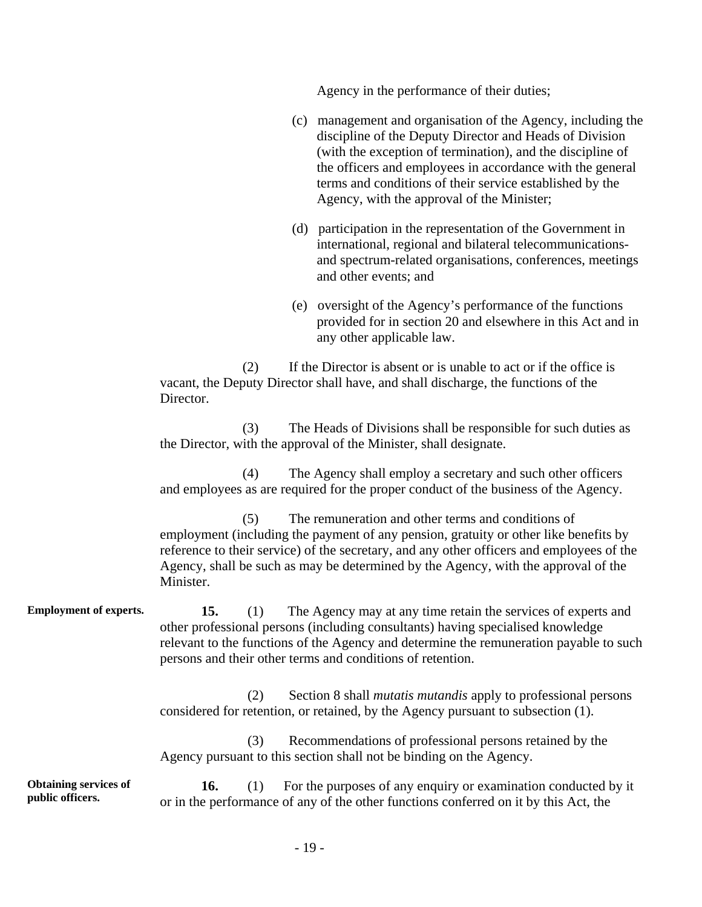Agency in the performance of their duties;

- (c) management and organisation of the Agency, including the discipline of the Deputy Director and Heads of Division (with the exception of termination), and the discipline of the officers and employees in accordance with the general terms and conditions of their service established by the Agency, with the approval of the Minister;
- (d) participation in the representation of the Government in international, regional and bilateral telecommunicationsand spectrum-related organisations, conferences, meetings and other events; and
- (e) oversight of the Agency's performance of the functions provided for in section 20 and elsewhere in this Act and in any other applicable law.

(2) If the Director is absent or is unable to act or if the office is vacant, the Deputy Director shall have, and shall discharge, the functions of the Director.

(3) The Heads of Divisions shall be responsible for such duties as the Director, with the approval of the Minister, shall designate.

(4) The Agency shall employ a secretary and such other officers and employees as are required for the proper conduct of the business of the Agency.

(5) The remuneration and other terms and conditions of employment (including the payment of any pension, gratuity or other like benefits by reference to their service) of the secretary, and any other officers and employees of the Agency, shall be such as may be determined by the Agency, with the approval of the Minister.

**Employment of experts.** 15. (1) The Agency may at any time retain the services of experts and other professional persons (including consultants) having specialised knowledge relevant to the functions of the Agency and determine the remuneration payable to such persons and their other terms and conditions of retention.

> (2) Section 8 shall *mutatis mutandis* apply to professional persons considered for retention, or retained, by the Agency pursuant to subsection (1).

(3) Recommendations of professional persons retained by the Agency pursuant to this section shall not be binding on the Agency.

**Obtaining services of public officers. 16.** (1) For the purposes of any enquiry or examination conducted by it or in the performance of any of the other functions conferred on it by this Act, the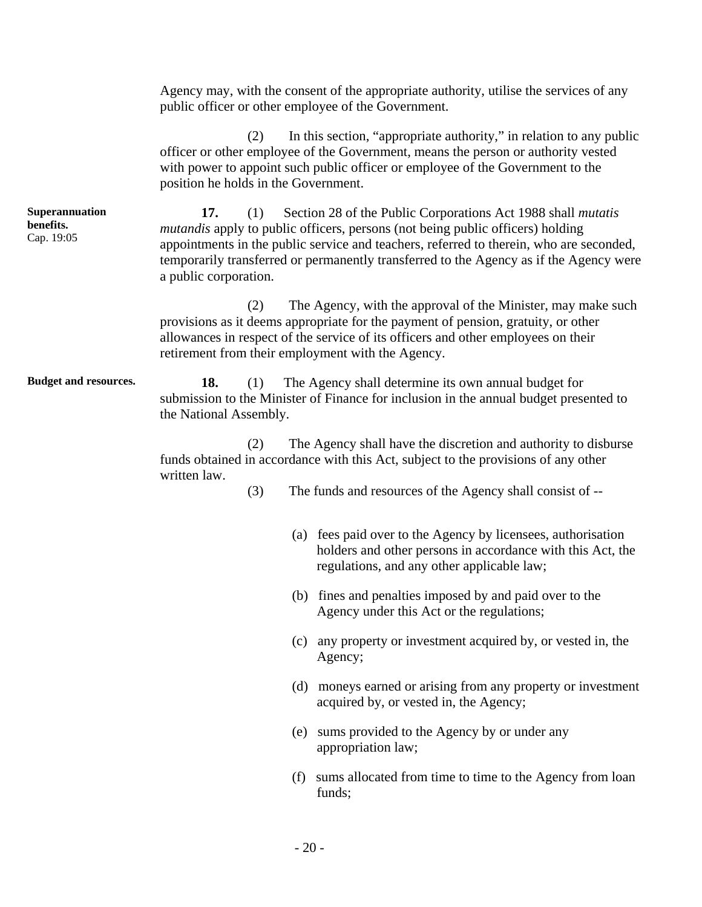|                                           | Agency may, with the consent of the appropriate authority, utilise the services of any<br>public officer or other employee of the Government.                                                                                                                                                                                                                                            |  |  |  |  |
|-------------------------------------------|------------------------------------------------------------------------------------------------------------------------------------------------------------------------------------------------------------------------------------------------------------------------------------------------------------------------------------------------------------------------------------------|--|--|--|--|
|                                           | In this section, "appropriate authority," in relation to any public<br>(2)<br>officer or other employee of the Government, means the person or authority vested<br>with power to appoint such public officer or employee of the Government to the<br>position he holds in the Government.                                                                                                |  |  |  |  |
| Superannuation<br>benefits.<br>Cap. 19:05 | 17.<br>Section 28 of the Public Corporations Act 1988 shall <i>mutatis</i><br>(1)<br><i>mutandis</i> apply to public officers, persons (not being public officers) holding<br>appointments in the public service and teachers, referred to therein, who are seconded,<br>temporarily transferred or permanently transferred to the Agency as if the Agency were<br>a public corporation. |  |  |  |  |
|                                           | The Agency, with the approval of the Minister, may make such<br>(2)<br>provisions as it deems appropriate for the payment of pension, gratuity, or other<br>allowances in respect of the service of its officers and other employees on their<br>retirement from their employment with the Agency.                                                                                       |  |  |  |  |
| <b>Budget and resources.</b>              | 18.<br>The Agency shall determine its own annual budget for<br>(1)<br>submission to the Minister of Finance for inclusion in the annual budget presented to<br>the National Assembly.                                                                                                                                                                                                    |  |  |  |  |
|                                           | The Agency shall have the discretion and authority to disburse<br>(2)<br>funds obtained in accordance with this Act, subject to the provisions of any other<br>written law.                                                                                                                                                                                                              |  |  |  |  |
|                                           | (3)<br>The funds and resources of the Agency shall consist of --                                                                                                                                                                                                                                                                                                                         |  |  |  |  |
|                                           | (a) fees paid over to the Agency by licensees, authorisation<br>holders and other persons in accordance with this Act, the<br>regulations, and any other applicable law;                                                                                                                                                                                                                 |  |  |  |  |
|                                           | (b) fines and penalties imposed by and paid over to the<br>Agency under this Act or the regulations;                                                                                                                                                                                                                                                                                     |  |  |  |  |
|                                           | (c) any property or investment acquired by, or vested in, the<br>Agency;                                                                                                                                                                                                                                                                                                                 |  |  |  |  |
|                                           | (d) moneys earned or arising from any property or investment<br>acquired by, or vested in, the Agency;                                                                                                                                                                                                                                                                                   |  |  |  |  |
|                                           | sums provided to the Agency by or under any<br>(e)<br>appropriation law;                                                                                                                                                                                                                                                                                                                 |  |  |  |  |

(f) sums allocated from time to time to the Agency from loan funds;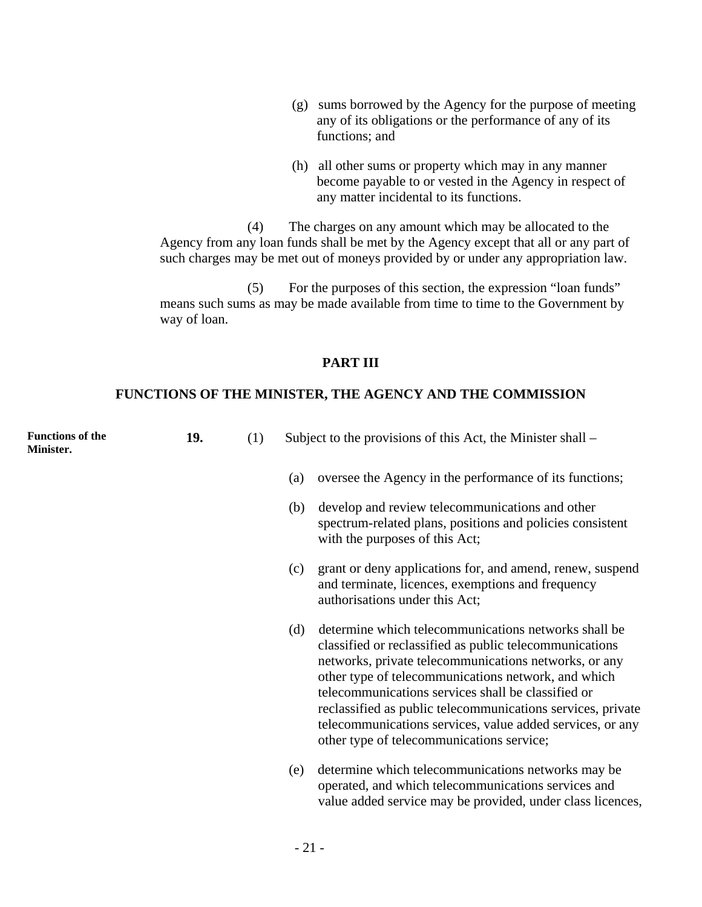- (g) sums borrowed by the Agency for the purpose of meeting any of its obligations or the performance of any of its functions; and
- (h) all other sums or property which may in any manner become payable to or vested in the Agency in respect of any matter incidental to its functions.

value added service may be provided, under class licences,

(4) The charges on any amount which may be allocated to the Agency from any loan funds shall be met by the Agency except that all or any part of such charges may be met out of moneys provided by or under any appropriation law.

(5) For the purposes of this section, the expression "loan funds" means such sums as may be made available from time to time to the Government by way of loan.

#### **PART III**

#### **FUNCTIONS OF THE MINISTER, THE AGENCY AND THE COMMISSION**

| <b>Functions of the</b><br>Minister. | 19. | (1) |     | Subject to the provisions of this Act, the Minister shall –                                                                                                                                                                                                                                                                                                                                                                                                    |
|--------------------------------------|-----|-----|-----|----------------------------------------------------------------------------------------------------------------------------------------------------------------------------------------------------------------------------------------------------------------------------------------------------------------------------------------------------------------------------------------------------------------------------------------------------------------|
|                                      |     |     | (a) | oversee the Agency in the performance of its functions;                                                                                                                                                                                                                                                                                                                                                                                                        |
|                                      |     |     | (b) | develop and review telecommunications and other<br>spectrum-related plans, positions and policies consistent<br>with the purposes of this Act;                                                                                                                                                                                                                                                                                                                 |
|                                      |     |     | (c) | grant or deny applications for, and amend, renew, suspend<br>and terminate, licences, exemptions and frequency<br>authorisations under this Act;                                                                                                                                                                                                                                                                                                               |
|                                      |     |     | (d) | determine which telecommunications networks shall be<br>classified or reclassified as public telecommunications<br>networks, private telecommunications networks, or any<br>other type of telecommunications network, and which<br>telecommunications services shall be classified or<br>reclassified as public telecommunications services, private<br>telecommunications services, value added services, or any<br>other type of telecommunications service; |
|                                      |     |     | (e) | determine which telecommunications networks may be<br>operated, and which telecommunications services and                                                                                                                                                                                                                                                                                                                                                      |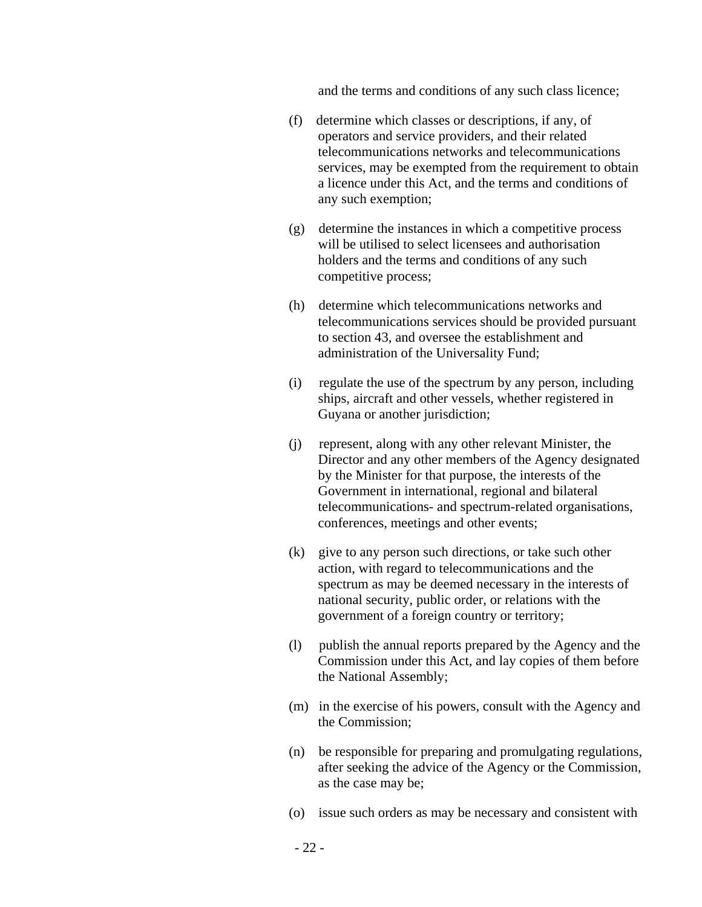and the terms and conditions of any such class licence;

- (f) determine which classes or descriptions, if any, of operators and service providers, and their related telecommunications networks and telecommunications services, may be exempted from the requirement to obtain a licence under this Act, and the terms and conditions of any such exemption;
- (g) determine the instances in which a competitive process will be utilised to select licensees and authorisation holders and the terms and conditions of any such competitive process;
- (h) determine which telecommunications networks and telecommunications services should be provided pursuant to section 43, and oversee the establishment and administration of the Universality Fund;
- (i) regulate the use of the spectrum by any person, including ships, aircraft and other vessels, whether registered in Guyana or another jurisdiction;
- (j) represent, along with any other relevant Minister, the Director and any other members of the Agency designated by the Minister for that purpose, the interests of the Government in international, regional and bilateral telecommunications- and spectrum-related organisations, conferences, meetings and other events;
- (k) give to any person such directions, or take such other action, with regard to telecommunications and the spectrum as may be deemed necessary in the interests of national security, public order, or relations with the government of a foreign country or territory;
- (l) publish the annual reports prepared by the Agency and the Commission under this Act, and lay copies of them before the National Assembly;
- (m) in the exercise of his powers, consult with the Agency and the Commission;
- (n) be responsible for preparing and promulgating regulations, after seeking the advice of the Agency or the Commission, as the case may be;
- (o) issue such orders as may be necessary and consistent with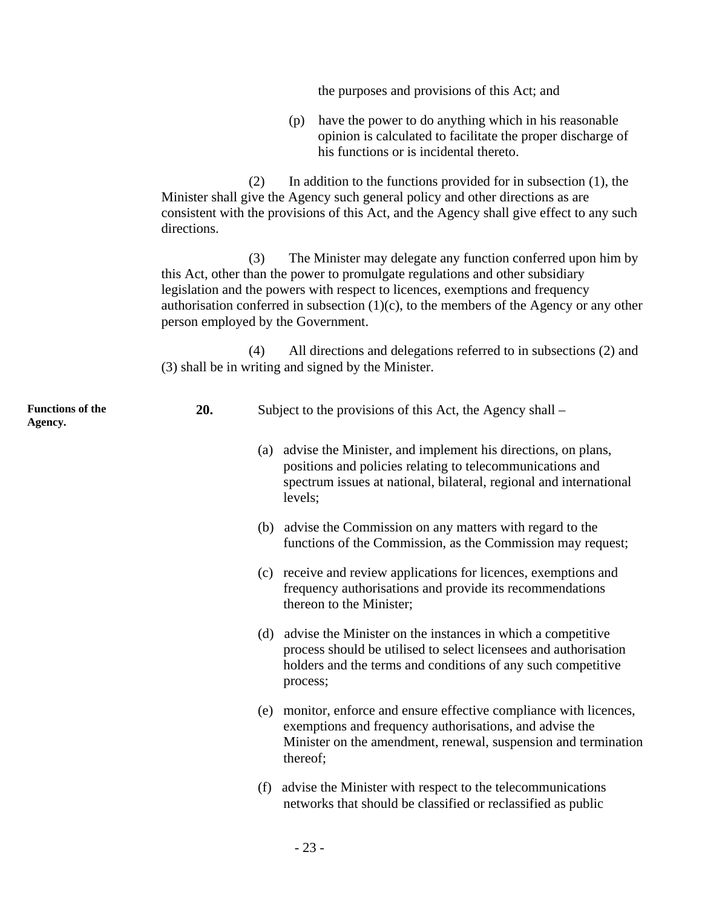the purposes and provisions of this Act; and (p) have the power to do anything which in his reasonable opinion is calculated to facilitate the proper discharge of his functions or is incidental thereto. (2) In addition to the functions provided for in subsection (1), the Minister shall give the Agency such general policy and other directions as are consistent with the provisions of this Act, and the Agency shall give effect to any such directions. (3) The Minister may delegate any function conferred upon him by this Act, other than the power to promulgate regulations and other subsidiary legislation and the powers with respect to licences, exemptions and frequency authorisation conferred in subsection  $(1)(c)$ , to the members of the Agency or any other person employed by the Government. (4) All directions and delegations referred to in subsections (2) and (3) shall be in writing and signed by the Minister. **Functions of the Agency. 20.** Subject to the provisions of this Act, the Agency shall – (a) advise the Minister, and implement his directions, on plans, positions and policies relating to telecommunications and spectrum issues at national, bilateral, regional and international levels; (b) advise the Commission on any matters with regard to the functions of the Commission, as the Commission may request; (c) receive and review applications for licences, exemptions and frequency authorisations and provide its recommendations thereon to the Minister; (d) advise the Minister on the instances in which a competitive process should be utilised to select licensees and authorisation holders and the terms and conditions of any such competitive process; (e) monitor, enforce and ensure effective compliance with licences, exemptions and frequency authorisations, and advise the Minister on the amendment, renewal, suspension and termination thereof; (f) advise the Minister with respect to the telecommunications networks that should be classified or reclassified as public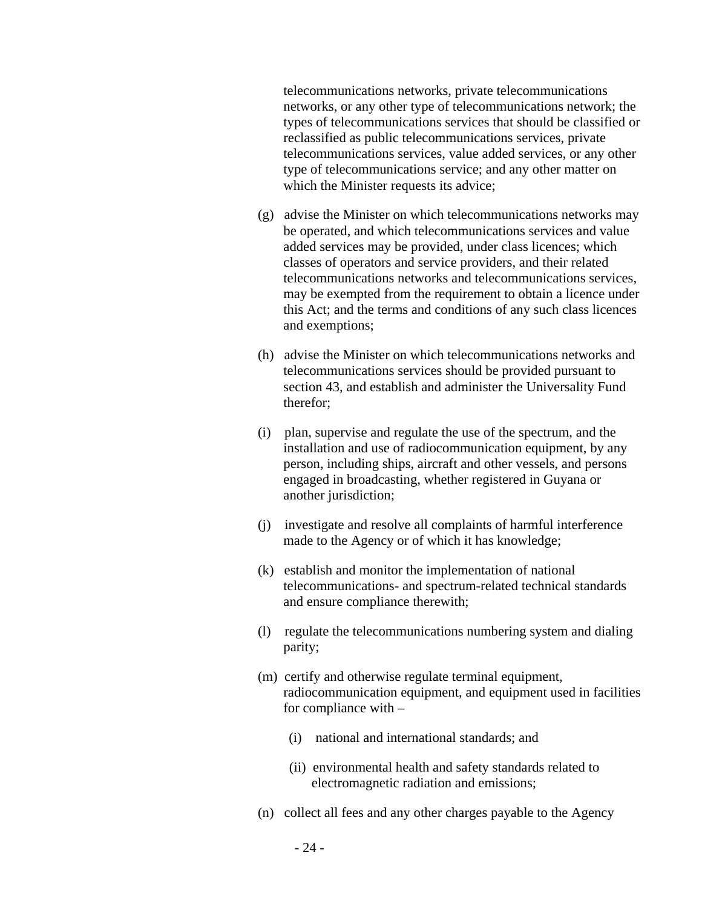telecommunications networks, private telecommunications networks, or any other type of telecommunications network; the types of telecommunications services that should be classified or reclassified as public telecommunications services, private telecommunications services, value added services, or any other type of telecommunications service; and any other matter on which the Minister requests its advice;

- (g) advise the Minister on which telecommunications networks may be operated, and which telecommunications services and value added services may be provided, under class licences; which classes of operators and service providers, and their related telecommunications networks and telecommunications services, may be exempted from the requirement to obtain a licence under this Act; and the terms and conditions of any such class licences and exemptions;
- (h) advise the Minister on which telecommunications networks and telecommunications services should be provided pursuant to section 43, and establish and administer the Universality Fund therefor;
- (i) plan, supervise and regulate the use of the spectrum, and the installation and use of radiocommunication equipment, by any person, including ships, aircraft and other vessels, and persons engaged in broadcasting, whether registered in Guyana or another jurisdiction;
- (j) investigate and resolve all complaints of harmful interference made to the Agency or of which it has knowledge;
- (k) establish and monitor the implementation of national telecommunications- and spectrum-related technical standards and ensure compliance therewith;
- (l) regulate the telecommunications numbering system and dialing parity;
- (m) certify and otherwise regulate terminal equipment, radiocommunication equipment, and equipment used in facilities for compliance with –
	- (i) national and international standards; and
	- (ii) environmental health and safety standards related to electromagnetic radiation and emissions;
- (n) collect all fees and any other charges payable to the Agency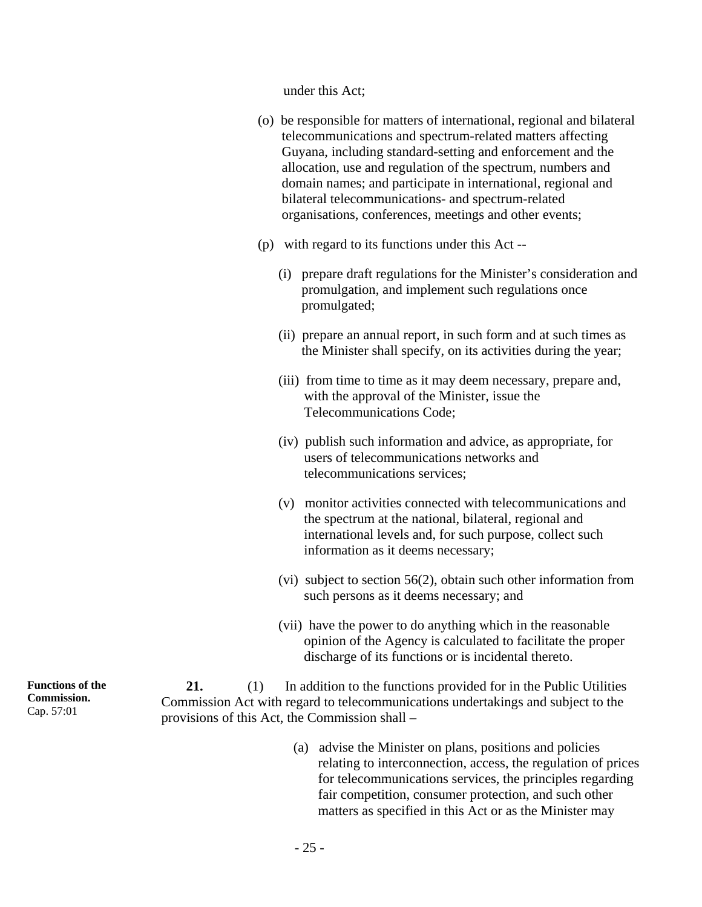under this Act;

- (o) be responsible for matters of international, regional and bilateral telecommunications and spectrum-related matters affecting Guyana, including standard-setting and enforcement and the allocation, use and regulation of the spectrum, numbers and domain names; and participate in international, regional and bilateral telecommunications- and spectrum-related organisations, conferences, meetings and other events;
- (p) with regard to its functions under this Act --
	- (i) prepare draft regulations for the Minister's consideration and promulgation, and implement such regulations once promulgated;
	- (ii) prepare an annual report, in such form and at such times as the Minister shall specify, on its activities during the year;
	- (iii) from time to time as it may deem necessary, prepare and, with the approval of the Minister, issue the Telecommunications Code;
	- (iv) publish such information and advice, as appropriate, for users of telecommunications networks and telecommunications services;
	- (v) monitor activities connected with telecommunications and the spectrum at the national, bilateral, regional and international levels and, for such purpose, collect such information as it deems necessary;
	- (vi) subject to section 56(2), obtain such other information from such persons as it deems necessary; and
	- (vii) have the power to do anything which in the reasonable opinion of the Agency is calculated to facilitate the proper discharge of its functions or is incidental thereto.

**21.** (1) In addition to the functions provided for in the Public Utilities Commission Act with regard to telecommunications undertakings and subject to the provisions of this Act, the Commission shall –

> (a) advise the Minister on plans, positions and policies relating to interconnection, access, the regulation of prices for telecommunications services, the principles regarding fair competition, consumer protection, and such other matters as specified in this Act or as the Minister may

**Functions of the Commission.**  Cap. 57:01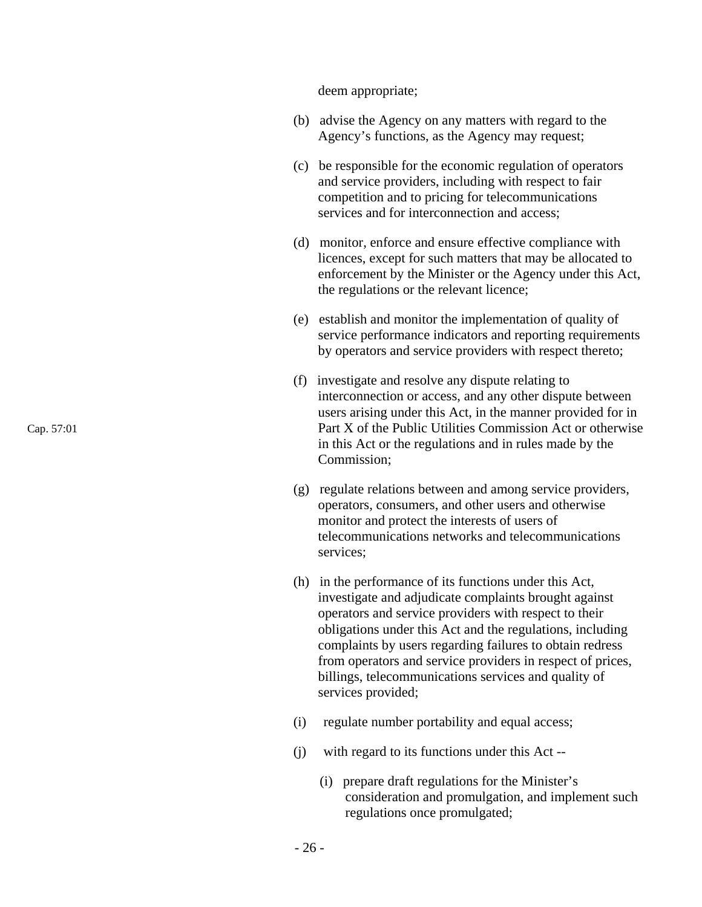deem appropriate;

- (b) advise the Agency on any matters with regard to the Agency's functions, as the Agency may request;
- (c) be responsible for the economic regulation of operators and service providers, including with respect to fair competition and to pricing for telecommunications services and for interconnection and access;
- (d) monitor, enforce and ensure effective compliance with licences, except for such matters that may be allocated to enforcement by the Minister or the Agency under this Act, the regulations or the relevant licence;
- (e) establish and monitor the implementation of quality of service performance indicators and reporting requirements by operators and service providers with respect thereto;
- (f) investigate and resolve any dispute relating to interconnection or access, and any other dispute between users arising under this Act, in the manner provided for in Part X of the Public Utilities Commission Act or otherwise in this Act or the regulations and in rules made by the Commission;
- (g) regulate relations between and among service providers, operators, consumers, and other users and otherwise monitor and protect the interests of users of telecommunications networks and telecommunications services;
- (h) in the performance of its functions under this Act, investigate and adjudicate complaints brought against operators and service providers with respect to their obligations under this Act and the regulations, including complaints by users regarding failures to obtain redress from operators and service providers in respect of prices, billings, telecommunications services and quality of services provided;
- (i) regulate number portability and equal access;
- (j) with regard to its functions under this Act --
	- (i) prepare draft regulations for the Minister's consideration and promulgation, and implement such regulations once promulgated;

Cap. 57:01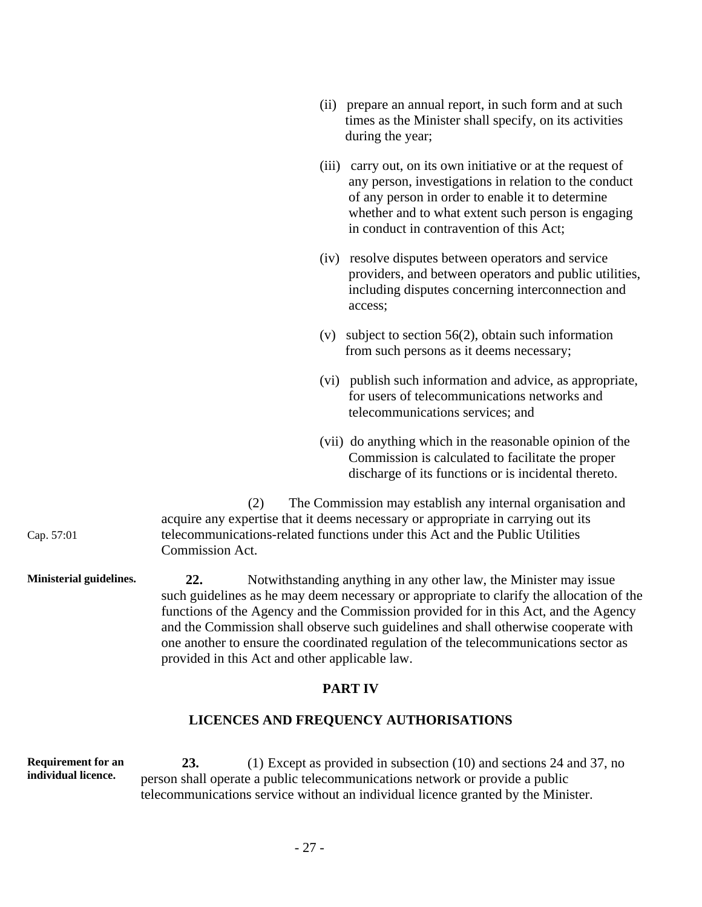|            |                        | (ii) prepare an annual report, in such form and at such<br>times as the Minister shall specify, on its activities<br>during the year;                                                                                                                                      |
|------------|------------------------|----------------------------------------------------------------------------------------------------------------------------------------------------------------------------------------------------------------------------------------------------------------------------|
|            |                        | (iii) carry out, on its own initiative or at the request of<br>any person, investigations in relation to the conduct<br>of any person in order to enable it to determine<br>whether and to what extent such person is engaging<br>in conduct in contravention of this Act; |
|            |                        | (iv) resolve disputes between operators and service<br>providers, and between operators and public utilities,<br>including disputes concerning interconnection and<br>access;                                                                                              |
|            | (v)                    | subject to section $56(2)$ , obtain such information<br>from such persons as it deems necessary;                                                                                                                                                                           |
|            |                        | (vi) publish such information and advice, as appropriate,<br>for users of telecommunications networks and<br>telecommunications services; and                                                                                                                              |
|            |                        | (vii) do anything which in the reasonable opinion of the<br>Commission is calculated to facilitate the proper<br>discharge of its functions or is incidental thereto.                                                                                                      |
| Cap. 57:01 | (2)<br>Commission Act. | The Commission may establish any internal organisation and<br>acquire any expertise that it deems necessary or appropriate in carrying out its<br>telecommunications-related functions under this Act and the Public Utilities                                             |

**Ministerial guidelines. 22.** Notwithstanding anything in any other law, the Minister may issue such guidelines as he may deem necessary or appropriate to clarify the allocation of the functions of the Agency and the Commission provided for in this Act, and the Agency and the Commission shall observe such guidelines and shall otherwise cooperate with one another to ensure the coordinated regulation of the telecommunications sector as provided in this Act and other applicable law.

### **PART IV**

# **LICENCES AND FREQUENCY AUTHORISATIONS**

**Requirement for an individual licence. 23.** (1) Except as provided in subsection (10) and sections 24 and 37, no person shall operate a public telecommunications network or provide a public telecommunications service without an individual licence granted by the Minister.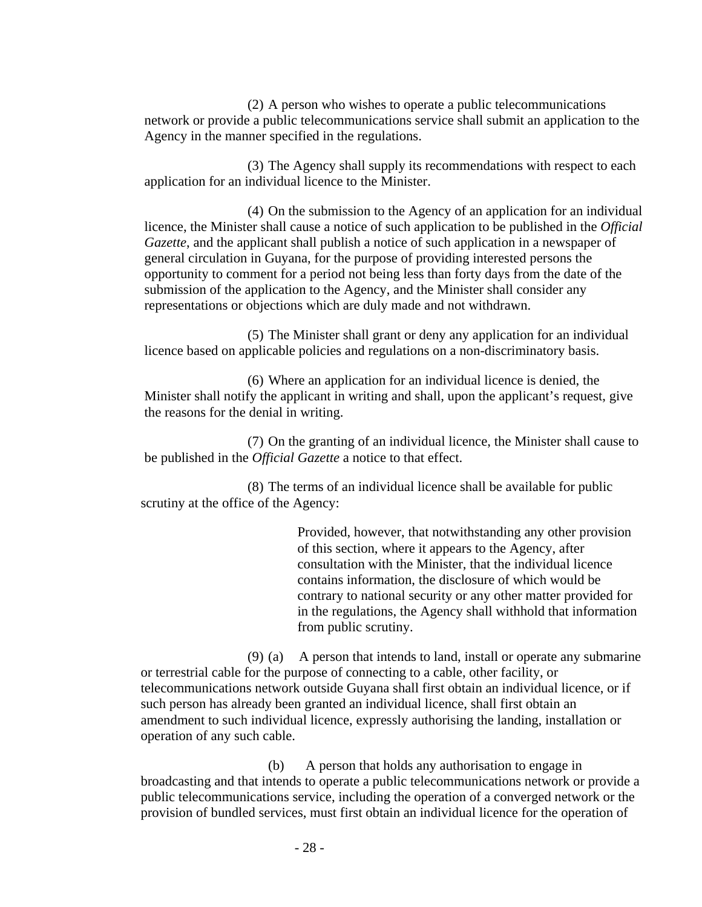(2) A person who wishes to operate a public telecommunications network or provide a public telecommunications service shall submit an application to the Agency in the manner specified in the regulations.

(3) The Agency shall supply its recommendations with respect to each application for an individual licence to the Minister.

(4) On the submission to the Agency of an application for an individual licence, the Minister shall cause a notice of such application to be published in the *Official Gazette*, and the applicant shall publish a notice of such application in a newspaper of general circulation in Guyana, for the purpose of providing interested persons the opportunity to comment for a period not being less than forty days from the date of the submission of the application to the Agency, and the Minister shall consider any representations or objections which are duly made and not withdrawn.

(5) The Minister shall grant or deny any application for an individual licence based on applicable policies and regulations on a non-discriminatory basis.

(6) Where an application for an individual licence is denied, the Minister shall notify the applicant in writing and shall, upon the applicant's request, give the reasons for the denial in writing.

(7) On the granting of an individual licence, the Minister shall cause to be published in the *Official Gazette* a notice to that effect.

(8) The terms of an individual licence shall be available for public scrutiny at the office of the Agency:

> Provided, however, that notwithstanding any other provision of this section, where it appears to the Agency, after consultation with the Minister, that the individual licence contains information, the disclosure of which would be contrary to national security or any other matter provided for in the regulations, the Agency shall withhold that information from public scrutiny.

(9) (a) A person that intends to land, install or operate any submarine or terrestrial cable for the purpose of connecting to a cable, other facility, or telecommunications network outside Guyana shall first obtain an individual licence, or if such person has already been granted an individual licence, shall first obtain an amendment to such individual licence, expressly authorising the landing, installation or operation of any such cable.

(b) A person that holds any authorisation to engage in broadcasting and that intends to operate a public telecommunications network or provide a public telecommunications service, including the operation of a converged network or the provision of bundled services, must first obtain an individual licence for the operation of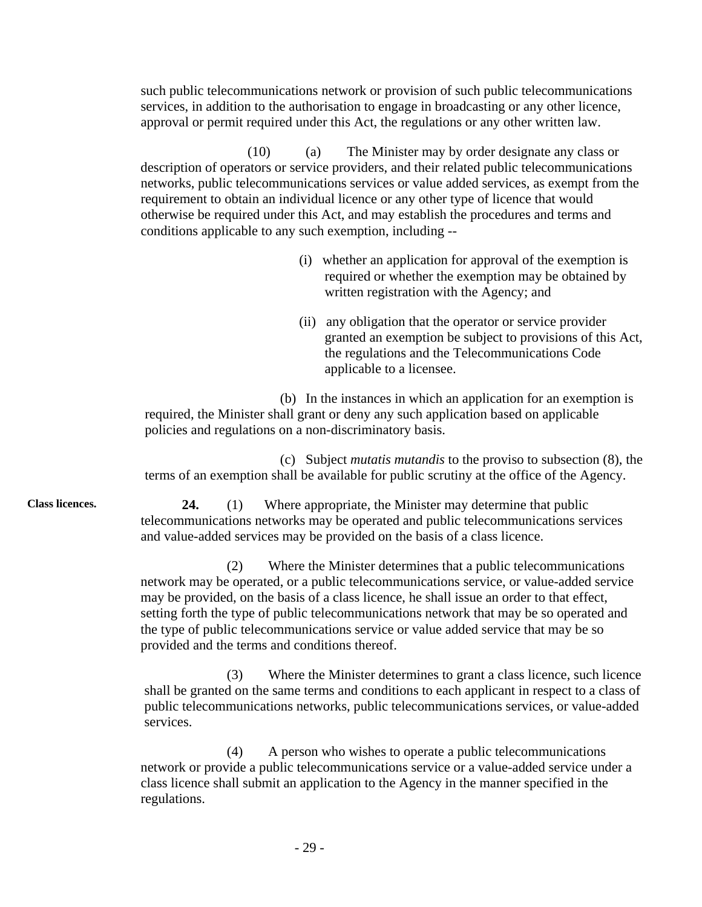such public telecommunications network or provision of such public telecommunications services, in addition to the authorisation to engage in broadcasting or any other licence, approval or permit required under this Act, the regulations or any other written law.

(10) (a) The Minister may by order designate any class or description of operators or service providers, and their related public telecommunications networks, public telecommunications services or value added services, as exempt from the requirement to obtain an individual licence or any other type of licence that would otherwise be required under this Act, and may establish the procedures and terms and conditions applicable to any such exemption, including --

- (i) whether an application for approval of the exemption is required or whether the exemption may be obtained by written registration with the Agency; and
- (ii) any obligation that the operator or service provider granted an exemption be subject to provisions of this Act, the regulations and the Telecommunications Code applicable to a licensee.

(b) In the instances in which an application for an exemption is required, the Minister shall grant or deny any such application based on applicable policies and regulations on a non-discriminatory basis.

(c) Subject *mutatis mutandis* to the proviso to subsection (8), the terms of an exemption shall be available for public scrutiny at the office of the Agency.

**Class licences. 24.** (1) Where appropriate, the Minister may determine that public telecommunications networks may be operated and public telecommunications services and value-added services may be provided on the basis of a class licence.

> (2) Where the Minister determines that a public telecommunications network may be operated, or a public telecommunications service, or value-added service may be provided, on the basis of a class licence, he shall issue an order to that effect, setting forth the type of public telecommunications network that may be so operated and the type of public telecommunications service or value added service that may be so provided and the terms and conditions thereof.

(3) Where the Minister determines to grant a class licence, such licence shall be granted on the same terms and conditions to each applicant in respect to a class of public telecommunications networks, public telecommunications services, or value-added services.

(4) A person who wishes to operate a public telecommunications network or provide a public telecommunications service or a value-added service under a class licence shall submit an application to the Agency in the manner specified in the regulations.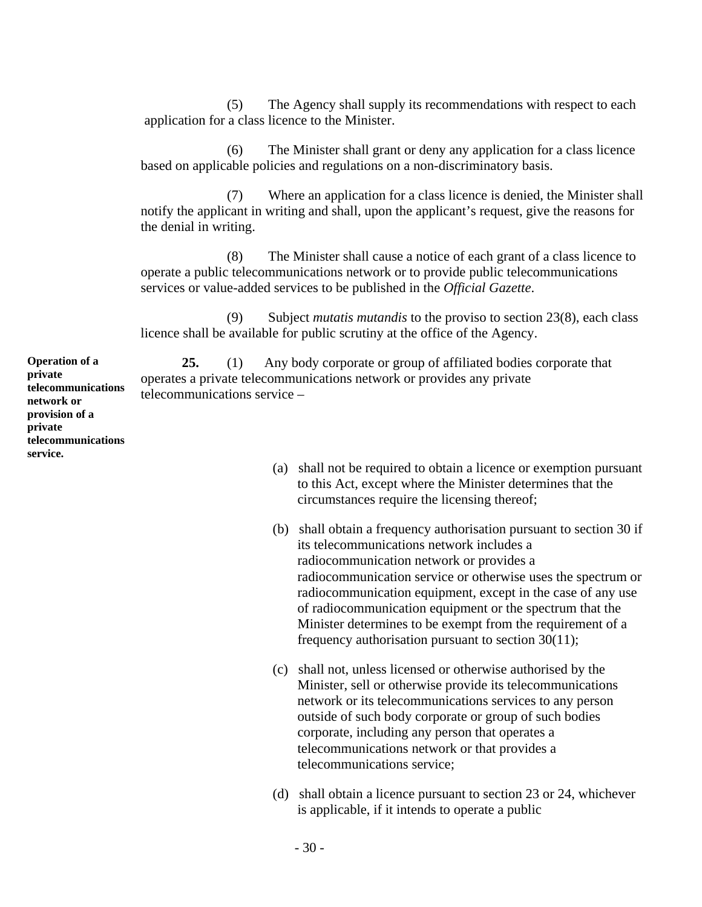(5) The Agency shall supply its recommendations with respect to each application for a class licence to the Minister.

(6) The Minister shall grant or deny any application for a class licence based on applicable policies and regulations on a non-discriminatory basis.

(7) Where an application for a class licence is denied, the Minister shall notify the applicant in writing and shall, upon the applicant's request, give the reasons for the denial in writing.

(8) The Minister shall cause a notice of each grant of a class licence to operate a public telecommunications network or to provide public telecommunications services or value-added services to be published in the *Official Gazette*.

(9) Subject *mutatis mutandis* to the proviso to section 23(8), each class licence shall be available for public scrutiny at the office of the Agency.

**25.** (1) Any body corporate or group of affiliated bodies corporate that operates a private telecommunications network or provides any private telecommunications service –

- (a) shall not be required to obtain a licence or exemption pursuant to this Act, except where the Minister determines that the circumstances require the licensing thereof;
- (b) shall obtain a frequency authorisation pursuant to section 30 if its telecommunications network includes a radiocommunication network or provides a radiocommunication service or otherwise uses the spectrum or radiocommunication equipment, except in the case of any use of radiocommunication equipment or the spectrum that the Minister determines to be exempt from the requirement of a frequency authorisation pursuant to section 30(11);
- (c) shall not, unless licensed or otherwise authorised by the Minister, sell or otherwise provide its telecommunications network or its telecommunications services to any person outside of such body corporate or group of such bodies corporate, including any person that operates a telecommunications network or that provides a telecommunications service;
- (d) shall obtain a licence pursuant to section 23 or 24, whichever is applicable, if it intends to operate a public

**Operation of a private telecommunications network or provision of a private telecommunications service.**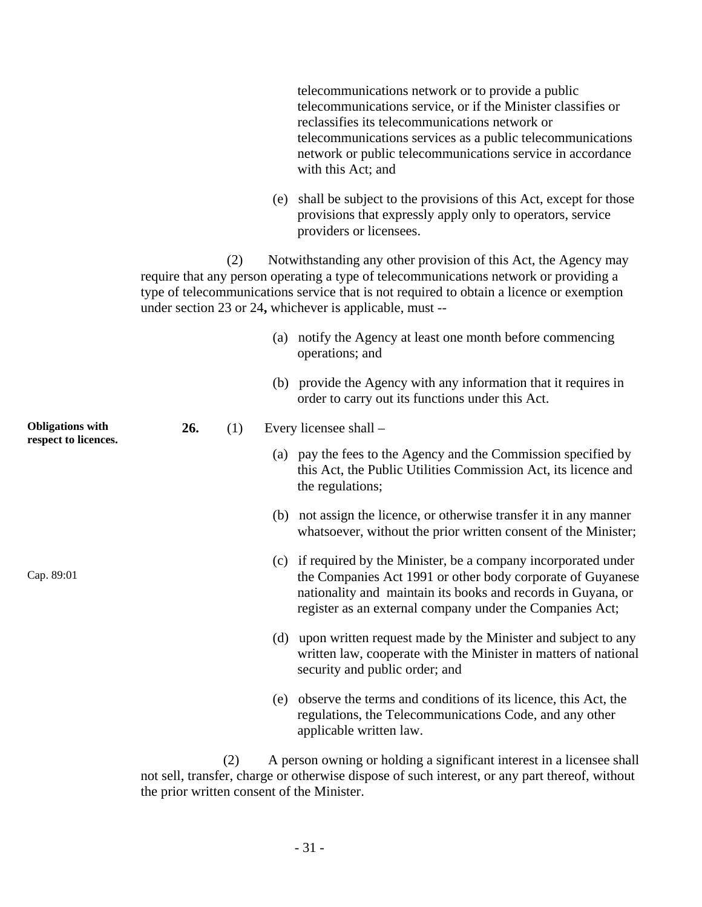telecommunications network or to provide a public telecommunications service, or if the Minister classifies or reclassifies its telecommunications network or telecommunications services as a public telecommunications network or public telecommunications service in accordance with this Act; and

(e) shall be subject to the provisions of this Act, except for those provisions that expressly apply only to operators, service providers or licensees.

(2) Notwithstanding any other provision of this Act, the Agency may require that any person operating a type of telecommunications network or providing a type of telecommunications service that is not required to obtain a licence or exemption under section 23 or 24**,** whichever is applicable, must --

|                                                 |     |     |     | (a) notify the Agency at least one month before commencing<br>operations; and                                                                                                                                                                              |
|-------------------------------------------------|-----|-----|-----|------------------------------------------------------------------------------------------------------------------------------------------------------------------------------------------------------------------------------------------------------------|
|                                                 |     |     |     | (b) provide the Agency with any information that it requires in<br>order to carry out its functions under this Act.                                                                                                                                        |
| <b>Obligations</b> with<br>respect to licences. | 26. | (1) |     | Every licensee shall -                                                                                                                                                                                                                                     |
|                                                 |     |     |     | (a) pay the fees to the Agency and the Commission specified by<br>this Act, the Public Utilities Commission Act, its licence and<br>the regulations;                                                                                                       |
|                                                 |     |     |     | (b) not assign the licence, or otherwise transfer it in any manner<br>whatsoever, without the prior written consent of the Minister;                                                                                                                       |
| Cap. 89:01                                      |     |     |     | (c) if required by the Minister, be a company incorporated under<br>the Companies Act 1991 or other body corporate of Guyanese<br>nationality and maintain its books and records in Guyana, or<br>register as an external company under the Companies Act; |
|                                                 |     |     |     | (d) upon written request made by the Minister and subject to any<br>written law, cooperate with the Minister in matters of national<br>security and public order; and                                                                                      |
|                                                 |     |     | (e) | observe the terms and conditions of its licence, this Act, the<br>regulations, the Telecommunications Code, and any other<br>applicable written law.                                                                                                       |

(2) A person owning or holding a significant interest in a licensee shall not sell, transfer, charge or otherwise dispose of such interest, or any part thereof, without the prior written consent of the Minister.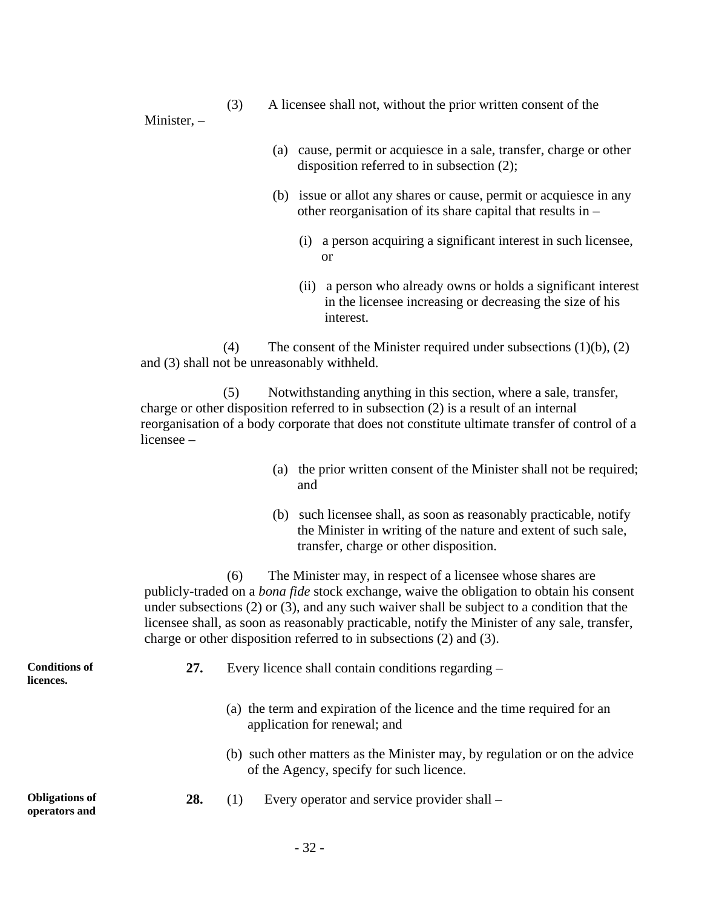(3) A licensee shall not, without the prior written consent of the

Minister, –

- (a) cause, permit or acquiesce in a sale, transfer, charge or other disposition referred to in subsection (2);
- (b) issue or allot any shares or cause, permit or acquiesce in any other reorganisation of its share capital that results in –
	- (i) a person acquiring a significant interest in such licensee, or
	- (ii) a person who already owns or holds a significant interest in the licensee increasing or decreasing the size of his interest.

(4) The consent of the Minister required under subsections  $(1)(b)$ ,  $(2)$ and (3) shall not be unreasonably withheld.

(5) Notwithstanding anything in this section, where a sale, transfer, charge or other disposition referred to in subsection (2) is a result of an internal reorganisation of a body corporate that does not constitute ultimate transfer of control of a licensee –

- (a) the prior written consent of the Minister shall not be required; and
- (b) such licensee shall, as soon as reasonably practicable, notify the Minister in writing of the nature and extent of such sale, transfer, charge or other disposition.

(6) The Minister may, in respect of a licensee whose shares are publicly-traded on a *bona fide* stock exchange, waive the obligation to obtain his consent under subsections (2) or (3), and any such waiver shall be subject to a condition that the licensee shall, as soon as reasonably practicable, notify the Minister of any sale, transfer, charge or other disposition referred to in subsections (2) and (3).

| <b>Conditions of</b><br>licences.      | 27. | Every licence shall contain conditions regarding –                                                                     |
|----------------------------------------|-----|------------------------------------------------------------------------------------------------------------------------|
|                                        |     | (a) the term and expiration of the licence and the time required for an<br>application for renewal; and                |
|                                        |     | (b) such other matters as the Minister may, by regulation or on the advice<br>of the Agency, specify for such licence. |
| <b>Obligations of</b><br>operators and | 28. | Every operator and service provider shall –<br>(1)                                                                     |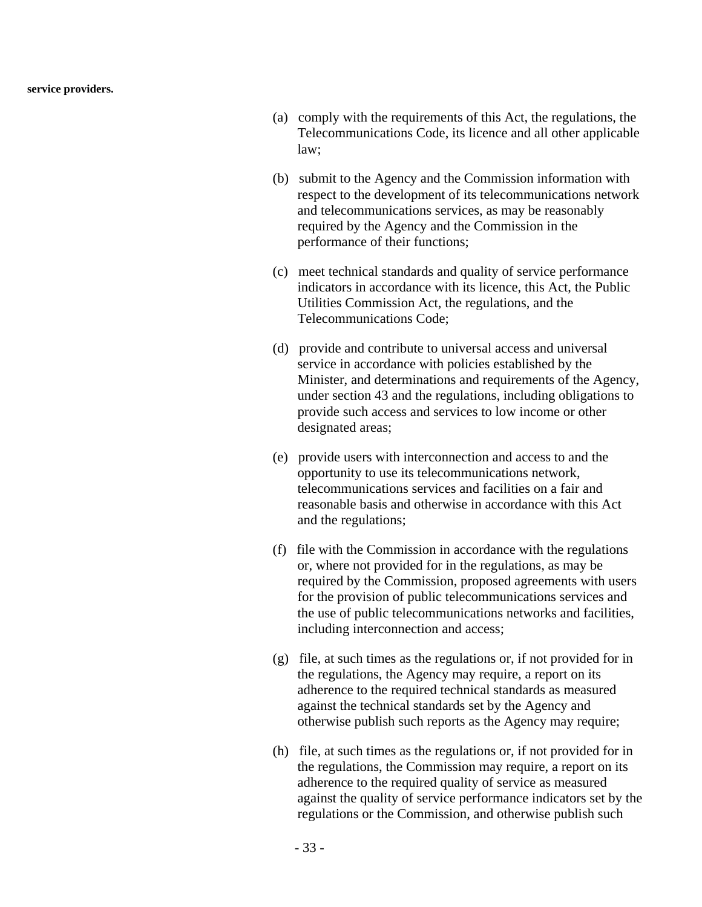**service providers.** 

- (a) comply with the requirements of this Act, the regulations, the Telecommunications Code, its licence and all other applicable law;
- (b) submit to the Agency and the Commission information with respect to the development of its telecommunications network and telecommunications services, as may be reasonably required by the Agency and the Commission in the performance of their functions;
- (c) meet technical standards and quality of service performance indicators in accordance with its licence, this Act, the Public Utilities Commission Act, the regulations, and the Telecommunications Code;
- (d) provide and contribute to universal access and universal service in accordance with policies established by the Minister, and determinations and requirements of the Agency, under section 43 and the regulations, including obligations to provide such access and services to low income or other designated areas;
- (e) provide users with interconnection and access to and the opportunity to use its telecommunications network, telecommunications services and facilities on a fair and reasonable basis and otherwise in accordance with this Act and the regulations;
- (f) file with the Commission in accordance with the regulations or, where not provided for in the regulations, as may be required by the Commission, proposed agreements with users for the provision of public telecommunications services and the use of public telecommunications networks and facilities, including interconnection and access;
- (g) file, at such times as the regulations or, if not provided for in the regulations, the Agency may require, a report on its adherence to the required technical standards as measured against the technical standards set by the Agency and otherwise publish such reports as the Agency may require;
- (h) file, at such times as the regulations or, if not provided for in the regulations, the Commission may require, a report on its adherence to the required quality of service as measured against the quality of service performance indicators set by the regulations or the Commission, and otherwise publish such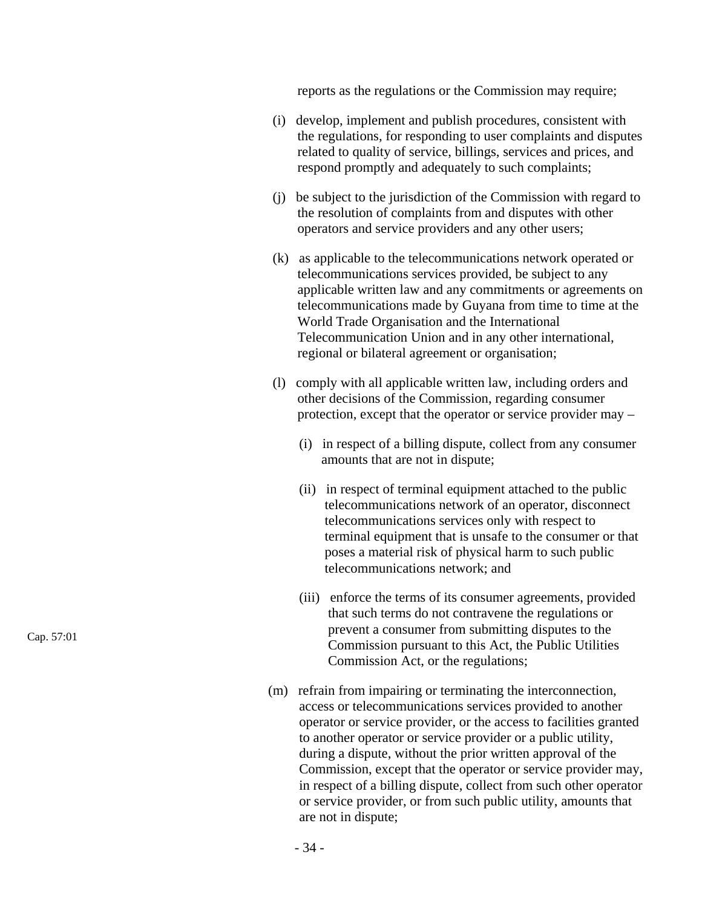reports as the regulations or the Commission may require;

- (i) develop, implement and publish procedures, consistent with the regulations, for responding to user complaints and disputes related to quality of service, billings, services and prices, and respond promptly and adequately to such complaints;
- (j) be subject to the jurisdiction of the Commission with regard to the resolution of complaints from and disputes with other operators and service providers and any other users;
- (k) as applicable to the telecommunications network operated or telecommunications services provided, be subject to any applicable written law and any commitments or agreements on telecommunications made by Guyana from time to time at the World Trade Organisation and the International Telecommunication Union and in any other international, regional or bilateral agreement or organisation;
- (l) comply with all applicable written law, including orders and other decisions of the Commission, regarding consumer protection, except that the operator or service provider may –
	- (i) in respect of a billing dispute, collect from any consumer amounts that are not in dispute;
	- (ii) in respect of terminal equipment attached to the public telecommunications network of an operator, disconnect telecommunications services only with respect to terminal equipment that is unsafe to the consumer or that poses a material risk of physical harm to such public telecommunications network; and
	- (iii) enforce the terms of its consumer agreements, provided that such terms do not contravene the regulations or prevent a consumer from submitting disputes to the Commission pursuant to this Act, the Public Utilities Commission Act, or the regulations;
- (m) refrain from impairing or terminating the interconnection, access or telecommunications services provided to another operator or service provider, or the access to facilities granted to another operator or service provider or a public utility, during a dispute, without the prior written approval of the Commission, except that the operator or service provider may, in respect of a billing dispute, collect from such other operator or service provider, or from such public utility, amounts that are not in dispute;

Cap. 57:01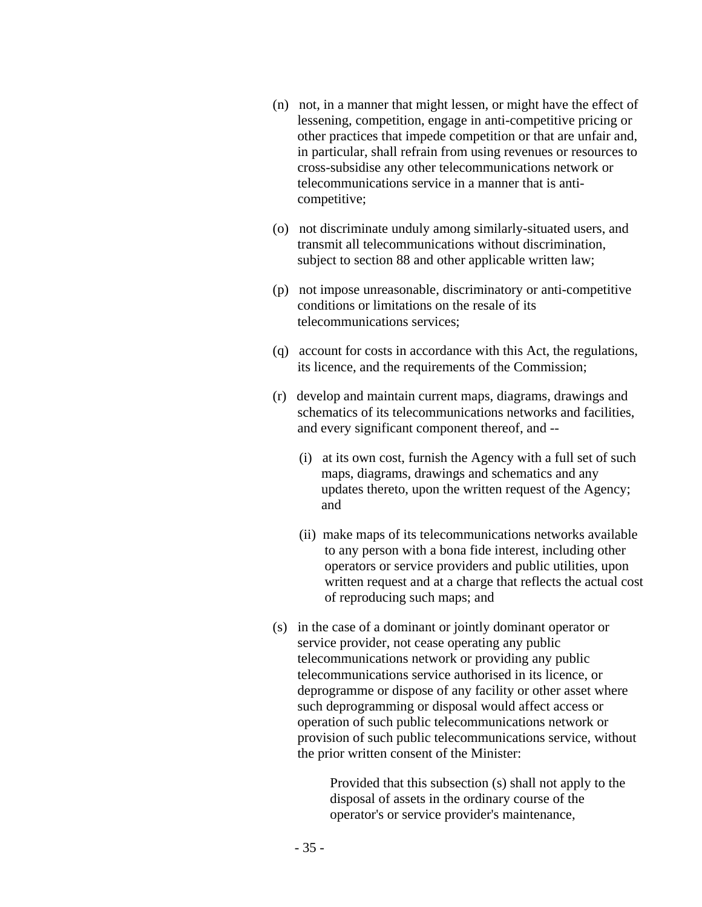- (n) not, in a manner that might lessen, or might have the effect of lessening, competition, engage in anti-competitive pricing or other practices that impede competition or that are unfair and, in particular, shall refrain from using revenues or resources to cross-subsidise any other telecommunications network or telecommunications service in a manner that is anticompetitive;
- (o) not discriminate unduly among similarly-situated users, and transmit all telecommunications without discrimination, subject to section 88 and other applicable written law;
- (p) not impose unreasonable, discriminatory or anti-competitive conditions or limitations on the resale of its telecommunications services;
- (q) account for costs in accordance with this Act, the regulations, its licence, and the requirements of the Commission;
- (r) develop and maintain current maps, diagrams, drawings and schematics of its telecommunications networks and facilities, and every significant component thereof, and --
	- (i) at its own cost, furnish the Agency with a full set of such maps, diagrams, drawings and schematics and any updates thereto, upon the written request of the Agency; and
	- (ii) make maps of its telecommunications networks available to any person with a bona fide interest, including other operators or service providers and public utilities, upon written request and at a charge that reflects the actual cost of reproducing such maps; and
- (s) in the case of a dominant or jointly dominant operator or service provider, not cease operating any public telecommunications network or providing any public telecommunications service authorised in its licence, or deprogramme or dispose of any facility or other asset where such deprogramming or disposal would affect access or operation of such public telecommunications network or provision of such public telecommunications service, without the prior written consent of the Minister:

Provided that this subsection (s) shall not apply to the disposal of assets in the ordinary course of the operator's or service provider's maintenance,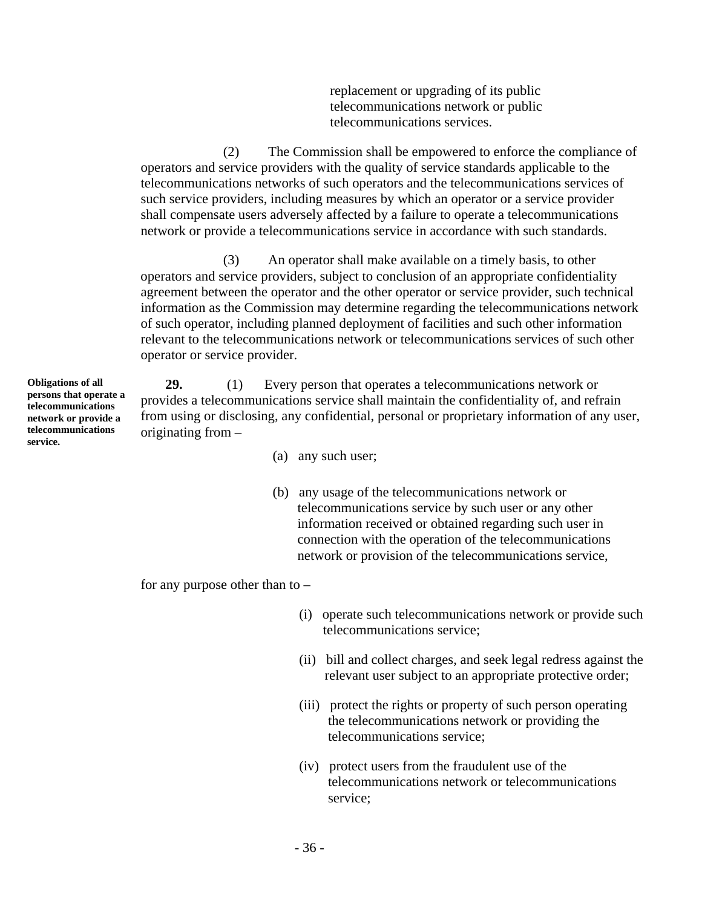replacement or upgrading of its public telecommunications network or public telecommunications services.

(2) The Commission shall be empowered to enforce the compliance of operators and service providers with the quality of service standards applicable to the telecommunications networks of such operators and the telecommunications services of such service providers, including measures by which an operator or a service provider shall compensate users adversely affected by a failure to operate a telecommunications network or provide a telecommunications service in accordance with such standards.

(3) An operator shall make available on a timely basis, to other operators and service providers, subject to conclusion of an appropriate confidentiality agreement between the operator and the other operator or service provider, such technical information as the Commission may determine regarding the telecommunications network of such operator, including planned deployment of facilities and such other information relevant to the telecommunications network or telecommunications services of such other operator or service provider.

**29.** (1) Every person that operates a telecommunications network or provides a telecommunications service shall maintain the confidentiality of, and refrain from using or disclosing, any confidential, personal or proprietary information of any user, originating from –

- (a) any such user;
- (b) any usage of the telecommunications network or telecommunications service by such user or any other information received or obtained regarding such user in connection with the operation of the telecommunications network or provision of the telecommunications service,

for any purpose other than to  $-$ 

- (i) operate such telecommunications network or provide such telecommunications service;
- (ii) bill and collect charges, and seek legal redress against the relevant user subject to an appropriate protective order;
- (iii) protect the rights or property of such person operating the telecommunications network or providing the telecommunications service;
- (iv) protect users from the fraudulent use of the telecommunications network or telecommunications service;

**Obligations of all persons that operate a telecommunications network or provide a telecommunications service.**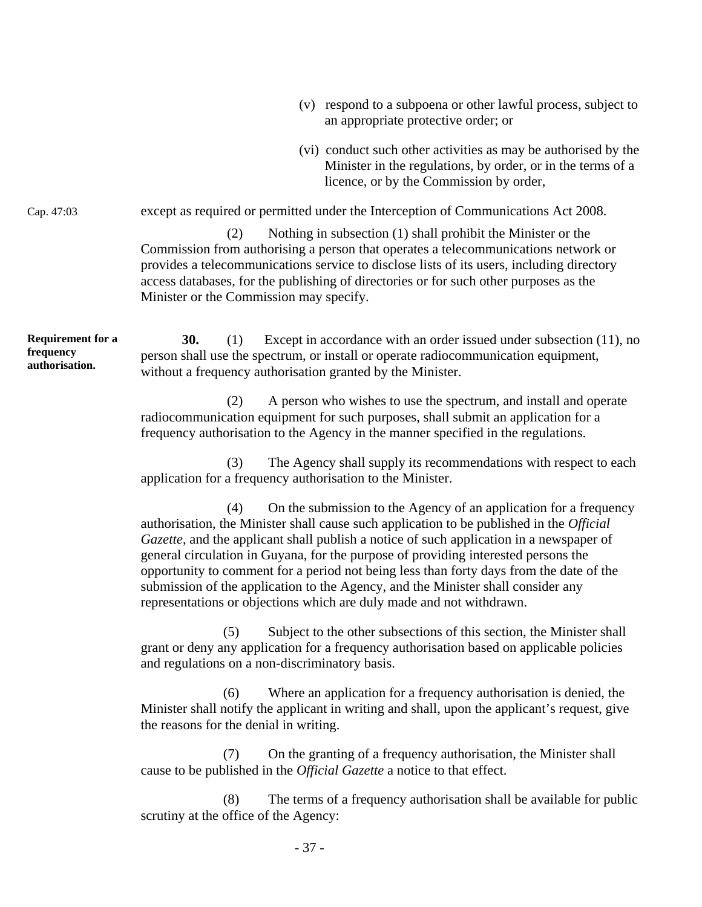- (v) respond to a subpoena or other lawful process, subject to an appropriate protective order; or
- (vi) conduct such other activities as may be authorised by the Minister in the regulations, by order, or in the terms of a licence, or by the Commission by order,

Cap. 47:03 except as required or permitted under the Interception of Communications Act 2008.

(2) Nothing in subsection (1) shall prohibit the Minister or the Commission from authorising a person that operates a telecommunications network or provides a telecommunications service to disclose lists of its users, including directory access databases, for the publishing of directories or for such other purposes as the Minister or the Commission may specify.

**Requirement for a frequency authorisation. 30.** (1) Except in accordance with an order issued under subsection (11), no person shall use the spectrum, or install or operate radiocommunication equipment, without a frequency authorisation granted by the Minister.

> (2) A person who wishes to use the spectrum, and install and operate radiocommunication equipment for such purposes, shall submit an application for a frequency authorisation to the Agency in the manner specified in the regulations.

(3) The Agency shall supply its recommendations with respect to each application for a frequency authorisation to the Minister.

(4) On the submission to the Agency of an application for a frequency authorisation, the Minister shall cause such application to be published in the *Official Gazette*, and the applicant shall publish a notice of such application in a newspaper of general circulation in Guyana, for the purpose of providing interested persons the opportunity to comment for a period not being less than forty days from the date of the submission of the application to the Agency, and the Minister shall consider any representations or objections which are duly made and not withdrawn.

(5) Subject to the other subsections of this section, the Minister shall grant or deny any application for a frequency authorisation based on applicable policies and regulations on a non-discriminatory basis.

(6) Where an application for a frequency authorisation is denied, the Minister shall notify the applicant in writing and shall, upon the applicant's request, give the reasons for the denial in writing.

(7) On the granting of a frequency authorisation, the Minister shall cause to be published in the *Official Gazette* a notice to that effect.

(8) The terms of a frequency authorisation shall be available for public scrutiny at the office of the Agency: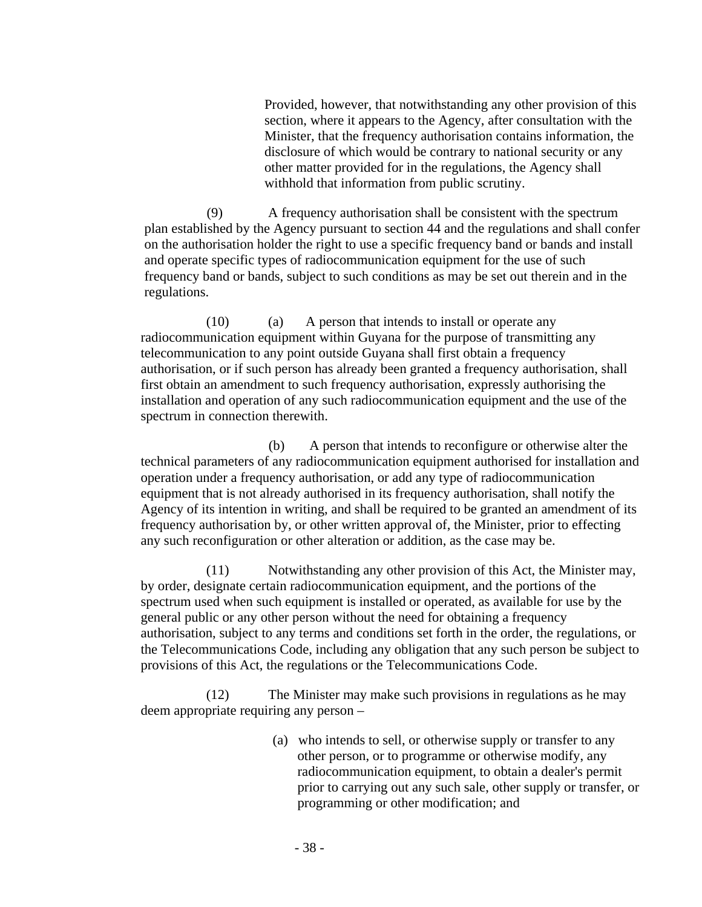Provided, however, that notwithstanding any other provision of this section, where it appears to the Agency, after consultation with the Minister, that the frequency authorisation contains information, the disclosure of which would be contrary to national security or any other matter provided for in the regulations, the Agency shall withhold that information from public scrutiny.

(9) A frequency authorisation shall be consistent with the spectrum plan established by the Agency pursuant to section 44 and the regulations and shall confer on the authorisation holder the right to use a specific frequency band or bands and install and operate specific types of radiocommunication equipment for the use of such frequency band or bands, subject to such conditions as may be set out therein and in the regulations.

(10) (a) A person that intends to install or operate any radiocommunication equipment within Guyana for the purpose of transmitting any telecommunication to any point outside Guyana shall first obtain a frequency authorisation, or if such person has already been granted a frequency authorisation, shall first obtain an amendment to such frequency authorisation, expressly authorising the installation and operation of any such radiocommunication equipment and the use of the spectrum in connection therewith.

(b) A person that intends to reconfigure or otherwise alter the technical parameters of any radiocommunication equipment authorised for installation and operation under a frequency authorisation, or add any type of radiocommunication equipment that is not already authorised in its frequency authorisation, shall notify the Agency of its intention in writing, and shall be required to be granted an amendment of its frequency authorisation by, or other written approval of, the Minister, prior to effecting any such reconfiguration or other alteration or addition, as the case may be.

(11) Notwithstanding any other provision of this Act, the Minister may, by order, designate certain radiocommunication equipment, and the portions of the spectrum used when such equipment is installed or operated, as available for use by the general public or any other person without the need for obtaining a frequency authorisation, subject to any terms and conditions set forth in the order, the regulations, or the Telecommunications Code, including any obligation that any such person be subject to provisions of this Act, the regulations or the Telecommunications Code.

(12) The Minister may make such provisions in regulations as he may deem appropriate requiring any person –

> (a) who intends to sell, or otherwise supply or transfer to any other person, or to programme or otherwise modify, any radiocommunication equipment, to obtain a dealer's permit prior to carrying out any such sale, other supply or transfer, or programming or other modification; and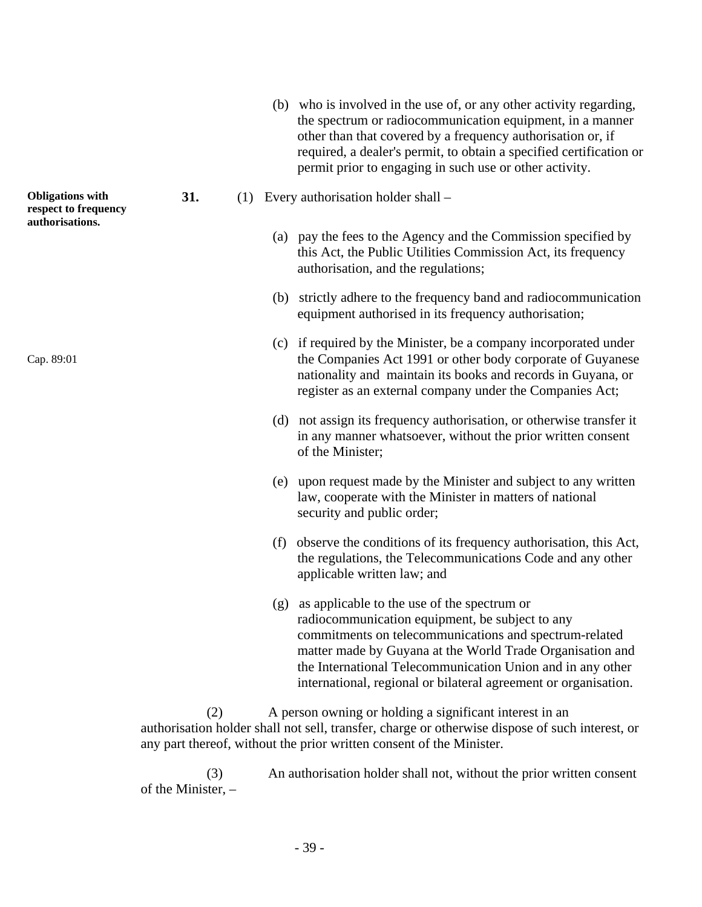- (b) who is involved in the use of, or any other activity regarding, the spectrum or radiocommunication equipment, in a manner other than that covered by a frequency authorisation or, if required, a dealer's permit, to obtain a specified certification or permit prior to engaging in such use or other activity.
- **31.** (1) Every authorisation holder shall
	- (a) pay the fees to the Agency and the Commission specified by this Act, the Public Utilities Commission Act, its frequency authorisation, and the regulations;
	- (b) strictly adhere to the frequency band and radiocommunication equipment authorised in its frequency authorisation;
	- (c) if required by the Minister, be a company incorporated under the Companies Act 1991 or other body corporate of Guyanese nationality and maintain its books and records in Guyana, or register as an external company under the Companies Act;
	- (d) not assign its frequency authorisation, or otherwise transfer it in any manner whatsoever, without the prior written consent of the Minister;
	- (e) upon request made by the Minister and subject to any written law, cooperate with the Minister in matters of national security and public order;
	- (f) observe the conditions of its frequency authorisation, this Act, the regulations, the Telecommunications Code and any other applicable written law; and
	- (g) as applicable to the use of the spectrum or radiocommunication equipment, be subject to any commitments on telecommunications and spectrum-related matter made by Guyana at the World Trade Organisation and the International Telecommunication Union and in any other international, regional or bilateral agreement or organisation.

(2) A person owning or holding a significant interest in an authorisation holder shall not sell, transfer, charge or otherwise dispose of such interest, or any part thereof, without the prior written consent of the Minister.

(3) An authorisation holder shall not, without the prior written consent of the Minister, –

**Obligations with respect to frequency authorisations.** 

Cap. 89:01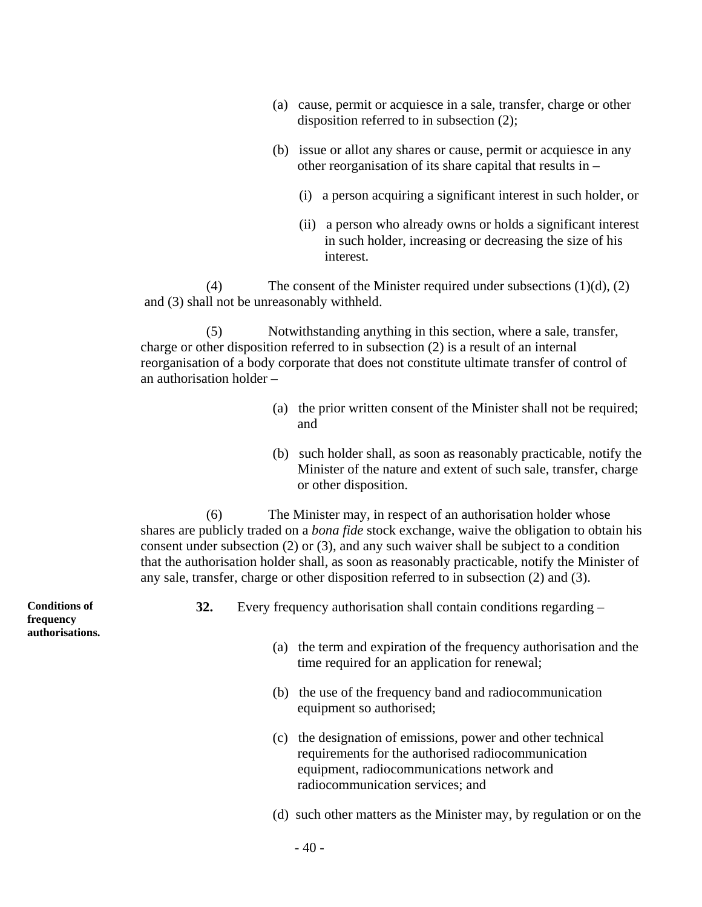- (a) cause, permit or acquiesce in a sale, transfer, charge or other disposition referred to in subsection (2);
- (b) issue or allot any shares or cause, permit or acquiesce in any other reorganisation of its share capital that results in –
	- (i) a person acquiring a significant interest in such holder, or
	- (ii) a person who already owns or holds a significant interest in such holder, increasing or decreasing the size of his interest.

(4) The consent of the Minister required under subsections  $(1)(d)$ ,  $(2)$ and (3) shall not be unreasonably withheld.

(5) Notwithstanding anything in this section, where a sale, transfer, charge or other disposition referred to in subsection (2) is a result of an internal reorganisation of a body corporate that does not constitute ultimate transfer of control of an authorisation holder –

- (a) the prior written consent of the Minister shall not be required; and
- (b) such holder shall, as soon as reasonably practicable, notify the Minister of the nature and extent of such sale, transfer, charge or other disposition.

(6) The Minister may, in respect of an authorisation holder whose shares are publicly traded on a *bona fide* stock exchange, waive the obligation to obtain his consent under subsection (2) or (3), and any such waiver shall be subject to a condition that the authorisation holder shall, as soon as reasonably practicable, notify the Minister of any sale, transfer, charge or other disposition referred to in subsection (2) and (3).

**Conditions of frequency authorisations.** 

- **32.** Every frequency authorisation shall contain conditions regarding
	- (a) the term and expiration of the frequency authorisation and the time required for an application for renewal;
	- (b) the use of the frequency band and radiocommunication equipment so authorised;
	- (c) the designation of emissions, power and other technical requirements for the authorised radiocommunication equipment, radiocommunications network and radiocommunication services; and
	- (d) such other matters as the Minister may, by regulation or on the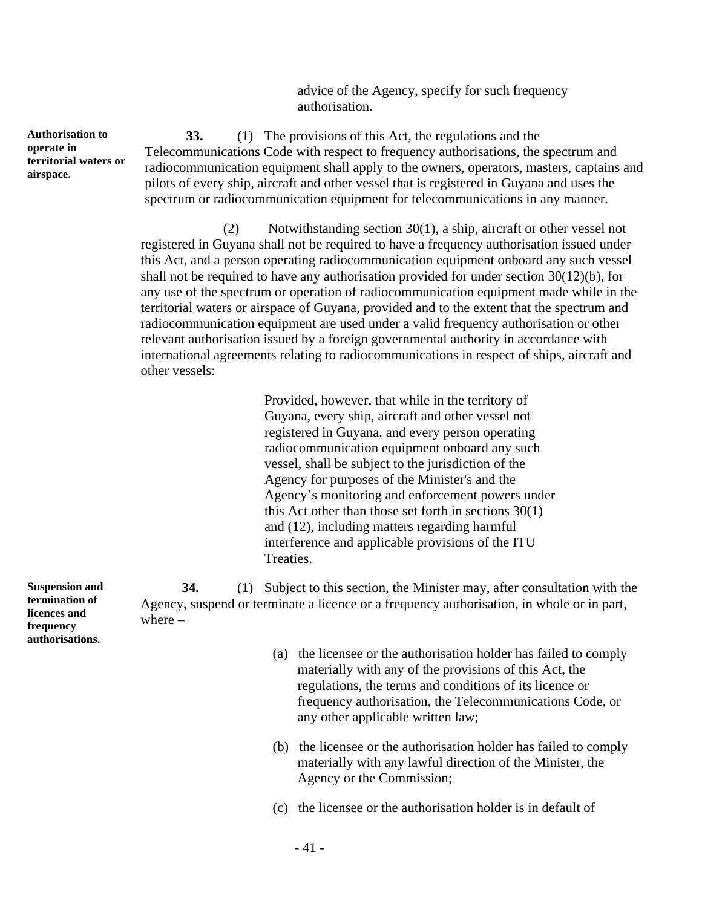advice of the Agency, specify for such frequency authorisation.

**33.** (1) The provisions of this Act, the regulations and the Telecommunications Code with respect to frequency authorisations, the spectrum and radiocommunication equipment shall apply to the owners, operators, masters, captains and pilots of every ship, aircraft and other vessel that is registered in Guyana and uses the spectrum or radiocommunication equipment for telecommunications in any manner.

(2) Notwithstanding section 30(1), a ship, aircraft or other vessel not registered in Guyana shall not be required to have a frequency authorisation issued under this Act, and a person operating radiocommunication equipment onboard any such vessel shall not be required to have any authorisation provided for under section 30(12)(b), for any use of the spectrum or operation of radiocommunication equipment made while in the territorial waters or airspace of Guyana, provided and to the extent that the spectrum and radiocommunication equipment are used under a valid frequency authorisation or other relevant authorisation issued by a foreign governmental authority in accordance with international agreements relating to radiocommunications in respect of ships, aircraft and other vessels:

> Provided, however, that while in the territory of Guyana, every ship, aircraft and other vessel not registered in Guyana, and every person operating radiocommunication equipment onboard any such vessel, shall be subject to the jurisdiction of the Agency for purposes of the Minister's and the Agency's monitoring and enforcement powers under this Act other than those set forth in sections 30(1) and (12), including matters regarding harmful interference and applicable provisions of the ITU Treaties.

**Suspension and 34.** (1) Subject to this section, the Minister may, after consultation with the Agency, suspend or terminate a licence or a frequency authorisation, in whole or in part, where –

- (a) the licensee or the authorisation holder has failed to comply materially with any of the provisions of this Act, the regulations, the terms and conditions of its licence or frequency authorisation, the Telecommunications Code, or any other applicable written law;
- (b) the licensee or the authorisation holder has failed to comply materially with any lawful direction of the Minister, the Agency or the Commission;
- (c) the licensee or the authorisation holder is in default of

**Authorisation to operate in territorial waters or airspace.** 

**termination of licences and frequency authorisations.**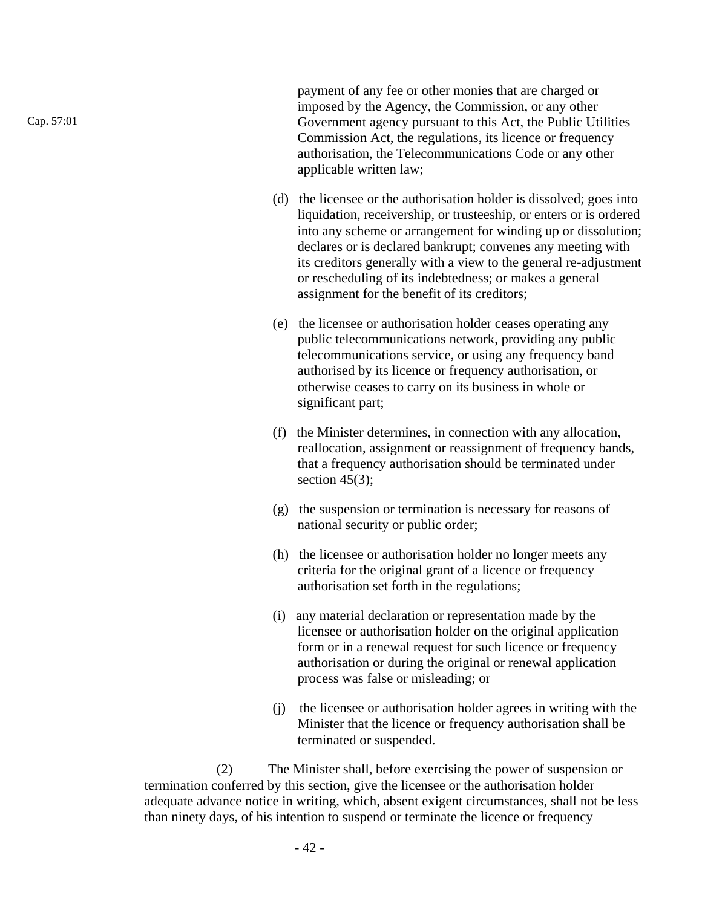payment of any fee or other monies that are charged or imposed by the Agency, the Commission, or any other Government agency pursuant to this Act, the Public Utilities Commission Act, the regulations, its licence or frequency authorisation, the Telecommunications Code or any other applicable written law;

- (d) the licensee or the authorisation holder is dissolved; goes into liquidation, receivership, or trusteeship, or enters or is ordered into any scheme or arrangement for winding up or dissolution; declares or is declared bankrupt; convenes any meeting with its creditors generally with a view to the general re-adjustment or rescheduling of its indebtedness; or makes a general assignment for the benefit of its creditors;
- (e) the licensee or authorisation holder ceases operating any public telecommunications network, providing any public telecommunications service, or using any frequency band authorised by its licence or frequency authorisation, or otherwise ceases to carry on its business in whole or significant part;
- (f) the Minister determines, in connection with any allocation, reallocation, assignment or reassignment of frequency bands, that a frequency authorisation should be terminated under section  $45(3)$ ;
- (g) the suspension or termination is necessary for reasons of national security or public order;
- (h) the licensee or authorisation holder no longer meets any criteria for the original grant of a licence or frequency authorisation set forth in the regulations;
- (i) any material declaration or representation made by the licensee or authorisation holder on the original application form or in a renewal request for such licence or frequency authorisation or during the original or renewal application process was false or misleading; or
- (j) the licensee or authorisation holder agrees in writing with the Minister that the licence or frequency authorisation shall be terminated or suspended.

(2) The Minister shall, before exercising the power of suspension or termination conferred by this section, give the licensee or the authorisation holder adequate advance notice in writing, which, absent exigent circumstances, shall not be less than ninety days, of his intention to suspend or terminate the licence or frequency

Cap. 57:01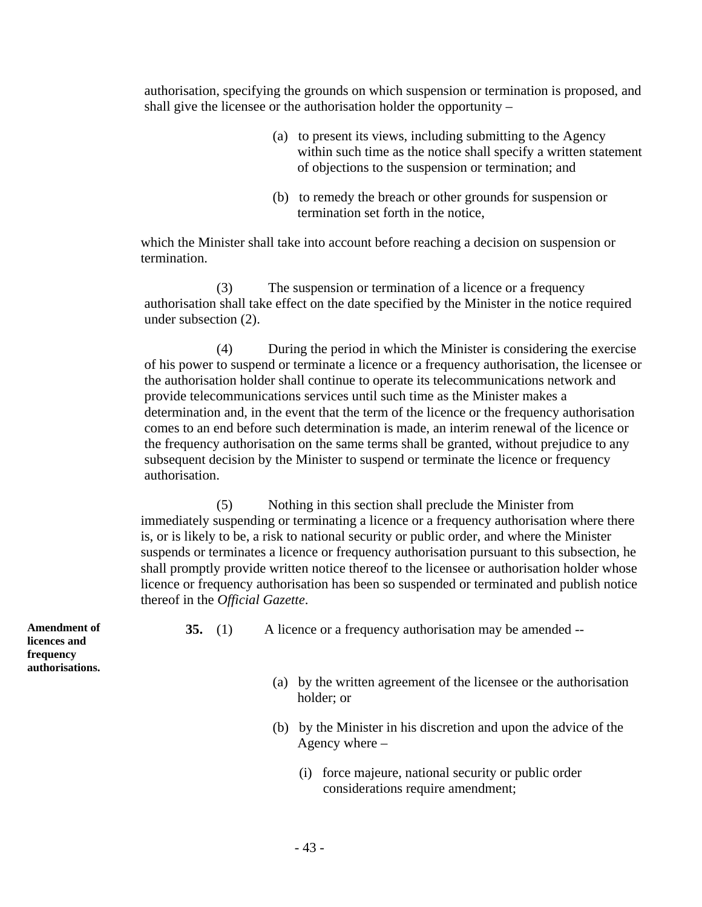authorisation, specifying the grounds on which suspension or termination is proposed, and shall give the licensee or the authorisation holder the opportunity –

- (a) to present its views, including submitting to the Agency within such time as the notice shall specify a written statement of objections to the suspension or termination; and
- (b) to remedy the breach or other grounds for suspension or termination set forth in the notice,

which the Minister shall take into account before reaching a decision on suspension or termination.

(3) The suspension or termination of a licence or a frequency authorisation shall take effect on the date specified by the Minister in the notice required under subsection (2).

(4) During the period in which the Minister is considering the exercise of his power to suspend or terminate a licence or a frequency authorisation, the licensee or the authorisation holder shall continue to operate its telecommunications network and provide telecommunications services until such time as the Minister makes a determination and, in the event that the term of the licence or the frequency authorisation comes to an end before such determination is made, an interim renewal of the licence or the frequency authorisation on the same terms shall be granted, without prejudice to any subsequent decision by the Minister to suspend or terminate the licence or frequency authorisation.

(5) Nothing in this section shall preclude the Minister from immediately suspending or terminating a licence or a frequency authorisation where there is, or is likely to be, a risk to national security or public order, and where the Minister suspends or terminates a licence or frequency authorisation pursuant to this subsection, he shall promptly provide written notice thereof to the licensee or authorisation holder whose licence or frequency authorisation has been so suspended or terminated and publish notice thereof in the *Official Gazette*.

**Amendment of licences and frequency authorisations.** 

- **35.** (1) A licence or a frequency authorisation may be amended --
	- (a) by the written agreement of the licensee or the authorisation holder; or
	- (b) by the Minister in his discretion and upon the advice of the Agency where –
		- (i) force majeure, national security or public order considerations require amendment;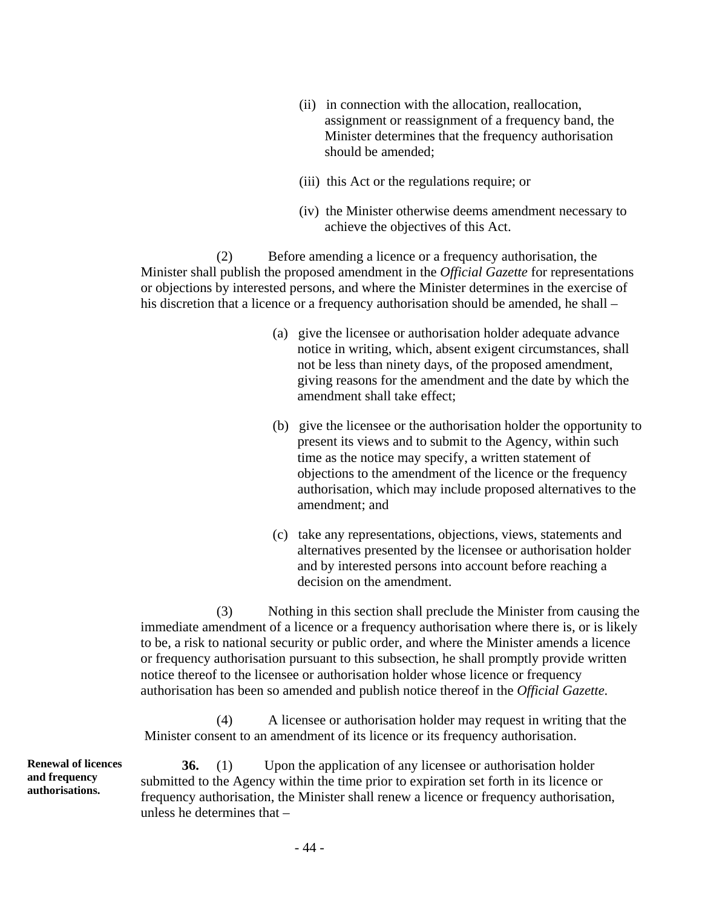- (ii) in connection with the allocation, reallocation, assignment or reassignment of a frequency band, the Minister determines that the frequency authorisation should be amended;
- (iii) this Act or the regulations require; or
- (iv) the Minister otherwise deems amendment necessary to achieve the objectives of this Act.

(2) Before amending a licence or a frequency authorisation, the Minister shall publish the proposed amendment in the *Official Gazette* for representations or objections by interested persons, and where the Minister determines in the exercise of his discretion that a licence or a frequency authorisation should be amended, he shall –

- (a) give the licensee or authorisation holder adequate advance notice in writing, which, absent exigent circumstances, shall not be less than ninety days, of the proposed amendment, giving reasons for the amendment and the date by which the amendment shall take effect;
- (b) give the licensee or the authorisation holder the opportunity to present its views and to submit to the Agency, within such time as the notice may specify, a written statement of objections to the amendment of the licence or the frequency authorisation, which may include proposed alternatives to the amendment; and
- (c) take any representations, objections, views, statements and alternatives presented by the licensee or authorisation holder and by interested persons into account before reaching a decision on the amendment.

(3) Nothing in this section shall preclude the Minister from causing the immediate amendment of a licence or a frequency authorisation where there is, or is likely to be, a risk to national security or public order, and where the Minister amends a licence or frequency authorisation pursuant to this subsection, he shall promptly provide written notice thereof to the licensee or authorisation holder whose licence or frequency authorisation has been so amended and publish notice thereof in the *Official Gazette*.

(4) A licensee or authorisation holder may request in writing that the Minister consent to an amendment of its licence or its frequency authorisation.

**Renewal of licences and frequency authorisations.** 

**36.** (1) Upon the application of any licensee or authorisation holder submitted to the Agency within the time prior to expiration set forth in its licence or frequency authorisation, the Minister shall renew a licence or frequency authorisation, unless he determines that –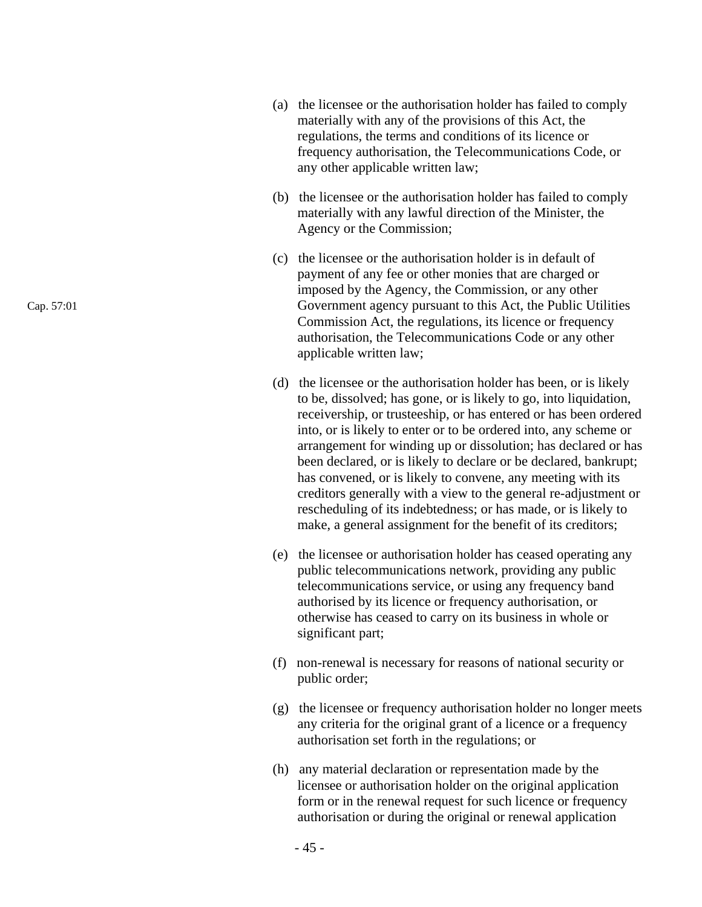- (a) the licensee or the authorisation holder has failed to comply materially with any of the provisions of this Act, the regulations, the terms and conditions of its licence or frequency authorisation, the Telecommunications Code, or any other applicable written law;
- (b) the licensee or the authorisation holder has failed to comply materially with any lawful direction of the Minister, the Agency or the Commission;
- (c) the licensee or the authorisation holder is in default of payment of any fee or other monies that are charged or imposed by the Agency, the Commission, or any other Government agency pursuant to this Act, the Public Utilities Commission Act, the regulations, its licence or frequency authorisation, the Telecommunications Code or any other applicable written law;
- (d) the licensee or the authorisation holder has been, or is likely to be, dissolved; has gone, or is likely to go, into liquidation, receivership, or trusteeship, or has entered or has been ordered into, or is likely to enter or to be ordered into, any scheme or arrangement for winding up or dissolution; has declared or has been declared, or is likely to declare or be declared, bankrupt; has convened, or is likely to convene, any meeting with its creditors generally with a view to the general re-adjustment or rescheduling of its indebtedness; or has made, or is likely to make, a general assignment for the benefit of its creditors;
- (e) the licensee or authorisation holder has ceased operating any public telecommunications network, providing any public telecommunications service, or using any frequency band authorised by its licence or frequency authorisation, or otherwise has ceased to carry on its business in whole or significant part;
- (f) non-renewal is necessary for reasons of national security or public order;
- (g) the licensee or frequency authorisation holder no longer meets any criteria for the original grant of a licence or a frequency authorisation set forth in the regulations; or
- (h) any material declaration or representation made by the licensee or authorisation holder on the original application form or in the renewal request for such licence or frequency authorisation or during the original or renewal application

Cap. 57:01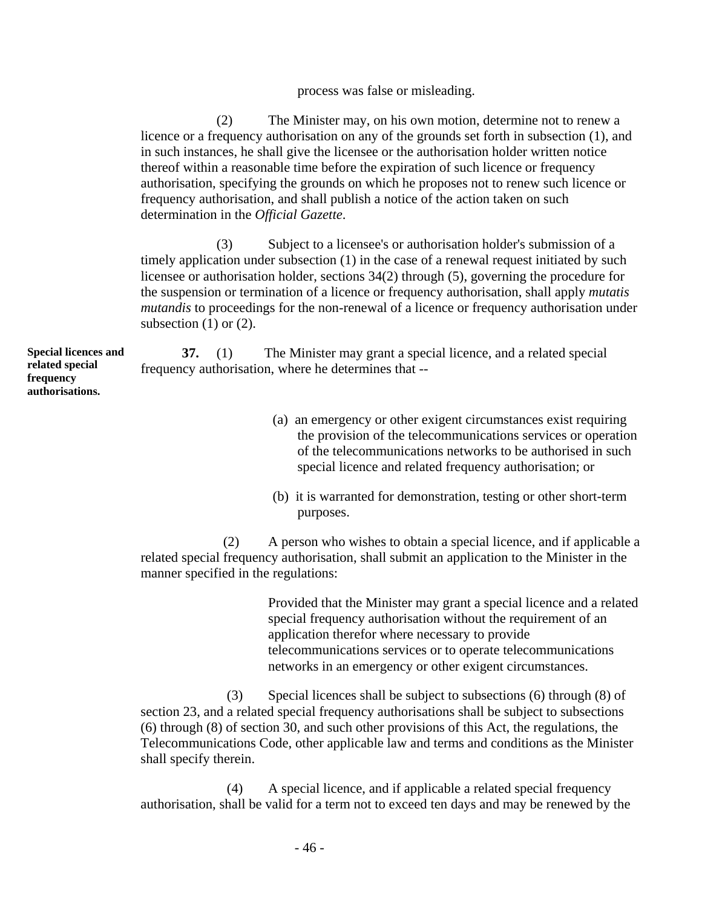process was false or misleading.

(2) The Minister may, on his own motion, determine not to renew a licence or a frequency authorisation on any of the grounds set forth in subsection (1), and in such instances, he shall give the licensee or the authorisation holder written notice thereof within a reasonable time before the expiration of such licence or frequency authorisation, specifying the grounds on which he proposes not to renew such licence or frequency authorisation, and shall publish a notice of the action taken on such determination in the *Official Gazette*.

(3) Subject to a licensee's or authorisation holder's submission of a timely application under subsection (1) in the case of a renewal request initiated by such licensee or authorisation holder, sections 34(2) through (5), governing the procedure for the suspension or termination of a licence or frequency authorisation, shall apply *mutatis mutandis* to proceedings for the non-renewal of a licence or frequency authorisation under subsection  $(1)$  or  $(2)$ .

**Special licences and related special frequency authorisations.** 

**37.** (1) The Minister may grant a special licence, and a related special frequency authorisation, where he determines that --

- (a) an emergency or other exigent circumstances exist requiring the provision of the telecommunications services or operation of the telecommunications networks to be authorised in such special licence and related frequency authorisation; or
- (b) it is warranted for demonstration, testing or other short-term purposes.

(2) A person who wishes to obtain a special licence, and if applicable a related special frequency authorisation, shall submit an application to the Minister in the manner specified in the regulations:

> Provided that the Minister may grant a special licence and a related special frequency authorisation without the requirement of an application therefor where necessary to provide telecommunications services or to operate telecommunications networks in an emergency or other exigent circumstances.

(3) Special licences shall be subject to subsections (6) through (8) of section 23, and a related special frequency authorisations shall be subject to subsections (6) through (8) of section 30, and such other provisions of this Act, the regulations, the Telecommunications Code, other applicable law and terms and conditions as the Minister shall specify therein.

(4) A special licence, and if applicable a related special frequency authorisation, shall be valid for a term not to exceed ten days and may be renewed by the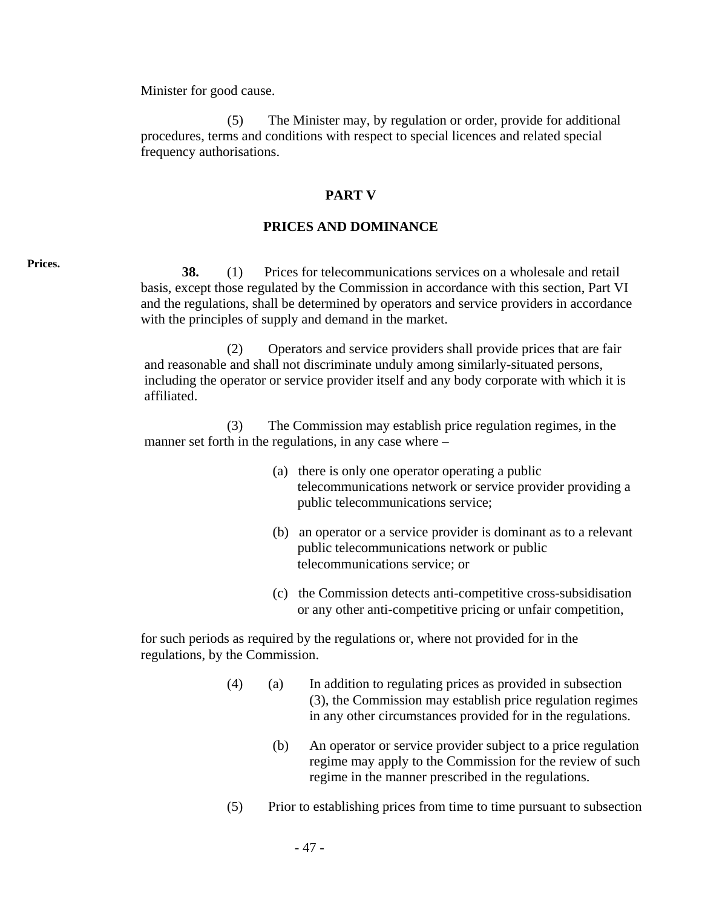Minister for good cause.

(5) The Minister may, by regulation or order, provide for additional procedures, terms and conditions with respect to special licences and related special frequency authorisations.

### **PART V**

### **PRICES AND DOMINANCE**

**Prices. 38.** (1) Prices for telecommunications services on a wholesale and retail basis, except those regulated by the Commission in accordance with this section, Part VI and the regulations, shall be determined by operators and service providers in accordance with the principles of supply and demand in the market.

> (2) Operators and service providers shall provide prices that are fair and reasonable and shall not discriminate unduly among similarly-situated persons, including the operator or service provider itself and any body corporate with which it is affiliated.

(3) The Commission may establish price regulation regimes, in the manner set forth in the regulations, in any case where –

- (a) there is only one operator operating a public telecommunications network or service provider providing a public telecommunications service;
- (b) an operator or a service provider is dominant as to a relevant public telecommunications network or public telecommunications service; or
- (c) the Commission detects anti-competitive cross-subsidisation or any other anti-competitive pricing or unfair competition,

for such periods as required by the regulations or, where not provided for in the regulations, by the Commission.

- (4) (a) In addition to regulating prices as provided in subsection (3), the Commission may establish price regulation regimes in any other circumstances provided for in the regulations.
	- (b) An operator or service provider subject to a price regulation regime may apply to the Commission for the review of such regime in the manner prescribed in the regulations.
- (5) Prior to establishing prices from time to time pursuant to subsection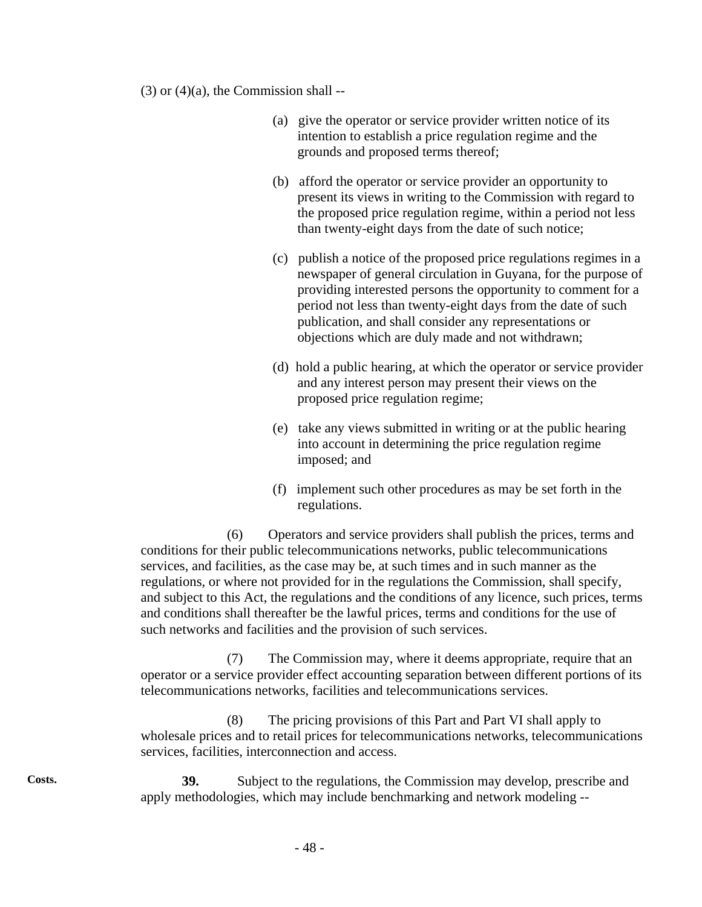$(3)$  or  $(4)(a)$ , the Commission shall --

- (a) give the operator or service provider written notice of its intention to establish a price regulation regime and the grounds and proposed terms thereof;
- (b) afford the operator or service provider an opportunity to present its views in writing to the Commission with regard to the proposed price regulation regime, within a period not less than twenty-eight days from the date of such notice;
- (c) publish a notice of the proposed price regulations regimes in a newspaper of general circulation in Guyana, for the purpose of providing interested persons the opportunity to comment for a period not less than twenty-eight days from the date of such publication, and shall consider any representations or objections which are duly made and not withdrawn;
- (d) hold a public hearing, at which the operator or service provider and any interest person may present their views on the proposed price regulation regime;
- (e) take any views submitted in writing or at the public hearing into account in determining the price regulation regime imposed; and
- (f) implement such other procedures as may be set forth in the regulations.

(6) Operators and service providers shall publish the prices, terms and conditions for their public telecommunications networks, public telecommunications services, and facilities, as the case may be, at such times and in such manner as the regulations, or where not provided for in the regulations the Commission, shall specify, and subject to this Act, the regulations and the conditions of any licence, such prices, terms and conditions shall thereafter be the lawful prices, terms and conditions for the use of such networks and facilities and the provision of such services.

(7) The Commission may, where it deems appropriate, require that an operator or a service provider effect accounting separation between different portions of its telecommunications networks, facilities and telecommunications services.

(8) The pricing provisions of this Part and Part VI shall apply to wholesale prices and to retail prices for telecommunications networks, telecommunications services, facilities, interconnection and access.

**Costs. 39.** Subject to the regulations, the Commission may develop, prescribe and apply methodologies, which may include benchmarking and network modeling --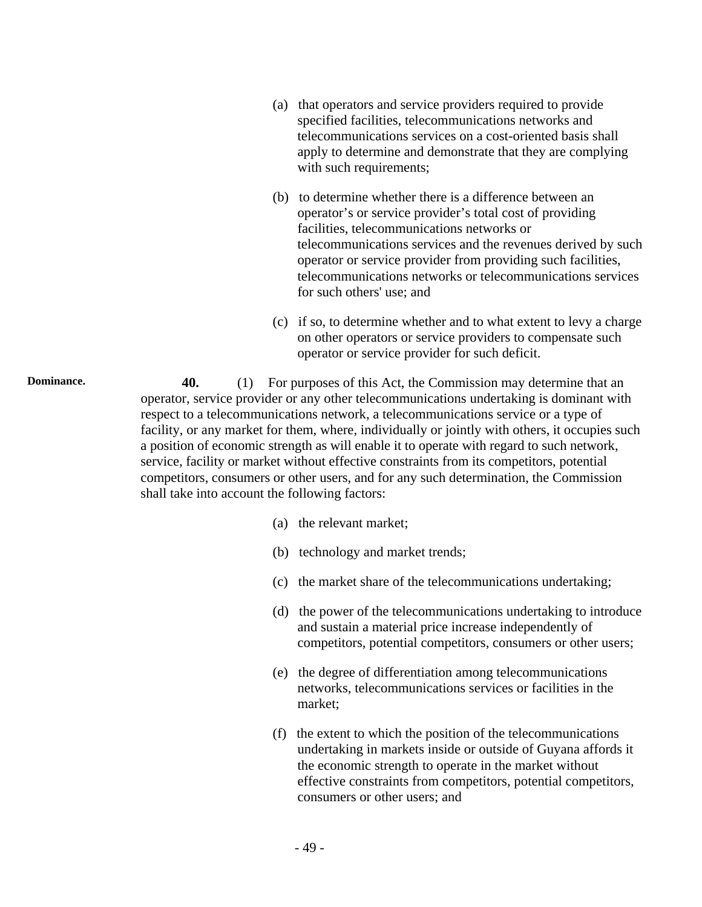- (a) that operators and service providers required to provide specified facilities, telecommunications networks and telecommunications services on a cost-oriented basis shall apply to determine and demonstrate that they are complying with such requirements;
- (b) to determine whether there is a difference between an operator's or service provider's total cost of providing facilities, telecommunications networks or telecommunications services and the revenues derived by such operator or service provider from providing such facilities, telecommunications networks or telecommunications services for such others' use; and
- (c) if so, to determine whether and to what extent to levy a charge on other operators or service providers to compensate such operator or service provider for such deficit.

**Dominance.** 40. (1) For purposes of this Act, the Commission may determine that an operator, service provider or any other telecommunications undertaking is dominant with respect to a telecommunications network, a telecommunications service or a type of facility, or any market for them, where, individually or jointly with others, it occupies such a position of economic strength as will enable it to operate with regard to such network, service, facility or market without effective constraints from its competitors, potential competitors, consumers or other users, and for any such determination, the Commission shall take into account the following factors:

- (a) the relevant market;
- (b) technology and market trends;
- (c) the market share of the telecommunications undertaking;
- (d) the power of the telecommunications undertaking to introduce and sustain a material price increase independently of competitors, potential competitors, consumers or other users;
- (e) the degree of differentiation among telecommunications networks, telecommunications services or facilities in the market;
- (f) the extent to which the position of the telecommunications undertaking in markets inside or outside of Guyana affords it the economic strength to operate in the market without effective constraints from competitors, potential competitors, consumers or other users; and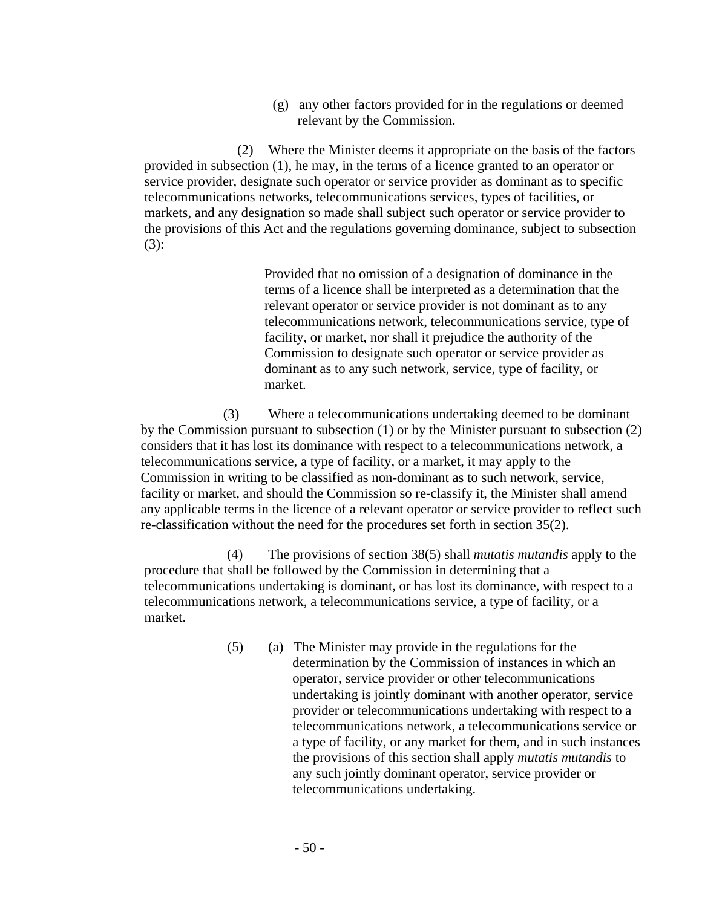(g) any other factors provided for in the regulations or deemed relevant by the Commission.

(2) Where the Minister deems it appropriate on the basis of the factors provided in subsection (1), he may, in the terms of a licence granted to an operator or service provider, designate such operator or service provider as dominant as to specific telecommunications networks, telecommunications services, types of facilities, or markets, and any designation so made shall subject such operator or service provider to the provisions of this Act and the regulations governing dominance, subject to subsection (3):

> Provided that no omission of a designation of dominance in the terms of a licence shall be interpreted as a determination that the relevant operator or service provider is not dominant as to any telecommunications network, telecommunications service, type of facility, or market, nor shall it prejudice the authority of the Commission to designate such operator or service provider as dominant as to any such network, service, type of facility, or market.

(3) Where a telecommunications undertaking deemed to be dominant by the Commission pursuant to subsection (1) or by the Minister pursuant to subsection (2) considers that it has lost its dominance with respect to a telecommunications network, a telecommunications service, a type of facility, or a market, it may apply to the Commission in writing to be classified as non-dominant as to such network, service, facility or market, and should the Commission so re-classify it, the Minister shall amend any applicable terms in the licence of a relevant operator or service provider to reflect such re-classification without the need for the procedures set forth in section 35(2).

(4) The provisions of section 38(5) shall *mutatis mutandis* apply to the procedure that shall be followed by the Commission in determining that a telecommunications undertaking is dominant, or has lost its dominance, with respect to a telecommunications network, a telecommunications service, a type of facility, or a market.

> (5) (a) The Minister may provide in the regulations for the determination by the Commission of instances in which an operator, service provider or other telecommunications undertaking is jointly dominant with another operator, service provider or telecommunications undertaking with respect to a telecommunications network, a telecommunications service or a type of facility, or any market for them, and in such instances the provisions of this section shall apply *mutatis mutandis* to any such jointly dominant operator, service provider or telecommunications undertaking.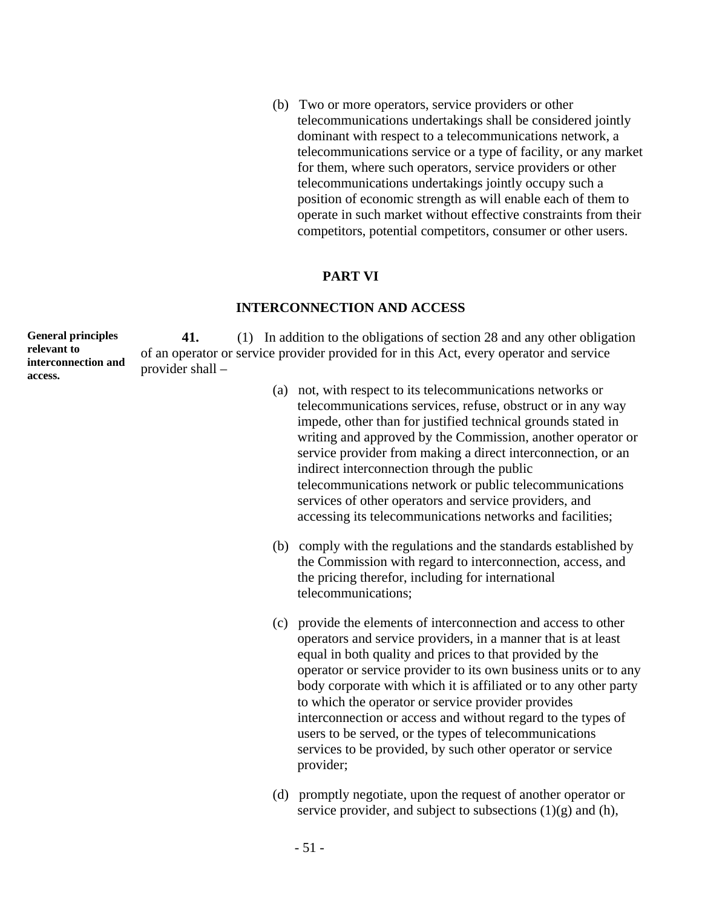(b) Two or more operators, service providers or other telecommunications undertakings shall be considered jointly dominant with respect to a telecommunications network, a telecommunications service or a type of facility, or any market for them, where such operators, service providers or other telecommunications undertakings jointly occupy such a position of economic strength as will enable each of them to operate in such market without effective constraints from their competitors, potential competitors, consumer or other users.

# **PART VI**

### **INTERCONNECTION AND ACCESS**

**General principles relevant to interconnection and access. 41.** (1) In addition to the obligations of section 28 and any other obligation of an operator or service provider provided for in this Act, every operator and service provider shall –

- (a) not, with respect to its telecommunications networks or telecommunications services, refuse, obstruct or in any way impede, other than for justified technical grounds stated in writing and approved by the Commission, another operator or service provider from making a direct interconnection, or an indirect interconnection through the public telecommunications network or public telecommunications services of other operators and service providers, and accessing its telecommunications networks and facilities;
- (b) comply with the regulations and the standards established by the Commission with regard to interconnection, access, and the pricing therefor, including for international telecommunications;
- (c) provide the elements of interconnection and access to other operators and service providers, in a manner that is at least equal in both quality and prices to that provided by the operator or service provider to its own business units or to any body corporate with which it is affiliated or to any other party to which the operator or service provider provides interconnection or access and without regard to the types of users to be served, or the types of telecommunications services to be provided, by such other operator or service provider;
- (d) promptly negotiate, upon the request of another operator or service provider, and subject to subsections  $(1)(g)$  and  $(h)$ ,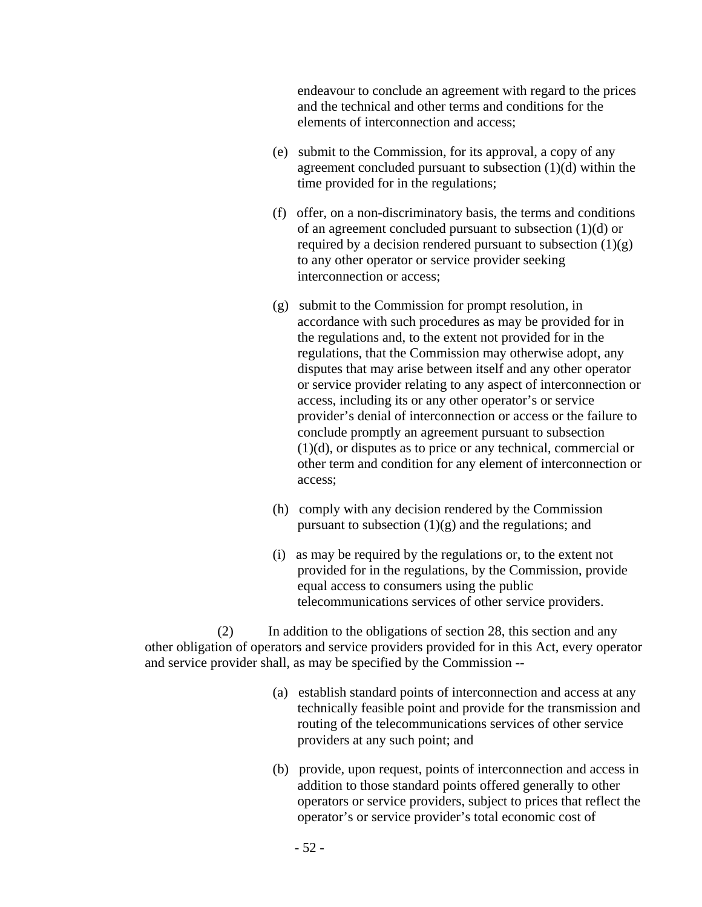endeavour to conclude an agreement with regard to the prices and the technical and other terms and conditions for the elements of interconnection and access;

- (e) submit to the Commission, for its approval, a copy of any agreement concluded pursuant to subsection (1)(d) within the time provided for in the regulations;
- (f) offer, on a non-discriminatory basis, the terms and conditions of an agreement concluded pursuant to subsection (1)(d) or required by a decision rendered pursuant to subsection  $(1)(g)$ to any other operator or service provider seeking interconnection or access;
- (g) submit to the Commission for prompt resolution, in accordance with such procedures as may be provided for in the regulations and, to the extent not provided for in the regulations, that the Commission may otherwise adopt, any disputes that may arise between itself and any other operator or service provider relating to any aspect of interconnection or access, including its or any other operator's or service provider's denial of interconnection or access or the failure to conclude promptly an agreement pursuant to subsection (1)(d), or disputes as to price or any technical, commercial or other term and condition for any element of interconnection or access;
- (h) comply with any decision rendered by the Commission pursuant to subsection  $(1)(g)$  and the regulations; and
- (i) as may be required by the regulations or, to the extent not provided for in the regulations, by the Commission, provide equal access to consumers using the public telecommunications services of other service providers.

(2) In addition to the obligations of section 28, this section and any other obligation of operators and service providers provided for in this Act, every operator and service provider shall, as may be specified by the Commission --

- (a) establish standard points of interconnection and access at any technically feasible point and provide for the transmission and routing of the telecommunications services of other service providers at any such point; and
- (b) provide, upon request, points of interconnection and access in addition to those standard points offered generally to other operators or service providers, subject to prices that reflect the operator's or service provider's total economic cost of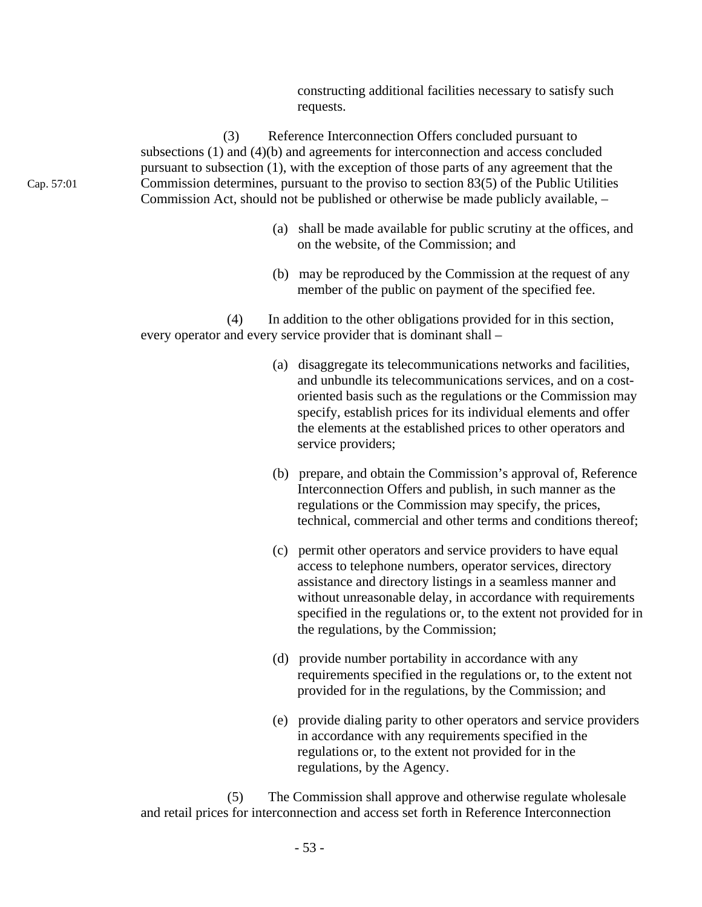constructing additional facilities necessary to satisfy such requests.

(3) Reference Interconnection Offers concluded pursuant to subsections (1) and (4)(b) and agreements for interconnection and access concluded pursuant to subsection (1), with the exception of those parts of any agreement that the Commission determines, pursuant to the proviso to section 83(5) of the Public Utilities Commission Act, should not be published or otherwise be made publicly available, –

- (a) shall be made available for public scrutiny at the offices, and on the website, of the Commission; and
- (b) may be reproduced by the Commission at the request of any member of the public on payment of the specified fee.

(4) In addition to the other obligations provided for in this section, every operator and every service provider that is dominant shall –

- (a) disaggregate its telecommunications networks and facilities, and unbundle its telecommunications services, and on a costoriented basis such as the regulations or the Commission may specify, establish prices for its individual elements and offer the elements at the established prices to other operators and service providers;
- (b) prepare, and obtain the Commission's approval of, Reference Interconnection Offers and publish, in such manner as the regulations or the Commission may specify, the prices, technical, commercial and other terms and conditions thereof;
- (c) permit other operators and service providers to have equal access to telephone numbers, operator services, directory assistance and directory listings in a seamless manner and without unreasonable delay, in accordance with requirements specified in the regulations or, to the extent not provided for in the regulations, by the Commission;
- (d) provide number portability in accordance with any requirements specified in the regulations or, to the extent not provided for in the regulations, by the Commission; and
- (e) provide dialing parity to other operators and service providers in accordance with any requirements specified in the regulations or, to the extent not provided for in the regulations, by the Agency.

(5) The Commission shall approve and otherwise regulate wholesale and retail prices for interconnection and access set forth in Reference Interconnection

Cap. 57:01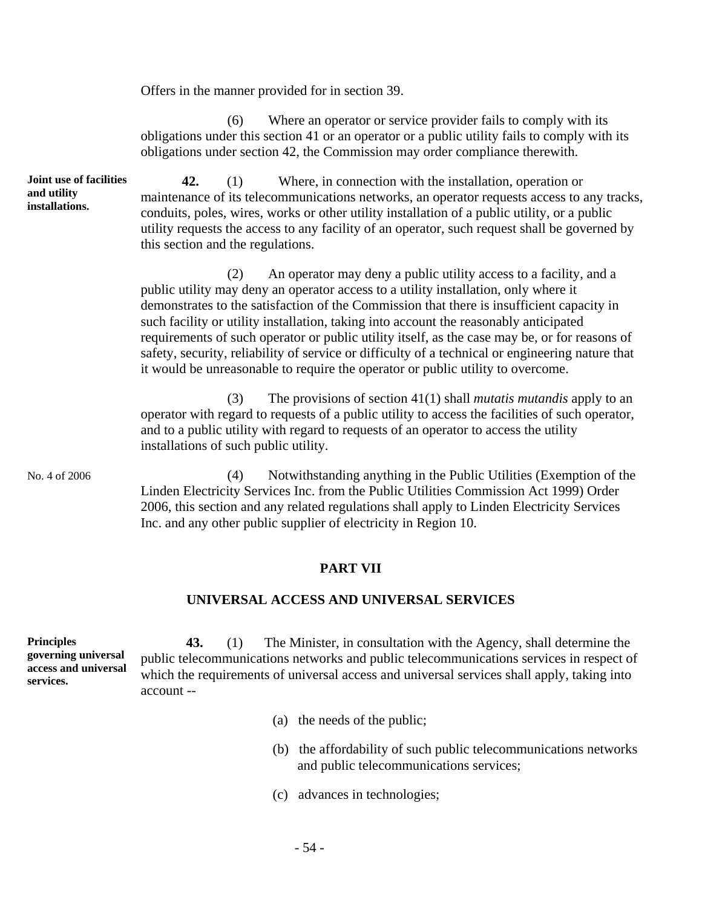Offers in the manner provided for in section 39.

(6) Where an operator or service provider fails to comply with its obligations under this section 41 or an operator or a public utility fails to comply with its obligations under section 42, the Commission may order compliance therewith.

**Joint use of facilities 42.** (1) Where, in connection with the installation, operation or maintenance of its telecommunications networks, an operator requests access to any tracks, conduits, poles, wires, works or other utility installation of a public utility, or a public utility requests the access to any facility of an operator, such request shall be governed by this section and the regulations.

> (2) An operator may deny a public utility access to a facility, and a public utility may deny an operator access to a utility installation, only where it demonstrates to the satisfaction of the Commission that there is insufficient capacity in such facility or utility installation, taking into account the reasonably anticipated requirements of such operator or public utility itself, as the case may be, or for reasons of safety, security, reliability of service or difficulty of a technical or engineering nature that it would be unreasonable to require the operator or public utility to overcome.

> (3) The provisions of section 41(1) shall *mutatis mutandis* apply to an operator with regard to requests of a public utility to access the facilities of such operator, and to a public utility with regard to requests of an operator to access the utility installations of such public utility.

No. 4 of 2006 (4) Notwithstanding anything in the Public Utilities (Exemption of the Linden Electricity Services Inc. from the Public Utilities Commission Act 1999) Order 2006, this section and any related regulations shall apply to Linden Electricity Services Inc. and any other public supplier of electricity in Region 10.

# **PART VII**

## **UNIVERSAL ACCESS AND UNIVERSAL SERVICES**

**governing universal access and universal services. 43.** (1) The Minister, in consultation with the Agency, shall determine the public telecommunications networks and public telecommunications services in respect of which the requirements of universal access and universal services shall apply, taking into account --

- (a) the needs of the public;
- (b) the affordability of such public telecommunications networks and public telecommunications services;
- (c) advances in technologies;

**and utility installations.** 

**Principles**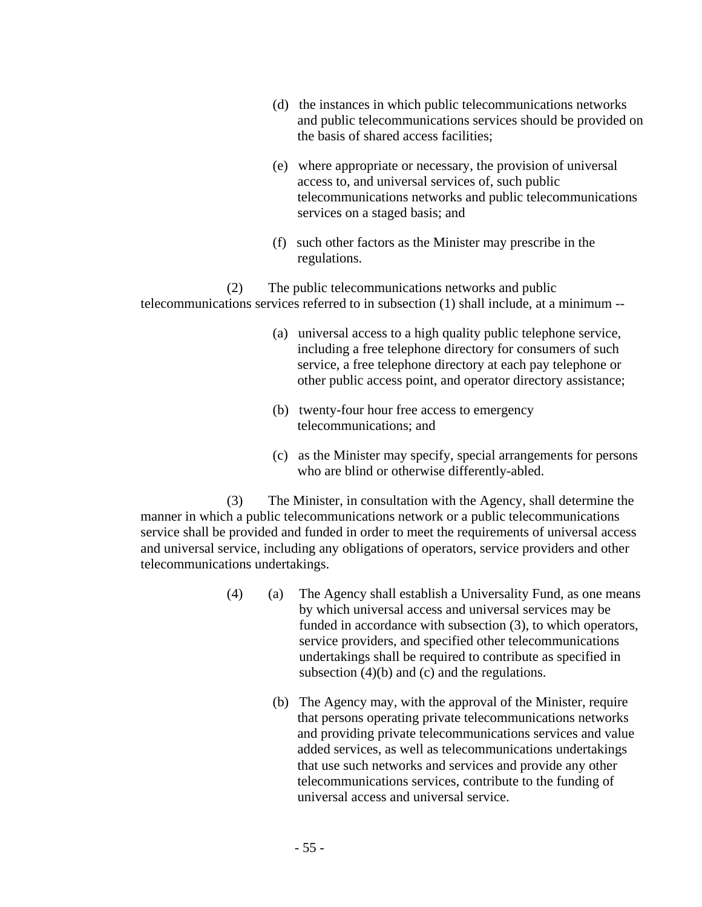- (d) the instances in which public telecommunications networks and public telecommunications services should be provided on the basis of shared access facilities;
- (e) where appropriate or necessary, the provision of universal access to, and universal services of, such public telecommunications networks and public telecommunications services on a staged basis; and
- (f) such other factors as the Minister may prescribe in the regulations.

(2) The public telecommunications networks and public telecommunications services referred to in subsection (1) shall include, at a minimum --

- (a) universal access to a high quality public telephone service, including a free telephone directory for consumers of such service, a free telephone directory at each pay telephone or other public access point, and operator directory assistance;
- (b) twenty-four hour free access to emergency telecommunications; and
- (c) as the Minister may specify, special arrangements for persons who are blind or otherwise differently-abled.

(3) The Minister, in consultation with the Agency, shall determine the manner in which a public telecommunications network or a public telecommunications service shall be provided and funded in order to meet the requirements of universal access and universal service, including any obligations of operators, service providers and other telecommunications undertakings.

- (4) (a) The Agency shall establish a Universality Fund, as one means by which universal access and universal services may be funded in accordance with subsection (3), to which operators, service providers, and specified other telecommunications undertakings shall be required to contribute as specified in subsection (4)(b) and (c) and the regulations.
	- (b) The Agency may, with the approval of the Minister, require that persons operating private telecommunications networks and providing private telecommunications services and value added services, as well as telecommunications undertakings that use such networks and services and provide any other telecommunications services, contribute to the funding of universal access and universal service.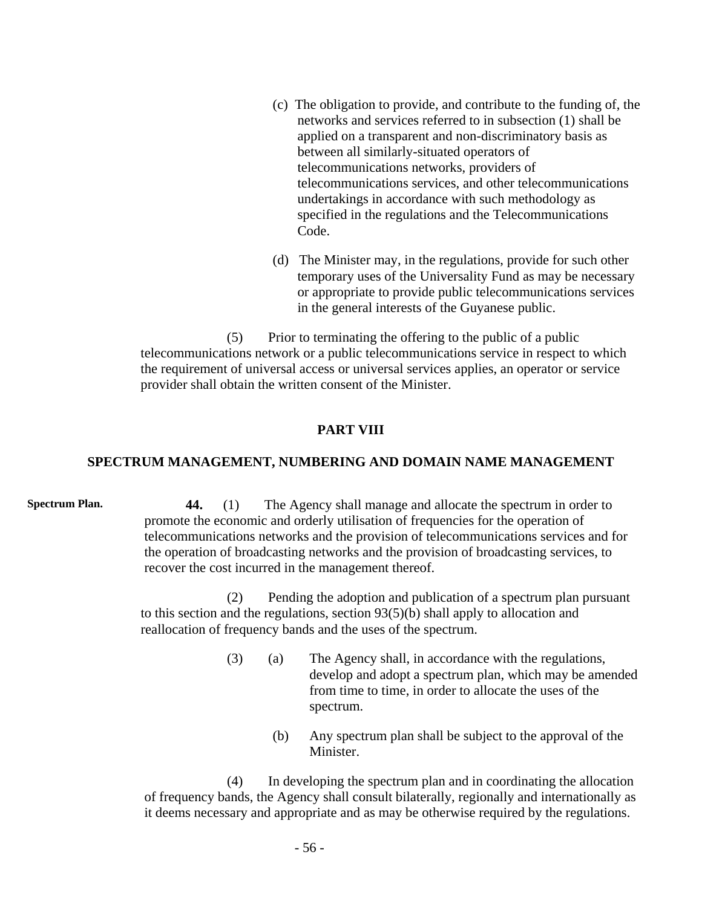- (c) The obligation to provide, and contribute to the funding of, the networks and services referred to in subsection (1) shall be applied on a transparent and non-discriminatory basis as between all similarly-situated operators of telecommunications networks, providers of telecommunications services, and other telecommunications undertakings in accordance with such methodology as specified in the regulations and the Telecommunications Code.
- (d) The Minister may, in the regulations, provide for such other temporary uses of the Universality Fund as may be necessary or appropriate to provide public telecommunications services in the general interests of the Guyanese public.

(5) Prior to terminating the offering to the public of a public telecommunications network or a public telecommunications service in respect to which the requirement of universal access or universal services applies, an operator or service provider shall obtain the written consent of the Minister.

## **PART VIII**

## **SPECTRUM MANAGEMENT, NUMBERING AND DOMAIN NAME MANAGEMENT**

**Spectrum Plan.** 44. (1) The Agency shall manage and allocate the spectrum in order to promote the economic and orderly utilisation of frequencies for the operation of telecommunications networks and the provision of telecommunications services and for the operation of broadcasting networks and the provision of broadcasting services, to recover the cost incurred in the management thereof.

> (2) Pending the adoption and publication of a spectrum plan pursuant to this section and the regulations, section 93(5)(b) shall apply to allocation and reallocation of frequency bands and the uses of the spectrum.

- (3) (a) The Agency shall, in accordance with the regulations, develop and adopt a spectrum plan, which may be amended from time to time, in order to allocate the uses of the spectrum.
	- (b) Any spectrum plan shall be subject to the approval of the Minister.

(4) In developing the spectrum plan and in coordinating the allocation of frequency bands, the Agency shall consult bilaterally, regionally and internationally as it deems necessary and appropriate and as may be otherwise required by the regulations.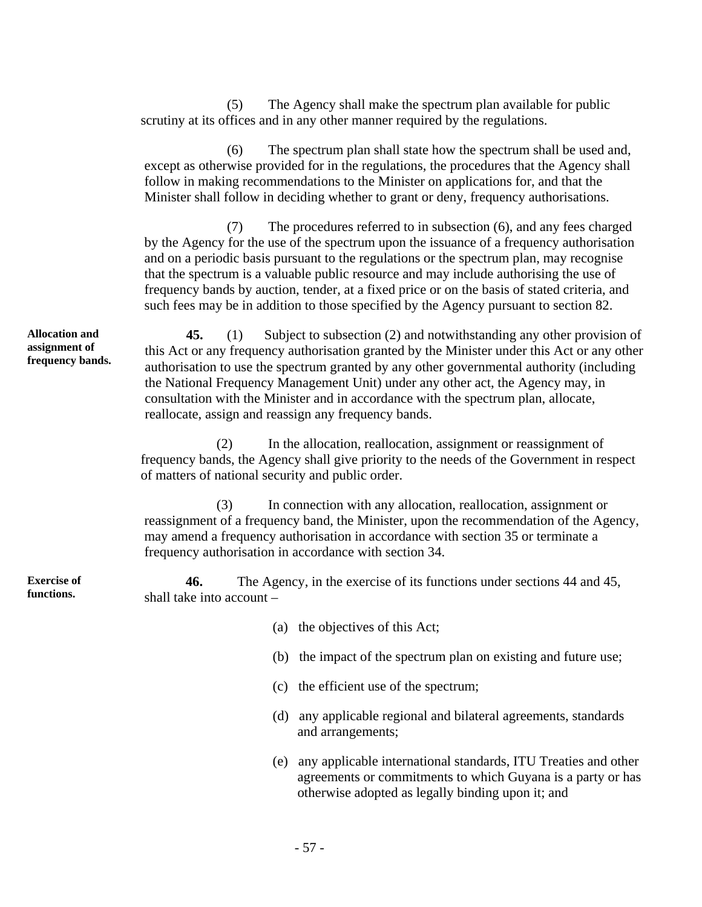(5) The Agency shall make the spectrum plan available for public scrutiny at its offices and in any other manner required by the regulations.

(6) The spectrum plan shall state how the spectrum shall be used and, except as otherwise provided for in the regulations, the procedures that the Agency shall follow in making recommendations to the Minister on applications for, and that the Minister shall follow in deciding whether to grant or deny, frequency authorisations.

(7) The procedures referred to in subsection (6), and any fees charged by the Agency for the use of the spectrum upon the issuance of a frequency authorisation and on a periodic basis pursuant to the regulations or the spectrum plan, may recognise that the spectrum is a valuable public resource and may include authorising the use of frequency bands by auction, tender, at a fixed price or on the basis of stated criteria, and such fees may be in addition to those specified by the Agency pursuant to section 82.

**45.** (1) Subject to subsection (2) and notwithstanding any other provision of this Act or any frequency authorisation granted by the Minister under this Act or any other authorisation to use the spectrum granted by any other governmental authority (including the National Frequency Management Unit) under any other act, the Agency may, in consultation with the Minister and in accordance with the spectrum plan, allocate, reallocate, assign and reassign any frequency bands.

(2) In the allocation, reallocation, assignment or reassignment of frequency bands, the Agency shall give priority to the needs of the Government in respect of matters of national security and public order.

(3) In connection with any allocation, reallocation, assignment or reassignment of a frequency band, the Minister, upon the recommendation of the Agency, may amend a frequency authorisation in accordance with section 35 or terminate a frequency authorisation in accordance with section 34.

**46.** The Agency, in the exercise of its functions under sections 44 and 45, shall take into account –

- (a) the objectives of this Act;
- (b) the impact of the spectrum plan on existing and future use;
- (c) the efficient use of the spectrum;
- (d) any applicable regional and bilateral agreements, standards and arrangements;
- (e) any applicable international standards, ITU Treaties and other agreements or commitments to which Guyana is a party or has otherwise adopted as legally binding upon it; and

**Allocation and assignment of frequency bands.** 

**Exercise of functions.**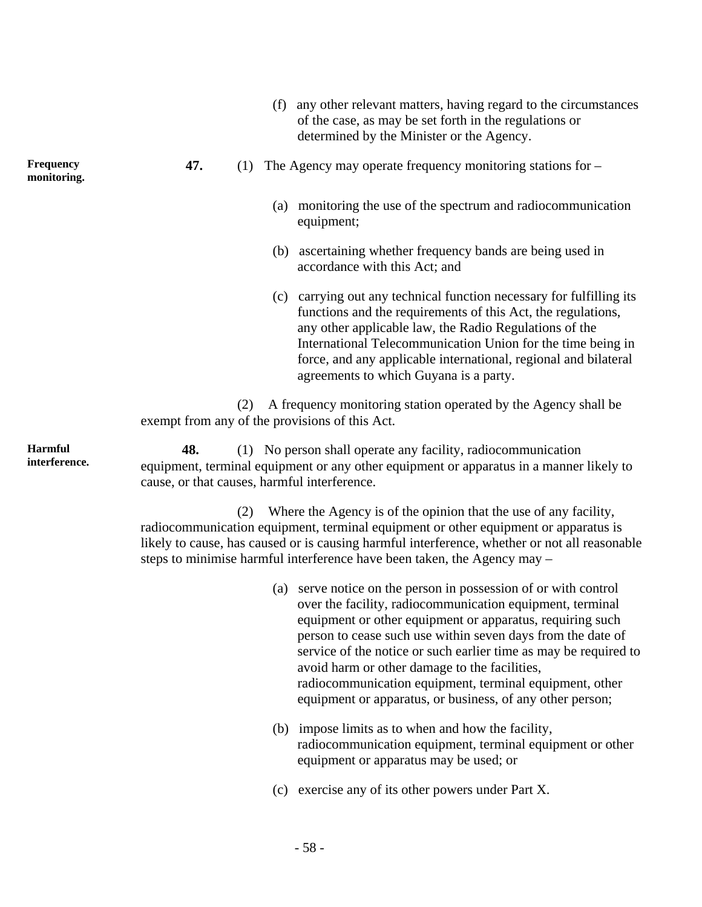- (f) any other relevant matters, having regard to the circumstances of the case, as may be set forth in the regulations or determined by the Minister or the Agency.
- **47.** (1) The Agency may operate frequency monitoring stations for
	- (a) monitoring the use of the spectrum and radiocommunication equipment;
	- (b) ascertaining whether frequency bands are being used in accordance with this Act; and
	- (c) carrying out any technical function necessary for fulfilling its functions and the requirements of this Act, the regulations, any other applicable law, the Radio Regulations of the International Telecommunication Union for the time being in force, and any applicable international, regional and bilateral agreements to which Guyana is a party.

(2) A frequency monitoring station operated by the Agency shall be exempt from any of the provisions of this Act.

**48.** (1) No person shall operate any facility, radiocommunication equipment, terminal equipment or any other equipment or apparatus in a manner likely to cause, or that causes, harmful interference.

(2) Where the Agency is of the opinion that the use of any facility, radiocommunication equipment, terminal equipment or other equipment or apparatus is likely to cause, has caused or is causing harmful interference, whether or not all reasonable steps to minimise harmful interference have been taken, the Agency may –

- (a) serve notice on the person in possession of or with control over the facility, radiocommunication equipment, terminal equipment or other equipment or apparatus, requiring such person to cease such use within seven days from the date of service of the notice or such earlier time as may be required to avoid harm or other damage to the facilities, radiocommunication equipment, terminal equipment, other equipment or apparatus, or business, of any other person;
- (b) impose limits as to when and how the facility, radiocommunication equipment, terminal equipment or other equipment or apparatus may be used; or
- (c) exercise any of its other powers under Part X.

**Frequency monitoring.** 

**Harmful interference.** 

- 58 -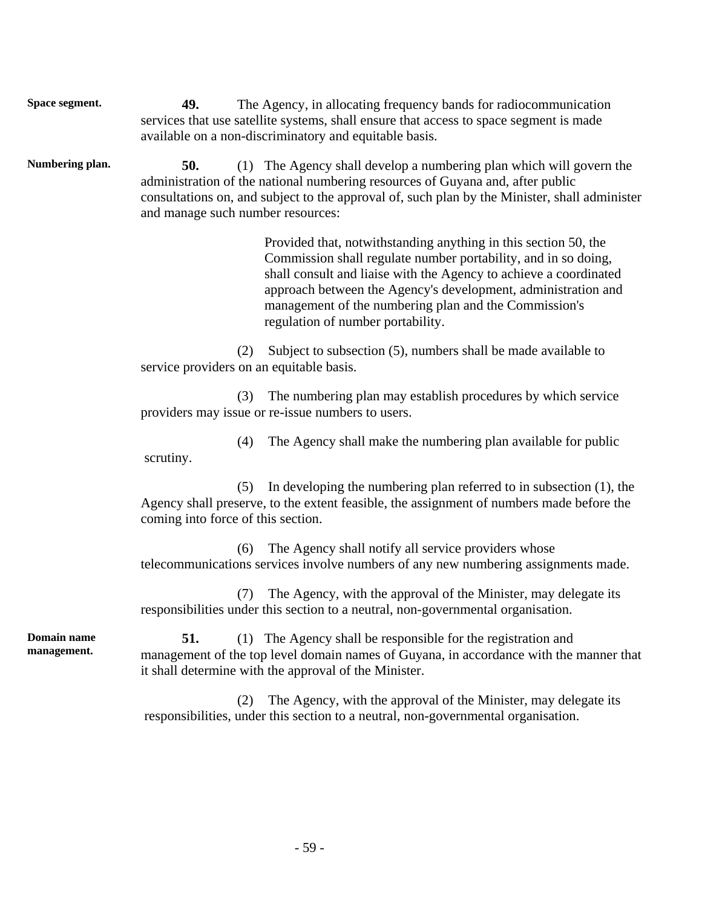**Space segment.** 49. The Agency, in allocating frequency bands for radiocommunication services that use satellite systems, shall ensure that access to space segment is made available on a non-discriminatory and equitable basis.

**Numbering plan. 50.** (1) The Agency shall develop a numbering plan which will govern the administration of the national numbering resources of Guyana and, after public consultations on, and subject to the approval of, such plan by the Minister, shall administer and manage such number resources:

> Provided that, notwithstanding anything in this section 50, the Commission shall regulate number portability, and in so doing, shall consult and liaise with the Agency to achieve a coordinated approach between the Agency's development, administration and management of the numbering plan and the Commission's regulation of number portability.

(2) Subject to subsection (5), numbers shall be made available to service providers on an equitable basis.

(3) The numbering plan may establish procedures by which service providers may issue or re-issue numbers to users.

(4) The Agency shall make the numbering plan available for public scrutiny.

(5) In developing the numbering plan referred to in subsection (1), the Agency shall preserve, to the extent feasible, the assignment of numbers made before the coming into force of this section.

(6) The Agency shall notify all service providers whose telecommunications services involve numbers of any new numbering assignments made.

(7) The Agency, with the approval of the Minister, may delegate its responsibilities under this section to a neutral, non-governmental organisation.

**Domain name management.** 

**51.** (1) The Agency shall be responsible for the registration and management of the top level domain names of Guyana, in accordance with the manner that it shall determine with the approval of the Minister.

(2) The Agency, with the approval of the Minister, may delegate its responsibilities, under this section to a neutral, non-governmental organisation.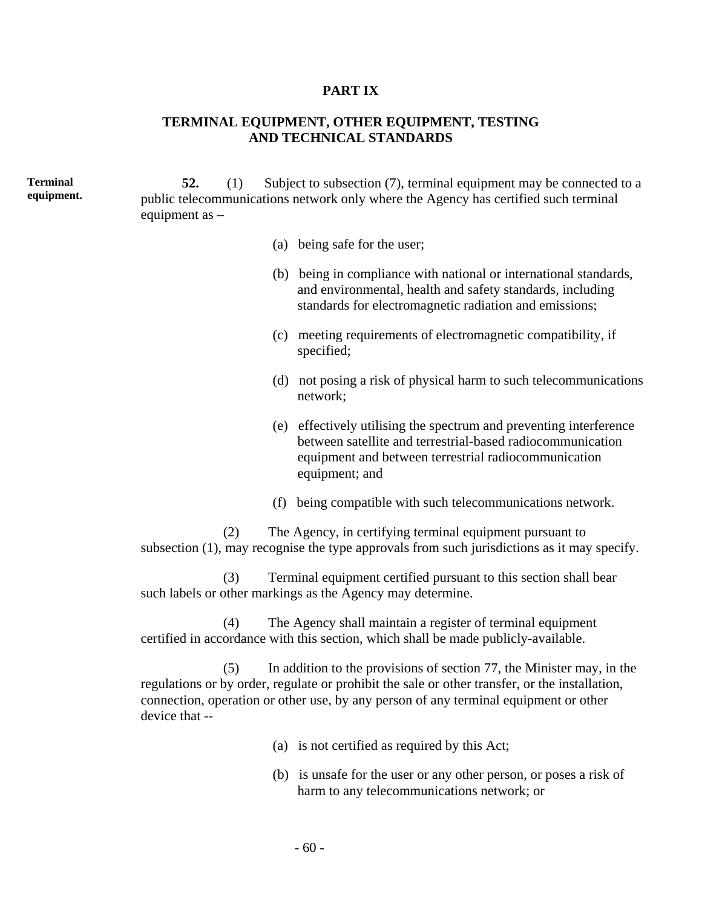#### **PART IX**

# **TERMINAL EQUIPMENT, OTHER EQUIPMENT, TESTING AND TECHNICAL STANDARDS**

**Terminal equipment. 52.** (1) Subject to subsection (7), terminal equipment may be connected to a public telecommunications network only where the Agency has certified such terminal equipment as –

- (a) being safe for the user;
- (b) being in compliance with national or international standards, and environmental, health and safety standards, including standards for electromagnetic radiation and emissions;
- (c) meeting requirements of electromagnetic compatibility, if specified;
- (d) not posing a risk of physical harm to such telecommunications network;
- (e) effectively utilising the spectrum and preventing interference between satellite and terrestrial-based radiocommunication equipment and between terrestrial radiocommunication equipment; and
- (f) being compatible with such telecommunications network.

(2) The Agency, in certifying terminal equipment pursuant to subsection (1), may recognise the type approvals from such jurisdictions as it may specify.

(3) Terminal equipment certified pursuant to this section shall bear such labels or other markings as the Agency may determine.

(4) The Agency shall maintain a register of terminal equipment certified in accordance with this section, which shall be made publicly-available.

(5) In addition to the provisions of section 77, the Minister may, in the regulations or by order, regulate or prohibit the sale or other transfer, or the installation, connection, operation or other use, by any person of any terminal equipment or other device that --

- (a) is not certified as required by this Act;
- (b) is unsafe for the user or any other person, or poses a risk of harm to any telecommunications network; or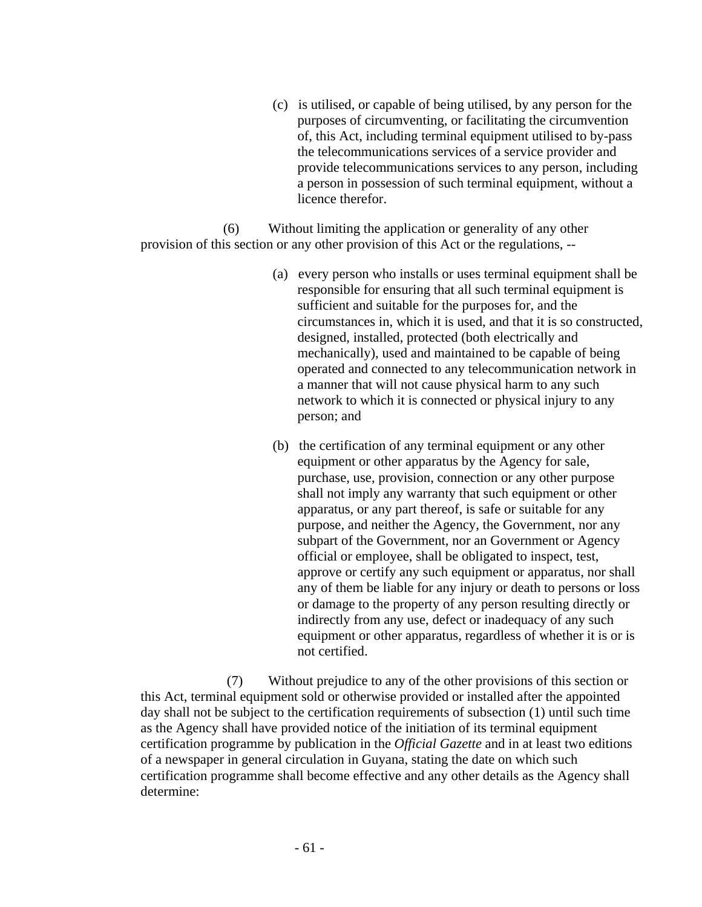(c) is utilised, or capable of being utilised, by any person for the purposes of circumventing, or facilitating the circumvention of, this Act, including terminal equipment utilised to by-pass the telecommunications services of a service provider and provide telecommunications services to any person, including a person in possession of such terminal equipment, without a licence therefor.

(6) Without limiting the application or generality of any other provision of this section or any other provision of this Act or the regulations, --

- (a) every person who installs or uses terminal equipment shall be responsible for ensuring that all such terminal equipment is sufficient and suitable for the purposes for, and the circumstances in, which it is used, and that it is so constructed, designed, installed, protected (both electrically and mechanically), used and maintained to be capable of being operated and connected to any telecommunication network in a manner that will not cause physical harm to any such network to which it is connected or physical injury to any person; and
- (b) the certification of any terminal equipment or any other equipment or other apparatus by the Agency for sale, purchase, use, provision, connection or any other purpose shall not imply any warranty that such equipment or other apparatus, or any part thereof, is safe or suitable for any purpose, and neither the Agency, the Government, nor any subpart of the Government, nor an Government or Agency official or employee, shall be obligated to inspect, test, approve or certify any such equipment or apparatus, nor shall any of them be liable for any injury or death to persons or loss or damage to the property of any person resulting directly or indirectly from any use, defect or inadequacy of any such equipment or other apparatus, regardless of whether it is or is not certified.

(7) Without prejudice to any of the other provisions of this section or this Act, terminal equipment sold or otherwise provided or installed after the appointed day shall not be subject to the certification requirements of subsection (1) until such time as the Agency shall have provided notice of the initiation of its terminal equipment certification programme by publication in the *Official Gazette* and in at least two editions of a newspaper in general circulation in Guyana, stating the date on which such certification programme shall become effective and any other details as the Agency shall determine: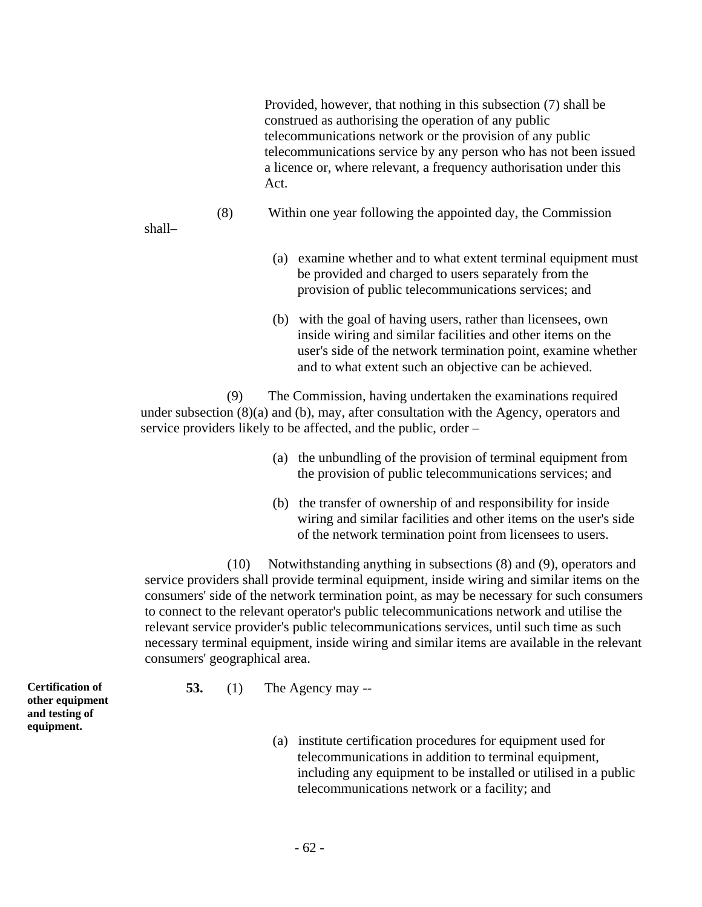Provided, however, that nothing in this subsection (7) shall be construed as authorising the operation of any public telecommunications network or the provision of any public telecommunications service by any person who has not been issued a licence or, where relevant, a frequency authorisation under this Act.

(8) Within one year following the appointed day, the Commission

shall–

- (a) examine whether and to what extent terminal equipment must be provided and charged to users separately from the provision of public telecommunications services; and
- (b) with the goal of having users, rather than licensees, own inside wiring and similar facilities and other items on the user's side of the network termination point, examine whether and to what extent such an objective can be achieved.

(9) The Commission, having undertaken the examinations required under subsection (8)(a) and (b), may, after consultation with the Agency, operators and service providers likely to be affected, and the public, order –

- (a) the unbundling of the provision of terminal equipment from the provision of public telecommunications services; and
- (b) the transfer of ownership of and responsibility for inside wiring and similar facilities and other items on the user's side of the network termination point from licensees to users.

(10) Notwithstanding anything in subsections (8) and (9), operators and service providers shall provide terminal equipment, inside wiring and similar items on the consumers' side of the network termination point, as may be necessary for such consumers to connect to the relevant operator's public telecommunications network and utilise the relevant service provider's public telecommunications services, until such time as such necessary terminal equipment, inside wiring and similar items are available in the relevant consumers' geographical area.

**Certification of other equipment and testing of equipment.** 

- **53.** (1) The Agency may --
	- (a) institute certification procedures for equipment used for telecommunications in addition to terminal equipment, including any equipment to be installed or utilised in a public telecommunications network or a facility; and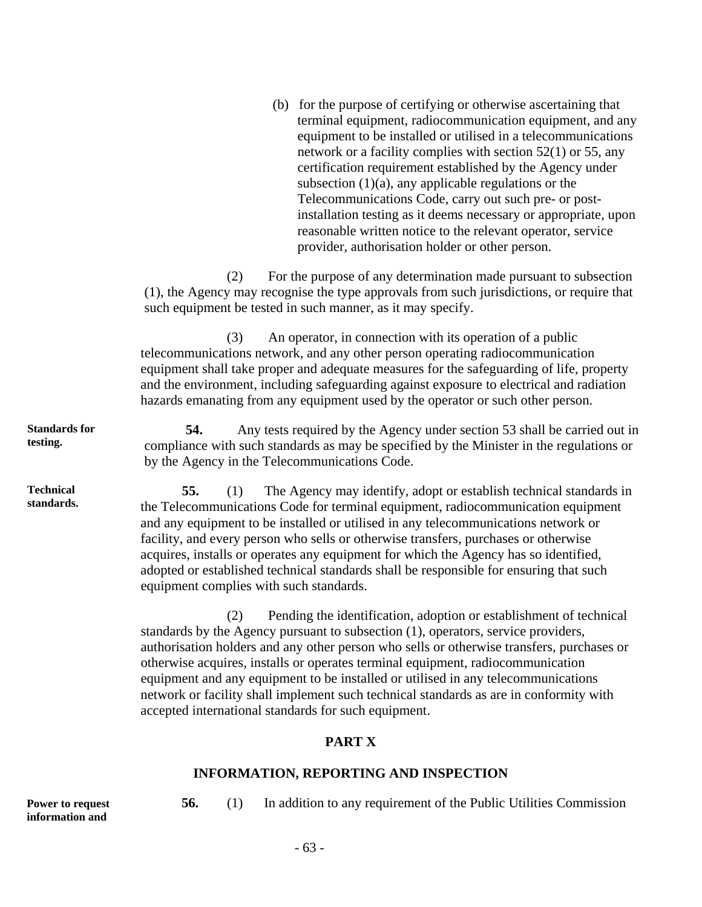(b) for the purpose of certifying or otherwise ascertaining that terminal equipment, radiocommunication equipment, and any equipment to be installed or utilised in a telecommunications network or a facility complies with section 52(1) or 55, any certification requirement established by the Agency under subsection  $(1)(a)$ , any applicable regulations or the Telecommunications Code, carry out such pre- or postinstallation testing as it deems necessary or appropriate, upon reasonable written notice to the relevant operator, service provider, authorisation holder or other person.

(2) For the purpose of any determination made pursuant to subsection (1), the Agency may recognise the type approvals from such jurisdictions, or require that such equipment be tested in such manner, as it may specify.

(3) An operator, in connection with its operation of a public telecommunications network, and any other person operating radiocommunication equipment shall take proper and adequate measures for the safeguarding of life, property and the environment, including safeguarding against exposure to electrical and radiation hazards emanating from any equipment used by the operator or such other person.

**54.** Any tests required by the Agency under section 53 shall be carried out in compliance with such standards as may be specified by the Minister in the regulations or by the Agency in the Telecommunications Code.

**55.** (1) The Agency may identify, adopt or establish technical standards in the Telecommunications Code for terminal equipment, radiocommunication equipment and any equipment to be installed or utilised in any telecommunications network or facility, and every person who sells or otherwise transfers, purchases or otherwise acquires, installs or operates any equipment for which the Agency has so identified, adopted or established technical standards shall be responsible for ensuring that such equipment complies with such standards.

(2) Pending the identification, adoption or establishment of technical standards by the Agency pursuant to subsection (1), operators, service providers, authorisation holders and any other person who sells or otherwise transfers, purchases or otherwise acquires, installs or operates terminal equipment, radiocommunication equipment and any equipment to be installed or utilised in any telecommunications network or facility shall implement such technical standards as are in conformity with accepted international standards for such equipment.

## **PART X**

#### **INFORMATION, REPORTING AND INSPECTION**

**Power to request information and** 

**56.** (1) In addition to any requirement of the Public Utilities Commission

**Standards for testing.** 

**Technical standards.**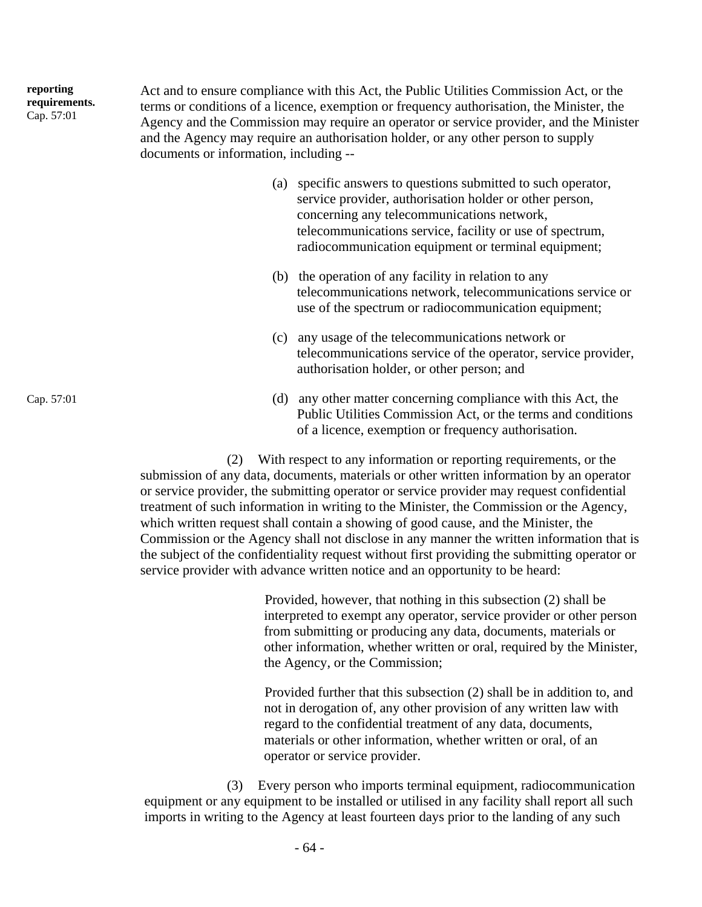| reporting<br>requirements.<br>Cap. 57:01 | Act and to ensure compliance with this Act, the Public Utilities Commission Act, or the<br>terms or conditions of a licence, exemption or frequency authorisation, the Minister, the<br>Agency and the Commission may require an operator or service provider, and the Minister<br>and the Agency may require an authorisation holder, or any other person to supply<br>documents or information, including -- |
|------------------------------------------|----------------------------------------------------------------------------------------------------------------------------------------------------------------------------------------------------------------------------------------------------------------------------------------------------------------------------------------------------------------------------------------------------------------|
|                                          |                                                                                                                                                                                                                                                                                                                                                                                                                |

- (a) specific answers to questions submitted to such operator, service provider, authorisation holder or other person, concerning any telecommunications network, telecommunications service, facility or use of spectrum, radiocommunication equipment or terminal equipment;
- (b) the operation of any facility in relation to any telecommunications network, telecommunications service or use of the spectrum or radiocommunication equipment;
- (c) any usage of the telecommunications network or telecommunications service of the operator, service provider, authorisation holder, or other person; and
- Cap. 57:01 (d) any other matter concerning compliance with this Act, the Public Utilities Commission Act, or the terms and conditions of a licence, exemption or frequency authorisation.

(2) With respect to any information or reporting requirements, or the submission of any data, documents, materials or other written information by an operator or service provider, the submitting operator or service provider may request confidential treatment of such information in writing to the Minister, the Commission or the Agency, which written request shall contain a showing of good cause, and the Minister, the Commission or the Agency shall not disclose in any manner the written information that is the subject of the confidentiality request without first providing the submitting operator or service provider with advance written notice and an opportunity to be heard:

> Provided, however, that nothing in this subsection (2) shall be interpreted to exempt any operator, service provider or other person from submitting or producing any data, documents, materials or other information, whether written or oral, required by the Minister, the Agency, or the Commission;

 Provided further that this subsection (2) shall be in addition to, and not in derogation of, any other provision of any written law with regard to the confidential treatment of any data, documents, materials or other information, whether written or oral, of an operator or service provider.

(3) Every person who imports terminal equipment, radiocommunication equipment or any equipment to be installed or utilised in any facility shall report all such imports in writing to the Agency at least fourteen days prior to the landing of any such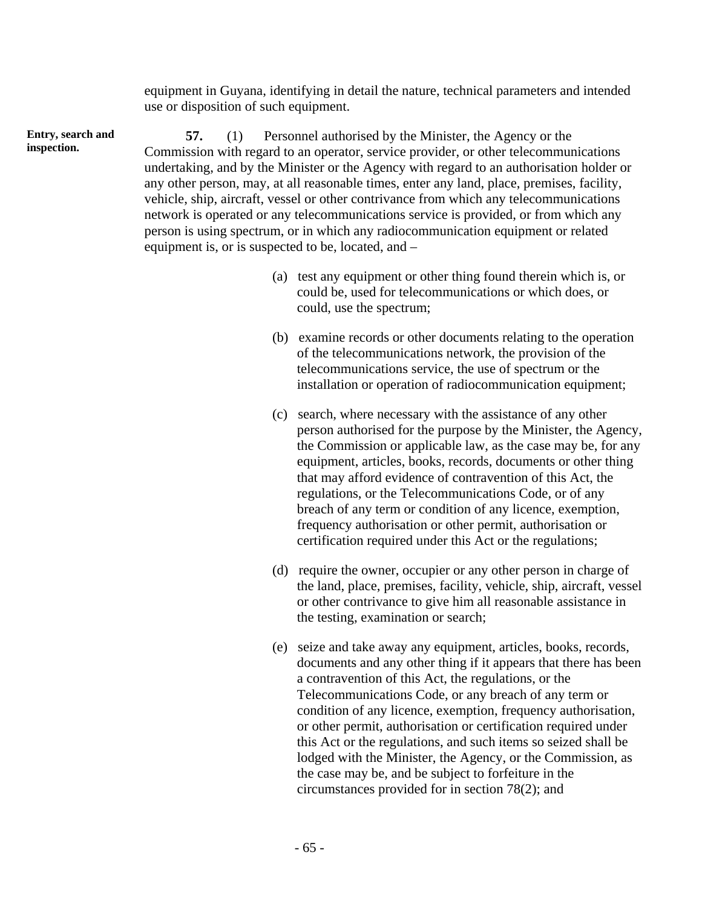equipment in Guyana, identifying in detail the nature, technical parameters and intended use or disposition of such equipment.

**57.** (1) Personnel authorised by the Minister, the Agency or the Commission with regard to an operator, service provider, or other telecommunications undertaking, and by the Minister or the Agency with regard to an authorisation holder or any other person, may, at all reasonable times, enter any land, place, premises, facility, vehicle, ship, aircraft, vessel or other contrivance from which any telecommunications network is operated or any telecommunications service is provided, or from which any person is using spectrum, or in which any radiocommunication equipment or related equipment is, or is suspected to be, located, and –

- (a) test any equipment or other thing found therein which is, or could be, used for telecommunications or which does, or could, use the spectrum;
- (b) examine records or other documents relating to the operation of the telecommunications network, the provision of the telecommunications service, the use of spectrum or the installation or operation of radiocommunication equipment;
- (c) search, where necessary with the assistance of any other person authorised for the purpose by the Minister, the Agency, the Commission or applicable law, as the case may be, for any equipment, articles, books, records, documents or other thing that may afford evidence of contravention of this Act, the regulations, or the Telecommunications Code, or of any breach of any term or condition of any licence, exemption, frequency authorisation or other permit, authorisation or certification required under this Act or the regulations;
- (d) require the owner, occupier or any other person in charge of the land, place, premises, facility, vehicle, ship, aircraft, vessel or other contrivance to give him all reasonable assistance in the testing, examination or search;
- (e) seize and take away any equipment, articles, books, records, documents and any other thing if it appears that there has been a contravention of this Act, the regulations, or the Telecommunications Code, or any breach of any term or condition of any licence, exemption, frequency authorisation, or other permit, authorisation or certification required under this Act or the regulations, and such items so seized shall be lodged with the Minister, the Agency, or the Commission, as the case may be, and be subject to forfeiture in the circumstances provided for in section 78(2); and

**Entry, search and inspection.**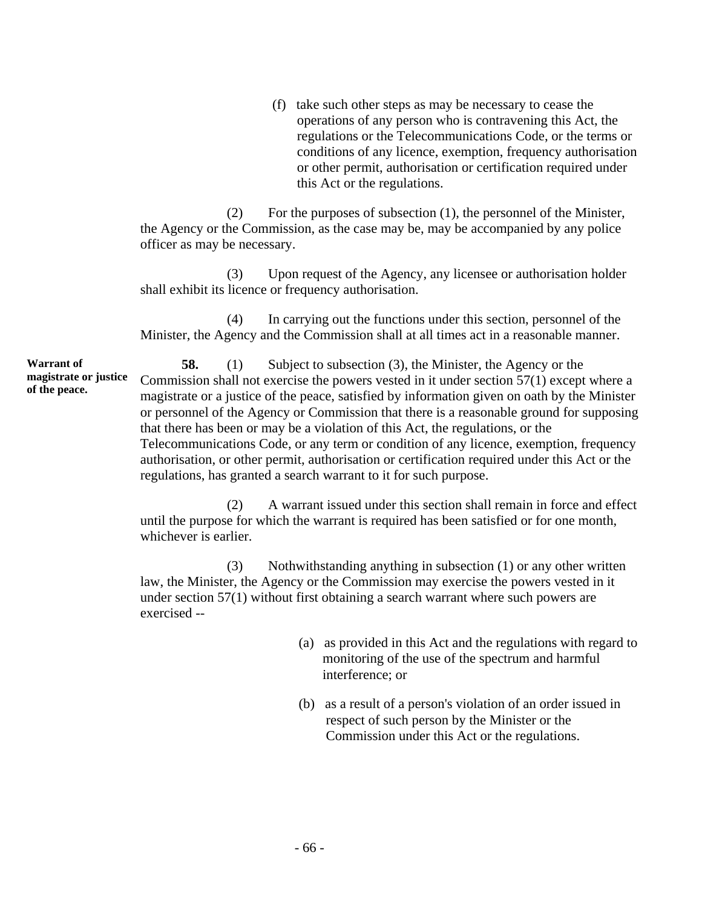(f) take such other steps as may be necessary to cease the operations of any person who is contravening this Act, the regulations or the Telecommunications Code, or the terms or conditions of any licence, exemption, frequency authorisation or other permit, authorisation or certification required under this Act or the regulations.

(2) For the purposes of subsection (1), the personnel of the Minister, the Agency or the Commission, as the case may be, may be accompanied by any police officer as may be necessary.

(3) Upon request of the Agency, any licensee or authorisation holder shall exhibit its licence or frequency authorisation.

(4) In carrying out the functions under this section, personnel of the Minister, the Agency and the Commission shall at all times act in a reasonable manner.

**Warrant of magistrate or justice of the peace.** 

**58.** (1) Subject to subsection (3), the Minister, the Agency or the Commission shall not exercise the powers vested in it under section 57(1) except where a magistrate or a justice of the peace, satisfied by information given on oath by the Minister or personnel of the Agency or Commission that there is a reasonable ground for supposing that there has been or may be a violation of this Act, the regulations, or the Telecommunications Code, or any term or condition of any licence, exemption, frequency authorisation, or other permit, authorisation or certification required under this Act or the regulations, has granted a search warrant to it for such purpose.

(2) A warrant issued under this section shall remain in force and effect until the purpose for which the warrant is required has been satisfied or for one month, whichever is earlier.

(3) Nothwithstanding anything in subsection (1) or any other written law, the Minister, the Agency or the Commission may exercise the powers vested in it under section 57(1) without first obtaining a search warrant where such powers are exercised --

- (a) as provided in this Act and the regulations with regard to monitoring of the use of the spectrum and harmful interference; or
- (b) as a result of a person's violation of an order issued in respect of such person by the Minister or the Commission under this Act or the regulations.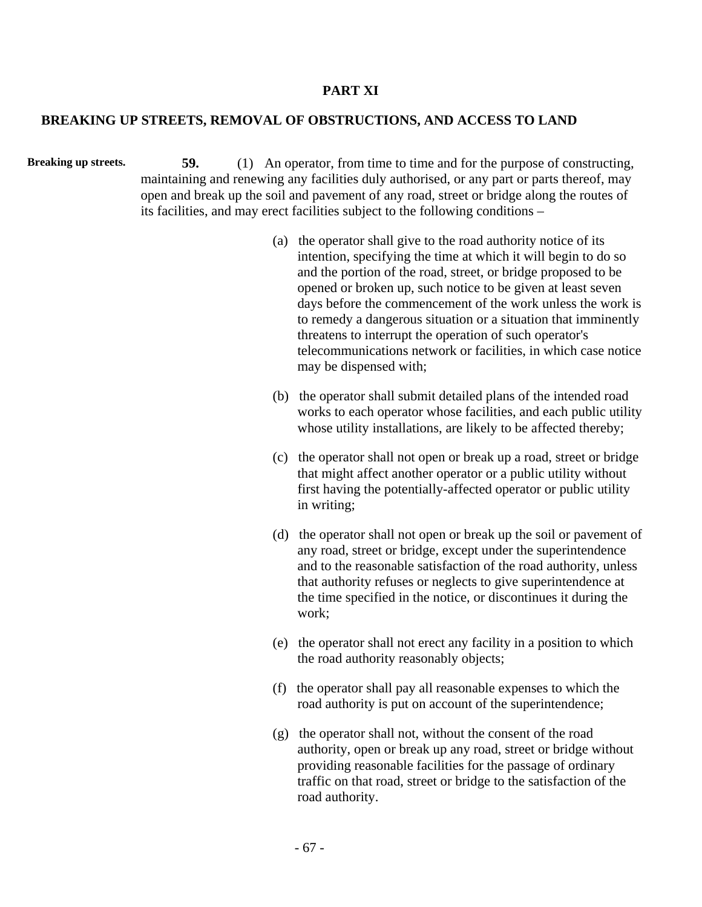## **PART XI**

## **BREAKING UP STREETS, REMOVAL OF OBSTRUCTIONS, AND ACCESS TO LAND**

**Breaking up streets.** 59. (1) An operator, from time to time and for the purpose of constructing, maintaining and renewing any facilities duly authorised, or any part or parts thereof, may open and break up the soil and pavement of any road, street or bridge along the routes of its facilities, and may erect facilities subject to the following conditions –

- (a) the operator shall give to the road authority notice of its intention, specifying the time at which it will begin to do so and the portion of the road, street, or bridge proposed to be opened or broken up, such notice to be given at least seven days before the commencement of the work unless the work is to remedy a dangerous situation or a situation that imminently threatens to interrupt the operation of such operator's telecommunications network or facilities, in which case notice may be dispensed with;
- (b) the operator shall submit detailed plans of the intended road works to each operator whose facilities, and each public utility whose utility installations, are likely to be affected thereby;
- (c) the operator shall not open or break up a road, street or bridge that might affect another operator or a public utility without first having the potentially-affected operator or public utility in writing;
- (d) the operator shall not open or break up the soil or pavement of any road, street or bridge, except under the superintendence and to the reasonable satisfaction of the road authority, unless that authority refuses or neglects to give superintendence at the time specified in the notice, or discontinues it during the work;
- (e) the operator shall not erect any facility in a position to which the road authority reasonably objects;
- (f) the operator shall pay all reasonable expenses to which the road authority is put on account of the superintendence;
- (g) the operator shall not, without the consent of the road authority, open or break up any road, street or bridge without providing reasonable facilities for the passage of ordinary traffic on that road, street or bridge to the satisfaction of the road authority.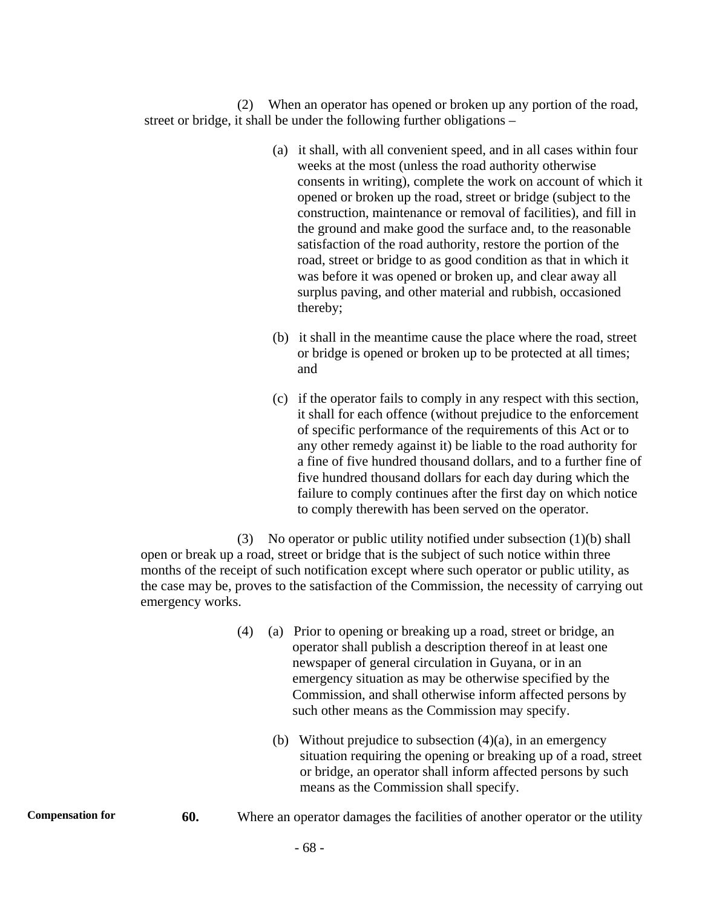(2) When an operator has opened or broken up any portion of the road, street or bridge, it shall be under the following further obligations –

- (a) it shall, with all convenient speed, and in all cases within four weeks at the most (unless the road authority otherwise consents in writing), complete the work on account of which it opened or broken up the road, street or bridge (subject to the construction, maintenance or removal of facilities), and fill in the ground and make good the surface and, to the reasonable satisfaction of the road authority, restore the portion of the road, street or bridge to as good condition as that in which it was before it was opened or broken up, and clear away all surplus paving, and other material and rubbish, occasioned thereby;
- (b) it shall in the meantime cause the place where the road, street or bridge is opened or broken up to be protected at all times; and
- (c) if the operator fails to comply in any respect with this section, it shall for each offence (without prejudice to the enforcement of specific performance of the requirements of this Act or to any other remedy against it) be liable to the road authority for a fine of five hundred thousand dollars, and to a further fine of five hundred thousand dollars for each day during which the failure to comply continues after the first day on which notice to comply therewith has been served on the operator.

(3) No operator or public utility notified under subsection (1)(b) shall open or break up a road, street or bridge that is the subject of such notice within three months of the receipt of such notification except where such operator or public utility, as the case may be, proves to the satisfaction of the Commission, the necessity of carrying out emergency works.

| (4) | (a) Prior to opening or breaking up a road, street or bridge, an |
|-----|------------------------------------------------------------------|
|     | operator shall publish a description thereof in at least one     |
|     | newspaper of general circulation in Guyana, or in an             |
|     | emergency situation as may be otherwise specified by the         |
|     | Commission, and shall otherwise inform affected persons by       |
|     | such other means as the Commission may specify.                  |

- (b) Without prejudice to subsection  $(4)(a)$ , in an emergency situation requiring the opening or breaking up of a road, street or bridge, an operator shall inform affected persons by such means as the Commission shall specify.
- **Compensation for** 60. Where an operator damages the facilities of another operator or the utility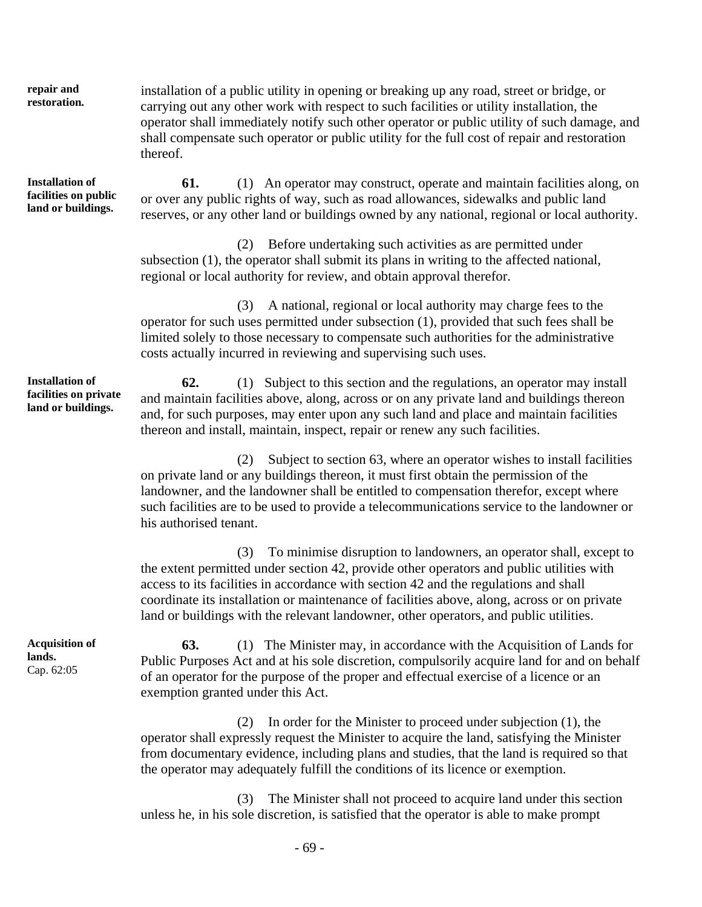**repair and restoration.** 

**Installation of facilities on public land or buildings.** 

thereof.

**61.** (1) An operator may construct, operate and maintain facilities along, on or over any public rights of way, such as road allowances, sidewalks and public land reserves, or any other land or buildings owned by any national, regional or local authority.

operator shall immediately notify such other operator or public utility of such damage, and shall compensate such operator or public utility for the full cost of repair and restoration

installation of a public utility in opening or breaking up any road, street or bridge, or carrying out any other work with respect to such facilities or utility installation, the

(2) Before undertaking such activities as are permitted under subsection (1), the operator shall submit its plans in writing to the affected national, regional or local authority for review, and obtain approval therefor.

(3) A national, regional or local authority may charge fees to the operator for such uses permitted under subsection (1), provided that such fees shall be limited solely to those necessary to compensate such authorities for the administrative costs actually incurred in reviewing and supervising such uses.

**62.** (1) Subject to this section and the regulations, an operator may install and maintain facilities above, along, across or on any private land and buildings thereon and, for such purposes, may enter upon any such land and place and maintain facilities thereon and install, maintain, inspect, repair or renew any such facilities.

(2) Subject to section 63, where an operator wishes to install facilities on private land or any buildings thereon, it must first obtain the permission of the landowner, and the landowner shall be entitled to compensation therefor, except where such facilities are to be used to provide a telecommunications service to the landowner or his authorised tenant.

(3) To minimise disruption to landowners, an operator shall, except to the extent permitted under section 42, provide other operators and public utilities with access to its facilities in accordance with section 42 and the regulations and shall coordinate its installation or maintenance of facilities above, along, across or on private land or buildings with the relevant landowner, other operators, and public utilities.

**63.** (1) The Minister may, in accordance with the Acquisition of Lands for Public Purposes Act and at his sole discretion, compulsorily acquire land for and on behalf of an operator for the purpose of the proper and effectual exercise of a licence or an exemption granted under this Act.

(2) In order for the Minister to proceed under subjection (1), the operator shall expressly request the Minister to acquire the land, satisfying the Minister from documentary evidence, including plans and studies, that the land is required so that the operator may adequately fulfill the conditions of its licence or exemption.

(3) The Minister shall not proceed to acquire land under this section unless he, in his sole discretion, is satisfied that the operator is able to make prompt

**Installation of facilities on private land or buildings.** 

**Acquisition of lands.**  Cap. 62:05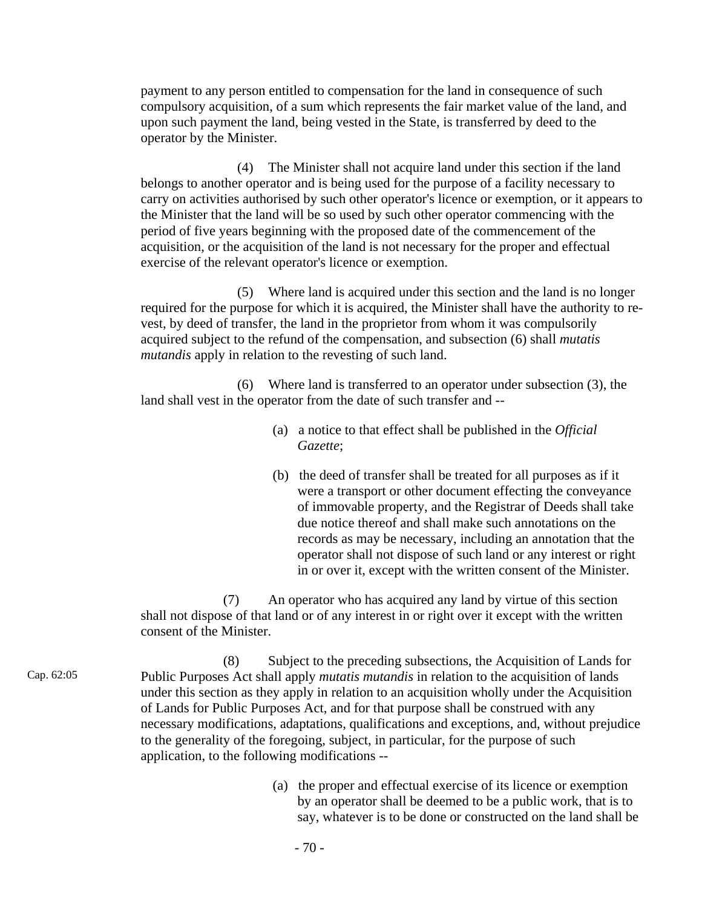payment to any person entitled to compensation for the land in consequence of such compulsory acquisition, of a sum which represents the fair market value of the land, and upon such payment the land, being vested in the State, is transferred by deed to the operator by the Minister.

(4) The Minister shall not acquire land under this section if the land belongs to another operator and is being used for the purpose of a facility necessary to carry on activities authorised by such other operator's licence or exemption, or it appears to the Minister that the land will be so used by such other operator commencing with the period of five years beginning with the proposed date of the commencement of the acquisition, or the acquisition of the land is not necessary for the proper and effectual exercise of the relevant operator's licence or exemption.

(5) Where land is acquired under this section and the land is no longer required for the purpose for which it is acquired, the Minister shall have the authority to revest, by deed of transfer, the land in the proprietor from whom it was compulsorily acquired subject to the refund of the compensation, and subsection (6) shall *mutatis mutandis* apply in relation to the revesting of such land.

(6) Where land is transferred to an operator under subsection (3), the land shall vest in the operator from the date of such transfer and --

- (a) a notice to that effect shall be published in the *Official Gazette*;
- (b) the deed of transfer shall be treated for all purposes as if it were a transport or other document effecting the conveyance of immovable property, and the Registrar of Deeds shall take due notice thereof and shall make such annotations on the records as may be necessary, including an annotation that the operator shall not dispose of such land or any interest or right in or over it, except with the written consent of the Minister.

(7) An operator who has acquired any land by virtue of this section shall not dispose of that land or of any interest in or right over it except with the written consent of the Minister.

- Cap. 62:05 (8) Subject to the preceding subsections, the Acquisition of Lands for Public Purposes Act shall apply *mutatis mutandis* in relation to the acquisition of lands under this section as they apply in relation to an acquisition wholly under the Acquisition of Lands for Public Purposes Act, and for that purpose shall be construed with any necessary modifications, adaptations, qualifications and exceptions, and, without prejudice to the generality of the foregoing, subject, in particular, for the purpose of such application, to the following modifications --
	- (a) the proper and effectual exercise of its licence or exemption by an operator shall be deemed to be a public work, that is to say, whatever is to be done or constructed on the land shall be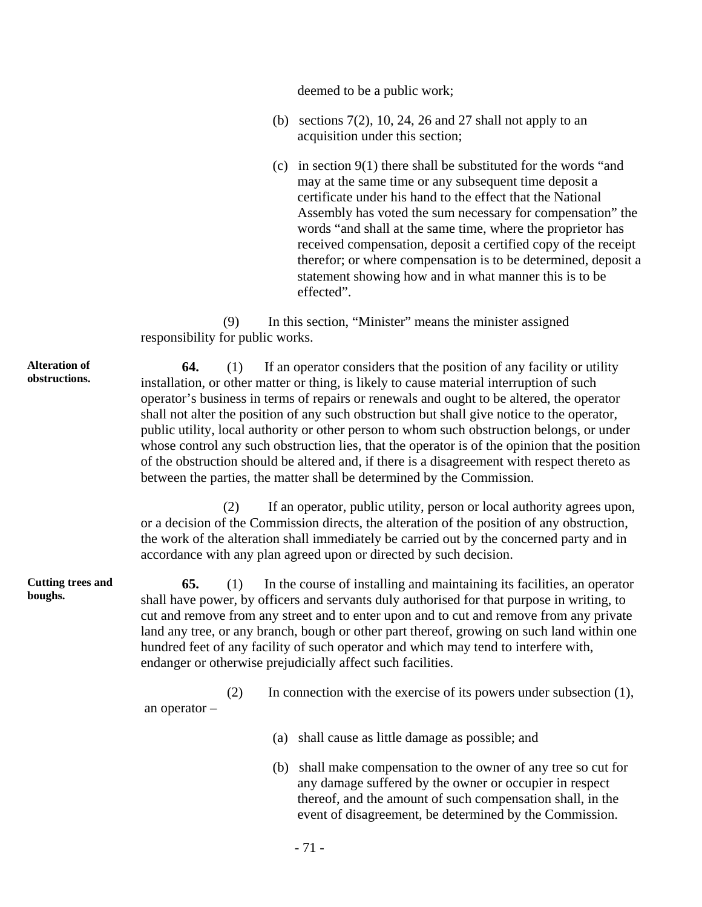deemed to be a public work;

- (b) sections  $7(2)$ , 10, 24, 26 and 27 shall not apply to an acquisition under this section;
- (c) in section 9(1) there shall be substituted for the words "and may at the same time or any subsequent time deposit a certificate under his hand to the effect that the National Assembly has voted the sum necessary for compensation" the words "and shall at the same time, where the proprietor has received compensation, deposit a certified copy of the receipt therefor; or where compensation is to be determined, deposit a statement showing how and in what manner this is to be effected".

(9) In this section, "Minister" means the minister assigned responsibility for public works.

**64.** (1) If an operator considers that the position of any facility or utility installation, or other matter or thing, is likely to cause material interruption of such operator's business in terms of repairs or renewals and ought to be altered, the operator shall not alter the position of any such obstruction but shall give notice to the operator, public utility, local authority or other person to whom such obstruction belongs, or under whose control any such obstruction lies, that the operator is of the opinion that the position of the obstruction should be altered and, if there is a disagreement with respect thereto as between the parties, the matter shall be determined by the Commission.

(2) If an operator, public utility, person or local authority agrees upon, or a decision of the Commission directs, the alteration of the position of any obstruction, the work of the alteration shall immediately be carried out by the concerned party and in accordance with any plan agreed upon or directed by such decision.

**65.** (1) In the course of installing and maintaining its facilities, an operator shall have power, by officers and servants duly authorised for that purpose in writing, to cut and remove from any street and to enter upon and to cut and remove from any private land any tree, or any branch, bough or other part thereof, growing on such land within one hundred feet of any facility of such operator and which may tend to interfere with, endanger or otherwise prejudicially affect such facilities.

(2) In connection with the exercise of its powers under subsection (1), an operator –

- (a) shall cause as little damage as possible; and
- (b) shall make compensation to the owner of any tree so cut for any damage suffered by the owner or occupier in respect thereof, and the amount of such compensation shall, in the event of disagreement, be determined by the Commission.

**Alteration of obstructions.** 

**Cutting trees and boughs.**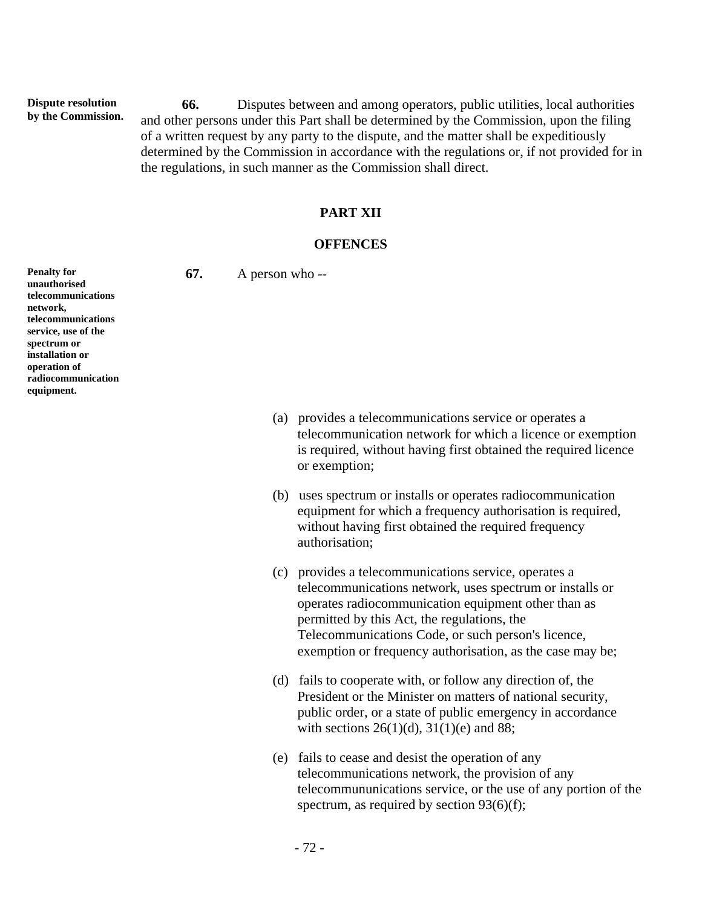**Dispute resolution by the Commission.** 

**66.** Disputes between and among operators, public utilities, local authorities and other persons under this Part shall be determined by the Commission, upon the filing of a written request by any party to the dispute, and the matter shall be expeditiously determined by the Commission in accordance with the regulations or, if not provided for in the regulations, in such manner as the Commission shall direct.

### **PART XII**

#### **OFFENCES**

**67.** A person who --

**Penalty for unauthorised telecommunications network, telecommunications service, use of the spectrum or installation or operation of radiocommunication equipment.** 

- (a) provides a telecommunications service or operates a telecommunication network for which a licence or exemption is required, without having first obtained the required licence or exemption;
- (b) uses spectrum or installs or operates radiocommunication equipment for which a frequency authorisation is required, without having first obtained the required frequency authorisation;
- (c) provides a telecommunications service, operates a telecommunications network, uses spectrum or installs or operates radiocommunication equipment other than as permitted by this Act, the regulations, the Telecommunications Code, or such person's licence, exemption or frequency authorisation, as the case may be;
- (d) fails to cooperate with, or follow any direction of, the President or the Minister on matters of national security, public order, or a state of public emergency in accordance with sections  $26(1)(d)$ ,  $31(1)(e)$  and 88;
- (e) fails to cease and desist the operation of any telecommunications network, the provision of any telecommununications service, or the use of any portion of the spectrum, as required by section 93(6)(f);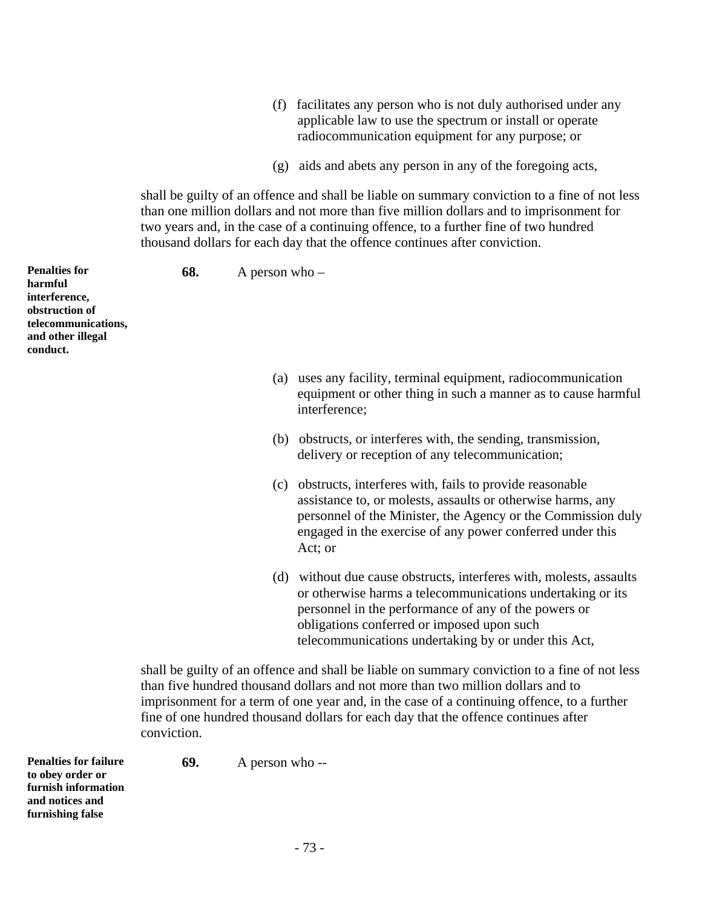- (f) facilitates any person who is not duly authorised under any applicable law to use the spectrum or install or operate radiocommunication equipment for any purpose; or
- (g) aids and abets any person in any of the foregoing acts,

shall be guilty of an offence and shall be liable on summary conviction to a fine of not less than one million dollars and not more than five million dollars and to imprisonment for two years and, in the case of a continuing offence, to a further fine of two hundred thousand dollars for each day that the offence continues after conviction.

**Penalties for harmful interference, obstruction of telecommunications, and other illegal conduct. 68.** A person who – (a) uses any facility, terminal equipment, radiocommunication equipment or other thing in such a manner as to cause harmful interference; (b) obstructs, or interferes with, the sending, transmission, delivery or reception of any telecommunication; (c) obstructs, interferes with, fails to provide reasonable assistance to, or molests, assaults or otherwise harms, any personnel of the Minister, the Agency or the Commission duly engaged in the exercise of any power conferred under this Act; or (d) without due cause obstructs, interferes with, molests, assaults or otherwise harms a telecommunications undertaking or its personnel in the performance of any of the powers or obligations conferred or imposed upon such telecommunications undertaking by or under this Act, shall be guilty of an offence and shall be liable on summary conviction to a fine of not less than five hundred thousand dollars and not more than two million dollars and to imprisonment for a term of one year and, in the case of a continuing offence, to a further fine of one hundred thousand dollars for each day that the offence continues after conviction.

**Penalties for failure to obey order or furnish information and notices and 69.** A person who --

**furnishing false**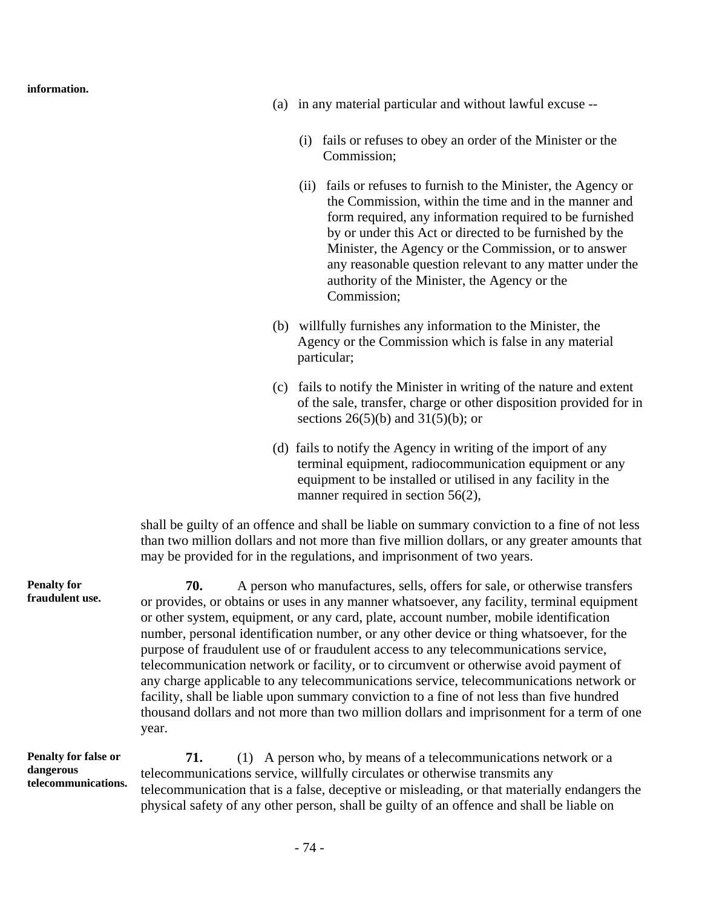**information.** 

- (a) in any material particular and without lawful excuse --
	- (i) fails or refuses to obey an order of the Minister or the Commission;
	- (ii) fails or refuses to furnish to the Minister, the Agency or the Commission, within the time and in the manner and form required, any information required to be furnished by or under this Act or directed to be furnished by the Minister, the Agency or the Commission, or to answer any reasonable question relevant to any matter under the authority of the Minister, the Agency or the Commission;
- (b) willfully furnishes any information to the Minister, the Agency or the Commission which is false in any material particular;
- (c) fails to notify the Minister in writing of the nature and extent of the sale, transfer, charge or other disposition provided for in sections  $26(5)(b)$  and  $31(5)(b)$ ; or
- (d) fails to notify the Agency in writing of the import of any terminal equipment, radiocommunication equipment or any equipment to be installed or utilised in any facility in the manner required in section 56(2),

shall be guilty of an offence and shall be liable on summary conviction to a fine of not less than two million dollars and not more than five million dollars, or any greater amounts that may be provided for in the regulations, and imprisonment of two years.

**Penalty for fraudulent use. 70.** A person who manufactures, sells, offers for sale, or otherwise transfers or provides, or obtains or uses in any manner whatsoever, any facility, terminal equipment or other system, equipment, or any card, plate, account number, mobile identification number, personal identification number, or any other device or thing whatsoever, for the purpose of fraudulent use of or fraudulent access to any telecommunications service, telecommunication network or facility, or to circumvent or otherwise avoid payment of any charge applicable to any telecommunications service, telecommunications network or facility, shall be liable upon summary conviction to a fine of not less than five hundred thousand dollars and not more than two million dollars and imprisonment for a term of one year.

**Penalty for false or dangerous telecommunications.** 

**71.** (1) A person who, by means of a telecommunications network or a telecommunications service, willfully circulates or otherwise transmits any telecommunication that is a false, deceptive or misleading, or that materially endangers the physical safety of any other person, shall be guilty of an offence and shall be liable on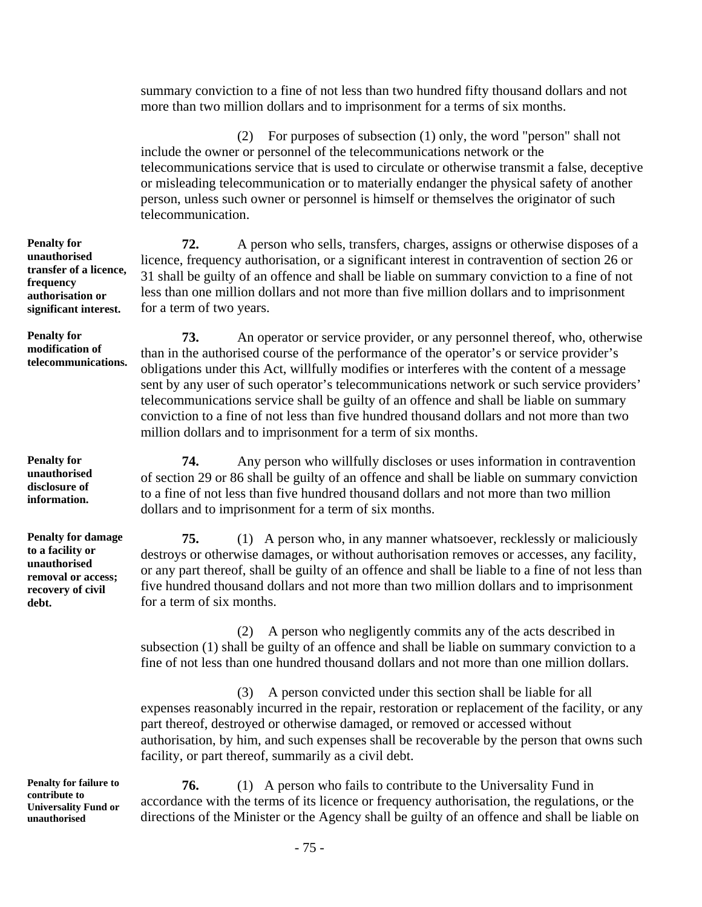summary conviction to a fine of not less than two hundred fifty thousand dollars and not more than two million dollars and to imprisonment for a terms of six months.

(2) For purposes of subsection (1) only, the word "person" shall not include the owner or personnel of the telecommunications network or the telecommunications service that is used to circulate or otherwise transmit a false, deceptive or misleading telecommunication or to materially endanger the physical safety of another person, unless such owner or personnel is himself or themselves the originator of such telecommunication.

**72.** A person who sells, transfers, charges, assigns or otherwise disposes of a licence, frequency authorisation, or a significant interest in contravention of section 26 or 31 shall be guilty of an offence and shall be liable on summary conviction to a fine of not less than one million dollars and not more than five million dollars and to imprisonment for a term of two years.

**73.** An operator or service provider, or any personnel thereof, who, otherwise than in the authorised course of the performance of the operator's or service provider's obligations under this Act, willfully modifies or interferes with the content of a message sent by any user of such operator's telecommunications network or such service providers' telecommunications service shall be guilty of an offence and shall be liable on summary conviction to a fine of not less than five hundred thousand dollars and not more than two million dollars and to imprisonment for a term of six months.

**74.** Any person who willfully discloses or uses information in contravention of section 29 or 86 shall be guilty of an offence and shall be liable on summary conviction to a fine of not less than five hundred thousand dollars and not more than two million dollars and to imprisonment for a term of six months.

**75.** (1) A person who, in any manner whatsoever, recklessly or maliciously destroys or otherwise damages, or without authorisation removes or accesses, any facility, or any part thereof, shall be guilty of an offence and shall be liable to a fine of not less than five hundred thousand dollars and not more than two million dollars and to imprisonment for a term of six months.

(2) A person who negligently commits any of the acts described in subsection (1) shall be guilty of an offence and shall be liable on summary conviction to a fine of not less than one hundred thousand dollars and not more than one million dollars.

(3) A person convicted under this section shall be liable for all expenses reasonably incurred in the repair, restoration or replacement of the facility, or any part thereof, destroyed or otherwise damaged, or removed or accessed without authorisation, by him, and such expenses shall be recoverable by the person that owns such facility, or part thereof, summarily as a civil debt.

**76.** (1) A person who fails to contribute to the Universality Fund in accordance with the terms of its licence or frequency authorisation, the regulations, or the directions of the Minister or the Agency shall be guilty of an offence and shall be liable on

**Penalty for unauthorised transfer of a licence, frequency authorisation or significant interest.** 

**Penalty for modification of telecommunications.** 

**Penalty for unauthorised disclosure of information.** 

**Penalty for damage to a facility or unauthorised removal or access; recovery of civil debt.** 

**Penalty for failure to contribute to Universality Fund or unauthorised**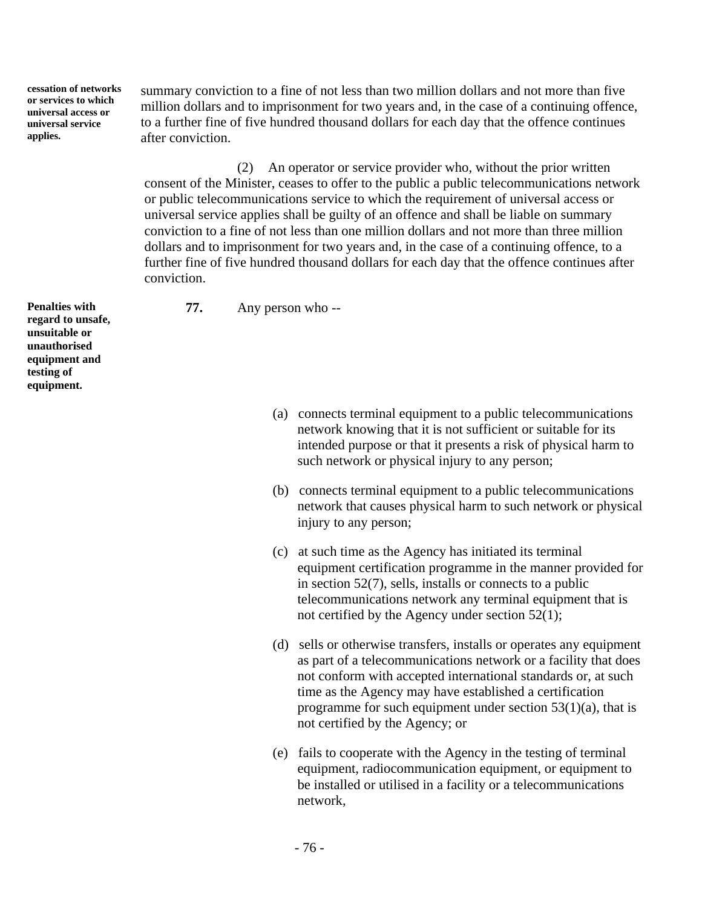**cessation of networks or services to which universal access or universal service applies.** 

summary conviction to a fine of not less than two million dollars and not more than five million dollars and to imprisonment for two years and, in the case of a continuing offence, to a further fine of five hundred thousand dollars for each day that the offence continues after conviction.

(2) An operator or service provider who, without the prior written consent of the Minister, ceases to offer to the public a public telecommunications network or public telecommunications service to which the requirement of universal access or universal service applies shall be guilty of an offence and shall be liable on summary conviction to a fine of not less than one million dollars and not more than three million dollars and to imprisonment for two years and, in the case of a continuing offence, to a further fine of five hundred thousand dollars for each day that the offence continues after conviction.

**77.** Any person who --

**Penalties with regard to unsafe, unsuitable or unauthorised equipment and testing of equipment.** 

- (a) connects terminal equipment to a public telecommunications network knowing that it is not sufficient or suitable for its intended purpose or that it presents a risk of physical harm to such network or physical injury to any person;
- (b) connects terminal equipment to a public telecommunications network that causes physical harm to such network or physical injury to any person;
- (c) at such time as the Agency has initiated its terminal equipment certification programme in the manner provided for in section 52(7), sells, installs or connects to a public telecommunications network any terminal equipment that is not certified by the Agency under section 52(1);
- (d) sells or otherwise transfers, installs or operates any equipment as part of a telecommunications network or a facility that does not conform with accepted international standards or, at such time as the Agency may have established a certification programme for such equipment under section  $53(1)(a)$ , that is not certified by the Agency; or
- (e) fails to cooperate with the Agency in the testing of terminal equipment, radiocommunication equipment, or equipment to be installed or utilised in a facility or a telecommunications network,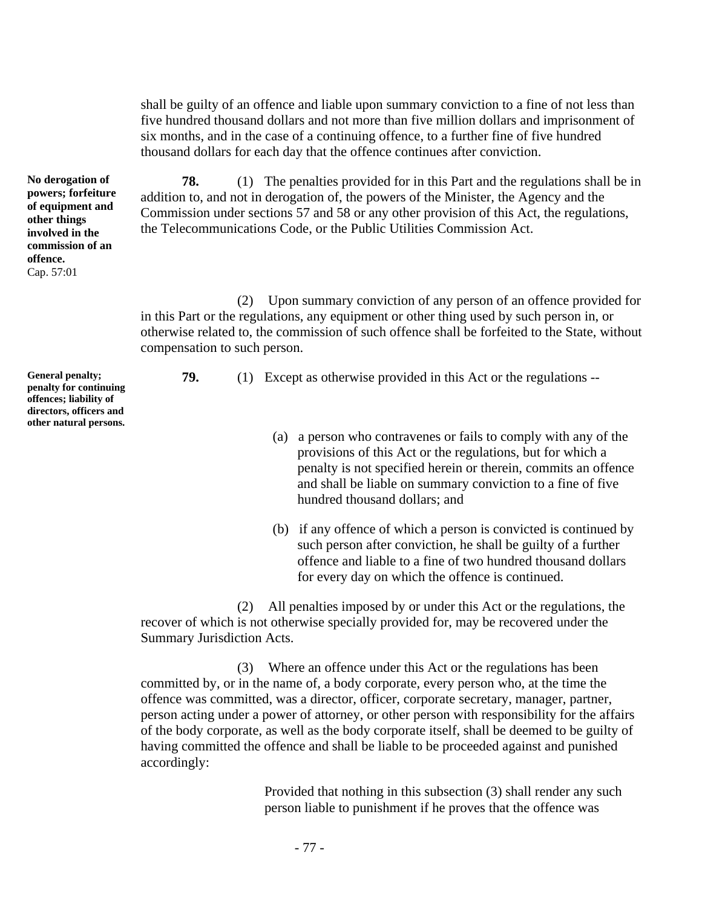shall be guilty of an offence and liable upon summary conviction to a fine of not less than five hundred thousand dollars and not more than five million dollars and imprisonment of six months, and in the case of a continuing offence, to a further fine of five hundred thousand dollars for each day that the offence continues after conviction.

**78.** (1) The penalties provided for in this Part and the regulations shall be in addition to, and not in derogation of, the powers of the Minister, the Agency and the Commission under sections 57 and 58 or any other provision of this Act, the regulations, the Telecommunications Code, or the Public Utilities Commission Act.

(2) Upon summary conviction of any person of an offence provided for in this Part or the regulations, any equipment or other thing used by such person in, or otherwise related to, the commission of such offence shall be forfeited to the State, without compensation to such person.

**79.** (1) Except as otherwise provided in this Act or the regulations --

- (a) a person who contravenes or fails to comply with any of the provisions of this Act or the regulations, but for which a penalty is not specified herein or therein, commits an offence and shall be liable on summary conviction to a fine of five hundred thousand dollars; and
- (b) if any offence of which a person is convicted is continued by such person after conviction, he shall be guilty of a further offence and liable to a fine of two hundred thousand dollars for every day on which the offence is continued.

(2) All penalties imposed by or under this Act or the regulations, the recover of which is not otherwise specially provided for, may be recovered under the Summary Jurisdiction Acts.

(3) Where an offence under this Act or the regulations has been committed by, or in the name of, a body corporate, every person who, at the time the offence was committed, was a director, officer, corporate secretary, manager, partner, person acting under a power of attorney, or other person with responsibility for the affairs of the body corporate, as well as the body corporate itself, shall be deemed to be guilty of having committed the offence and shall be liable to be proceeded against and punished accordingly:

> Provided that nothing in this subsection (3) shall render any such person liable to punishment if he proves that the offence was

**other things involved in the commission of an offence.**  Cap. 57:01

**No derogation of powers; forfeiture of equipment and** 

**General penalty; penalty for continuing offences; liability of directors, officers and other natural persons.**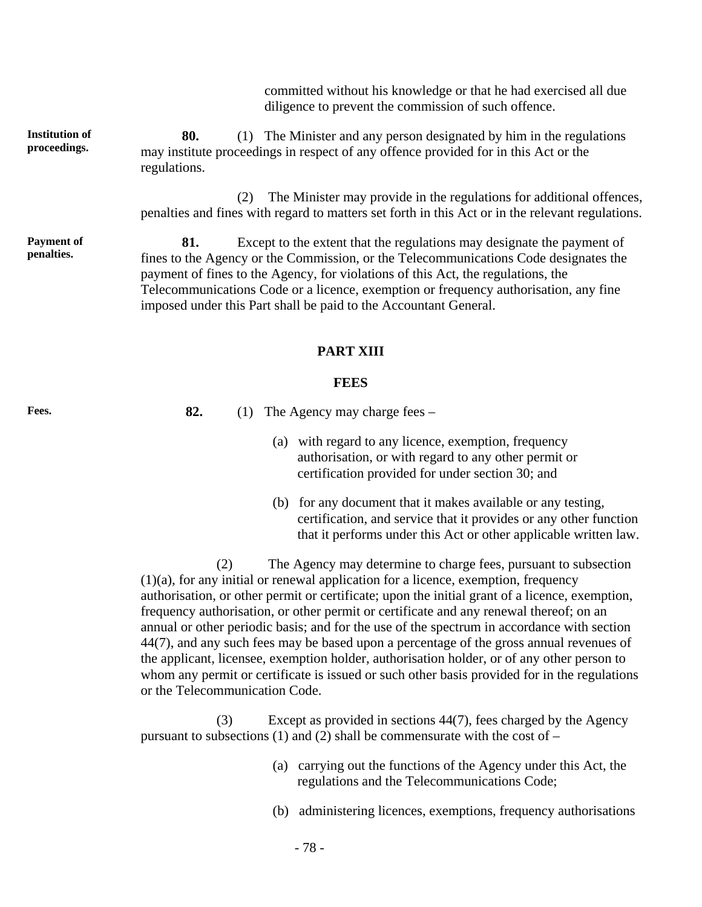committed without his knowledge or that he had exercised all due diligence to prevent the commission of such offence.

**Institution of proceedings. 80.** (1) The Minister and any person designated by him in the regulations may institute proceedings in respect of any offence provided for in this Act or the regulations.

> (2) The Minister may provide in the regulations for additional offences, penalties and fines with regard to matters set forth in this Act or in the relevant regulations.

**81.** Except to the extent that the regulations may designate the payment of fines to the Agency or the Commission, or the Telecommunications Code designates the payment of fines to the Agency, for violations of this Act, the regulations, the Telecommunications Code or a licence, exemption or frequency authorisation, any fine imposed under this Part shall be paid to the Accountant General.

## **PART XIII**

### **FEES**

Fees. 82. (1) The Agency may charge fees –

- (a) with regard to any licence, exemption, frequency authorisation, or with regard to any other permit or certification provided for under section 30; and
- (b) for any document that it makes available or any testing, certification, and service that it provides or any other function that it performs under this Act or other applicable written law.

(2) The Agency may determine to charge fees, pursuant to subsection (1)(a), for any initial or renewal application for a licence, exemption, frequency authorisation, or other permit or certificate; upon the initial grant of a licence, exemption, frequency authorisation, or other permit or certificate and any renewal thereof; on an annual or other periodic basis; and for the use of the spectrum in accordance with section 44(7), and any such fees may be based upon a percentage of the gross annual revenues of the applicant, licensee, exemption holder, authorisation holder, or of any other person to whom any permit or certificate is issued or such other basis provided for in the regulations or the Telecommunication Code.

(3) Except as provided in sections 44(7), fees charged by the Agency pursuant to subsections (1) and (2) shall be commensurate with the cost of –

- (a) carrying out the functions of the Agency under this Act, the regulations and the Telecommunications Code;
- (b) administering licences, exemptions, frequency authorisations

**Payment of penalties.**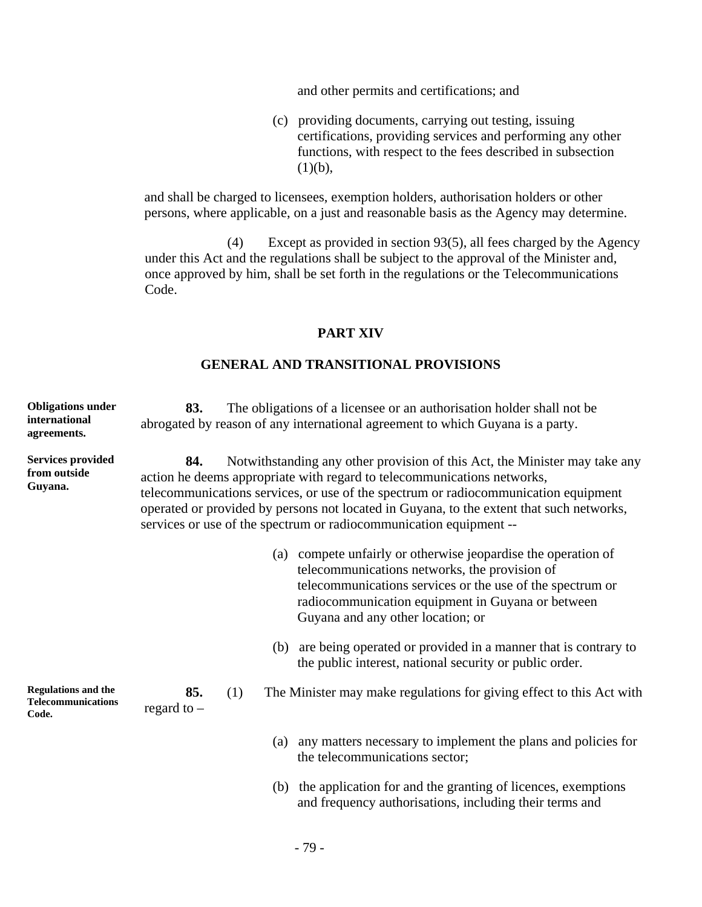and other permits and certifications; and

(c) providing documents, carrying out testing, issuing certifications, providing services and performing any other functions, with respect to the fees described in subsection  $(1)(b)$ ,

and shall be charged to licensees, exemption holders, authorisation holders or other persons, where applicable, on a just and reasonable basis as the Agency may determine.

(4) Except as provided in section 93(5), all fees charged by the Agency under this Act and the regulations shall be subject to the approval of the Minister and, once approved by him, shall be set forth in the regulations or the Telecommunications Code.

## **PART XIV**

# **GENERAL AND TRANSITIONAL PROVISIONS**

| <b>Obligations under</b><br>international<br>agreements.         | 83.                                                                                                                                                                                                                                                                                                                                                                                                                   |     | The obligations of a licensee or an authorisation holder shall not be<br>abrogated by reason of any international agreement to which Guyana is a party.                                                                                                           |
|------------------------------------------------------------------|-----------------------------------------------------------------------------------------------------------------------------------------------------------------------------------------------------------------------------------------------------------------------------------------------------------------------------------------------------------------------------------------------------------------------|-----|-------------------------------------------------------------------------------------------------------------------------------------------------------------------------------------------------------------------------------------------------------------------|
| <b>Services provided</b><br>from outside<br>Guyana.              | 84.<br>Notwithstanding any other provision of this Act, the Minister may take any<br>action he deems appropriate with regard to telecommunications networks,<br>telecommunications services, or use of the spectrum or radiocommunication equipment<br>operated or provided by persons not located in Guyana, to the extent that such networks,<br>services or use of the spectrum or radiocommunication equipment -- |     |                                                                                                                                                                                                                                                                   |
|                                                                  |                                                                                                                                                                                                                                                                                                                                                                                                                       | (a) | compete unfairly or otherwise jeopardise the operation of<br>telecommunications networks, the provision of<br>telecommunications services or the use of the spectrum or<br>radiocommunication equipment in Guyana or between<br>Guyana and any other location; or |
|                                                                  |                                                                                                                                                                                                                                                                                                                                                                                                                       | (b) | are being operated or provided in a manner that is contrary to<br>the public interest, national security or public order.                                                                                                                                         |
| <b>Regulations and the</b><br><b>Telecommunications</b><br>Code. | 85.<br>regard to $-$                                                                                                                                                                                                                                                                                                                                                                                                  | (1) | The Minister may make regulations for giving effect to this Act with                                                                                                                                                                                              |
|                                                                  |                                                                                                                                                                                                                                                                                                                                                                                                                       | (a) | any matters necessary to implement the plans and policies for<br>the telecommunications sector;                                                                                                                                                                   |
|                                                                  |                                                                                                                                                                                                                                                                                                                                                                                                                       | (b) | the application for and the granting of licences, exemptions<br>and frequency authorisations, including their terms and                                                                                                                                           |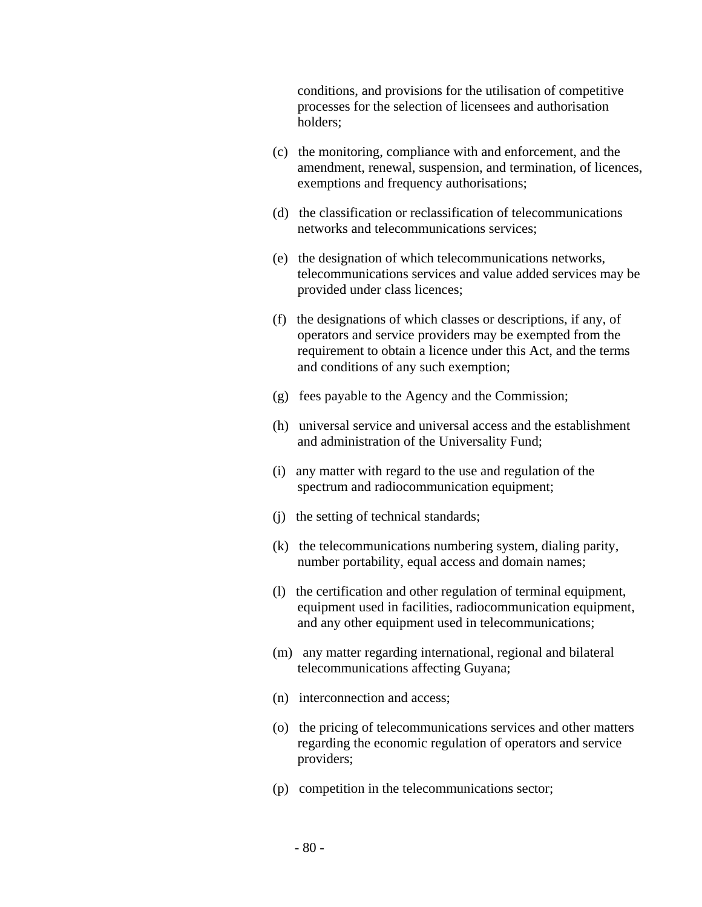conditions, and provisions for the utilisation of competitive processes for the selection of licensees and authorisation holders;

- (c) the monitoring, compliance with and enforcement, and the amendment, renewal, suspension, and termination, of licences, exemptions and frequency authorisations;
- (d) the classification or reclassification of telecommunications networks and telecommunications services;
- (e) the designation of which telecommunications networks, telecommunications services and value added services may be provided under class licences;
- (f) the designations of which classes or descriptions, if any, of operators and service providers may be exempted from the requirement to obtain a licence under this Act, and the terms and conditions of any such exemption;
- (g) fees payable to the Agency and the Commission;
- (h) universal service and universal access and the establishment and administration of the Universality Fund;
- (i) any matter with regard to the use and regulation of the spectrum and radiocommunication equipment;
- (j) the setting of technical standards;
- (k) the telecommunications numbering system, dialing parity, number portability, equal access and domain names;
- (l) the certification and other regulation of terminal equipment, equipment used in facilities, radiocommunication equipment, and any other equipment used in telecommunications;
- (m) any matter regarding international, regional and bilateral telecommunications affecting Guyana;
- (n) interconnection and access;
- (o) the pricing of telecommunications services and other matters regarding the economic regulation of operators and service providers;
- (p) competition in the telecommunications sector;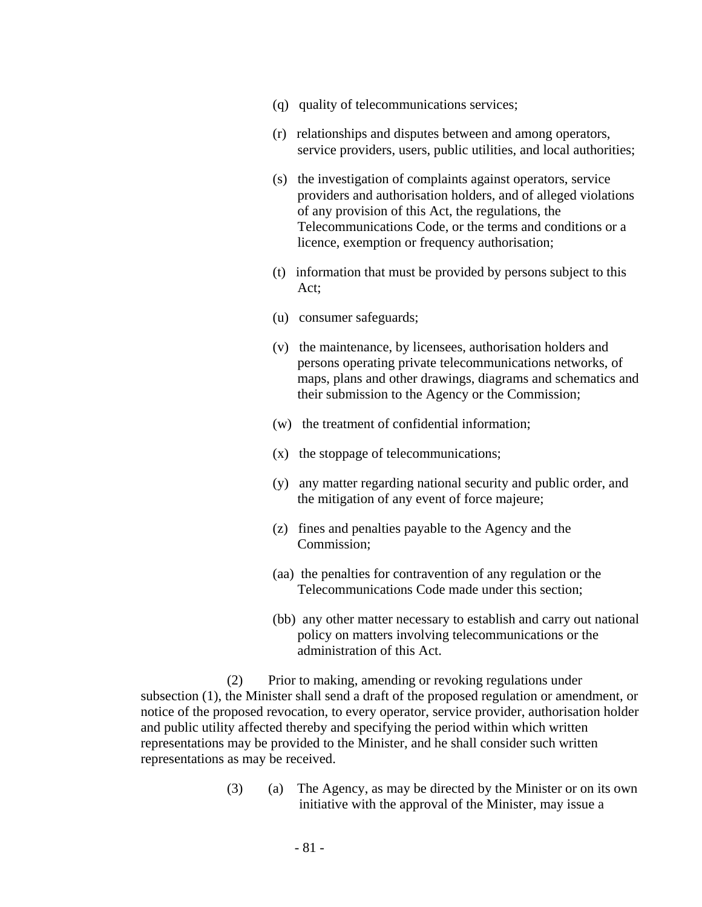- (q) quality of telecommunications services;
- (r) relationships and disputes between and among operators, service providers, users, public utilities, and local authorities;
- (s) the investigation of complaints against operators, service providers and authorisation holders, and of alleged violations of any provision of this Act, the regulations, the Telecommunications Code, or the terms and conditions or a licence, exemption or frequency authorisation;
- (t) information that must be provided by persons subject to this Act;
- (u) consumer safeguards;
- (v) the maintenance, by licensees, authorisation holders and persons operating private telecommunications networks, of maps, plans and other drawings, diagrams and schematics and their submission to the Agency or the Commission;
- (w) the treatment of confidential information;
- (x) the stoppage of telecommunications;
- (y) any matter regarding national security and public order, and the mitigation of any event of force majeure;
- (z) fines and penalties payable to the Agency and the Commission;
- (aa) the penalties for contravention of any regulation or the Telecommunications Code made under this section;
- (bb) any other matter necessary to establish and carry out national policy on matters involving telecommunications or the administration of this Act.

(2) Prior to making, amending or revoking regulations under subsection (1), the Minister shall send a draft of the proposed regulation or amendment, or notice of the proposed revocation, to every operator, service provider, authorisation holder and public utility affected thereby and specifying the period within which written representations may be provided to the Minister, and he shall consider such written representations as may be received.

> (3) (a) The Agency, as may be directed by the Minister or on its own initiative with the approval of the Minister, may issue a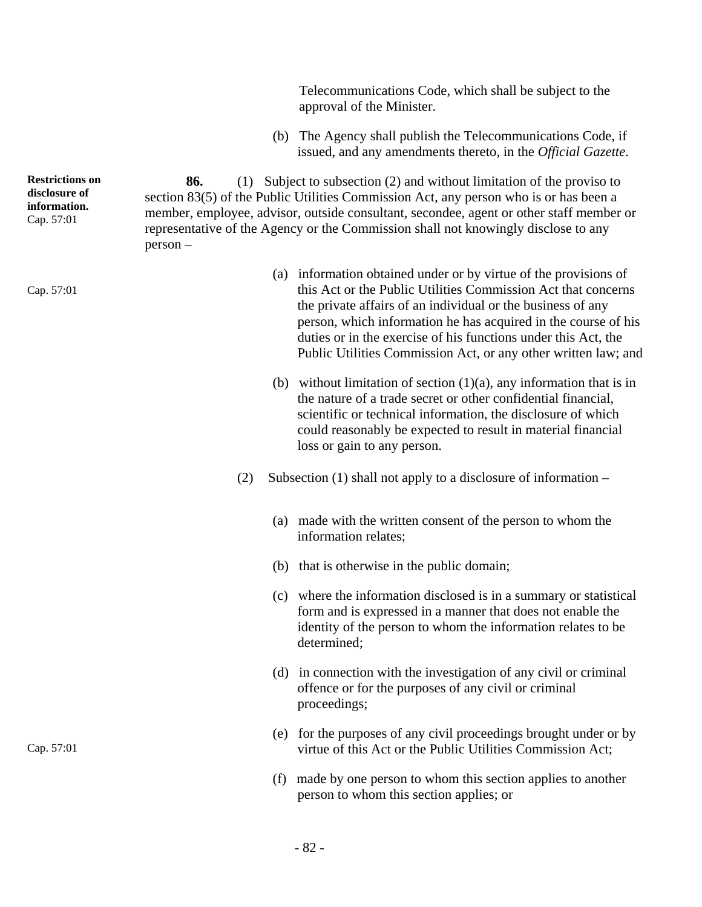Telecommunications Code, which shall be subject to the approval of the Minister.

(b) The Agency shall publish the Telecommunications Code, if issued, and any amendments thereto, in the *Official Gazette*.

**86.** (1) Subject to subsection (2) and without limitation of the proviso to section 83(5) of the Public Utilities Commission Act, any person who is or has been a member, employee, advisor, outside consultant, secondee, agent or other staff member or representative of the Agency or the Commission shall not knowingly disclose to any person –

- (a) information obtained under or by virtue of the provisions of this Act or the Public Utilities Commission Act that concerns the private affairs of an individual or the business of any person, which information he has acquired in the course of his duties or in the exercise of his functions under this Act, the Public Utilities Commission Act, or any other written law; and
- (b) without limitation of section  $(1)(a)$ , any information that is in the nature of a trade secret or other confidential financial, scientific or technical information, the disclosure of which could reasonably be expected to result in material financial loss or gain to any person.
- (2) Subsection (1) shall not apply to a disclosure of information
	- (a) made with the written consent of the person to whom the information relates;
	- (b) that is otherwise in the public domain;
	- (c) where the information disclosed is in a summary or statistical form and is expressed in a manner that does not enable the identity of the person to whom the information relates to be determined;
	- (d) in connection with the investigation of any civil or criminal offence or for the purposes of any civil or criminal proceedings;
	- (e) for the purposes of any civil proceedings brought under or by virtue of this Act or the Public Utilities Commission Act;
	- (f) made by one person to whom this section applies to another person to whom this section applies; or

**Restrictions on disclosure of information.**  Cap. 57:01

Cap. 57:01

Cap. 57:01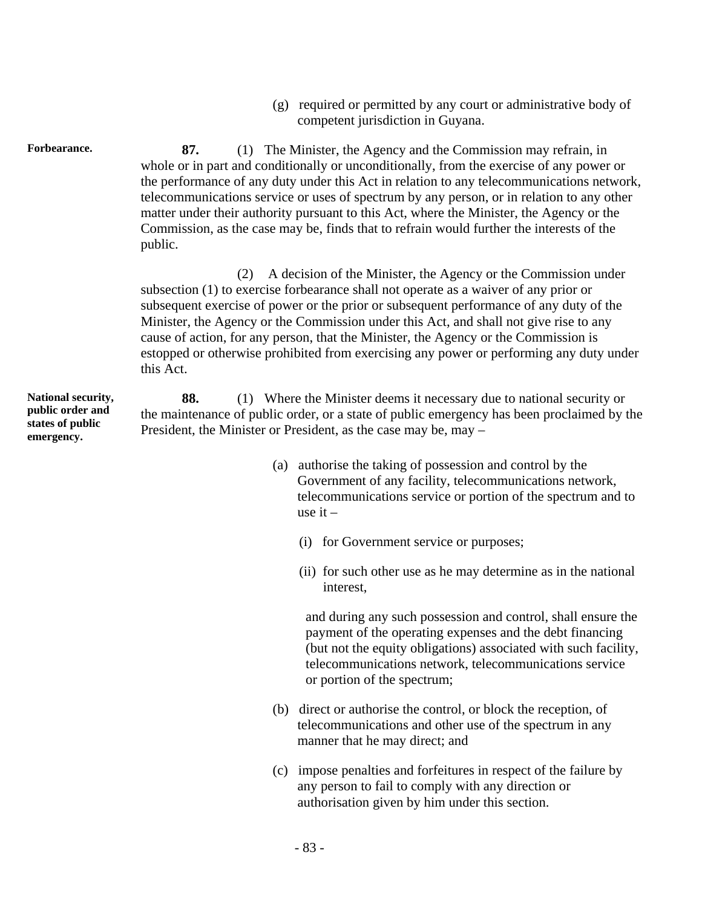(g) required or permitted by any court or administrative body of competent jurisdiction in Guyana.

Forbearance. 87. (1) The Minister, the Agency and the Commission may refrain, in whole or in part and conditionally or unconditionally, from the exercise of any power or the performance of any duty under this Act in relation to any telecommunications network, telecommunications service or uses of spectrum by any person, or in relation to any other matter under their authority pursuant to this Act, where the Minister, the Agency or the Commission, as the case may be, finds that to refrain would further the interests of the public.

> (2) A decision of the Minister, the Agency or the Commission under subsection (1) to exercise forbearance shall not operate as a waiver of any prior or subsequent exercise of power or the prior or subsequent performance of any duty of the Minister, the Agency or the Commission under this Act, and shall not give rise to any cause of action, for any person, that the Minister, the Agency or the Commission is estopped or otherwise prohibited from exercising any power or performing any duty under this Act.

**88.** (1) Where the Minister deems it necessary due to national security or the maintenance of public order, or a state of public emergency has been proclaimed by the President, the Minister or President, as the case may be, may –

- (a) authorise the taking of possession and control by the Government of any facility, telecommunications network, telecommunications service or portion of the spectrum and to use it –
	- (i) for Government service or purposes;
	- (ii) for such other use as he may determine as in the national interest,

and during any such possession and control, shall ensure the payment of the operating expenses and the debt financing (but not the equity obligations) associated with such facility, telecommunications network, telecommunications service or portion of the spectrum;

- (b) direct or authorise the control, or block the reception, of telecommunications and other use of the spectrum in any manner that he may direct; and
- (c) impose penalties and forfeitures in respect of the failure by any person to fail to comply with any direction or authorisation given by him under this section.

**National security, public order and states of public emergency.**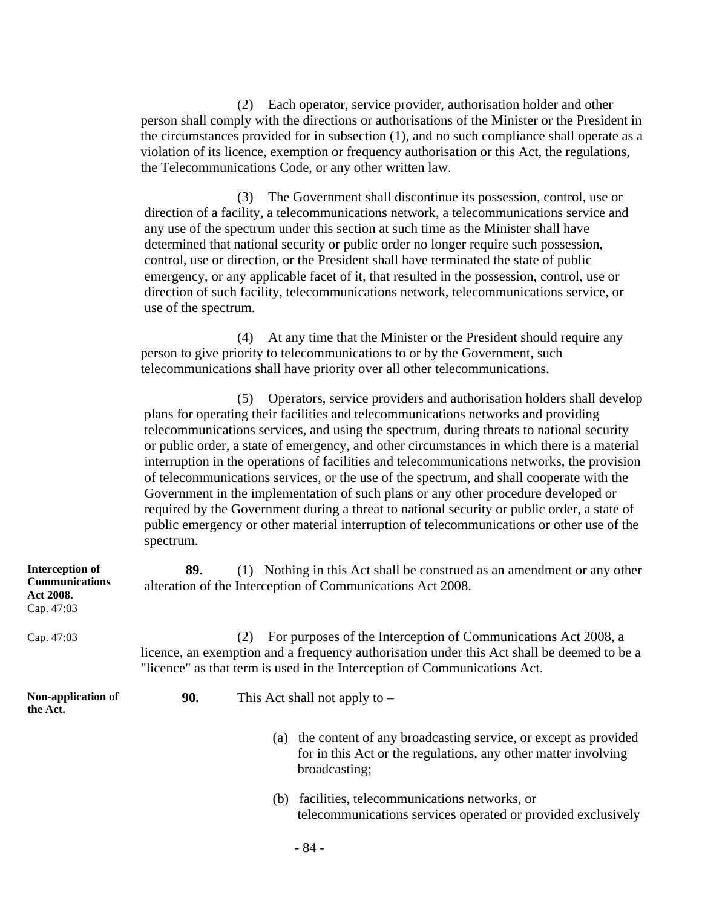(2) Each operator, service provider, authorisation holder and other person shall comply with the directions or authorisations of the Minister or the President in the circumstances provided for in subsection (1), and no such compliance shall operate as a violation of its licence, exemption or frequency authorisation or this Act, the regulations, the Telecommunications Code, or any other written law.

(3) The Government shall discontinue its possession, control, use or direction of a facility, a telecommunications network, a telecommunications service and any use of the spectrum under this section at such time as the Minister shall have determined that national security or public order no longer require such possession, control, use or direction, or the President shall have terminated the state of public emergency, or any applicable facet of it, that resulted in the possession, control, use or direction of such facility, telecommunications network, telecommunications service, or use of the spectrum.

(4) At any time that the Minister or the President should require any person to give priority to telecommunications to or by the Government, such telecommunications shall have priority over all other telecommunications.

(5) Operators, service providers and authorisation holders shall develop plans for operating their facilities and telecommunications networks and providing telecommunications services, and using the spectrum, during threats to national security or public order, a state of emergency, and other circumstances in which there is a material interruption in the operations of facilities and telecommunications networks, the provision of telecommunications services, or the use of the spectrum, and shall cooperate with the Government in the implementation of such plans or any other procedure developed or required by the Government during a threat to national security or public order, a state of public emergency or other material interruption of telecommunications or other use of the spectrum.

| <b>Interception of</b><br><b>Communications</b><br>Act 2008.<br>Cap. 47:03 | 89. | (1) Nothing in this Act shall be construed as an amendment or any other<br>alteration of the Interception of Communications Act 2008.                                                                                                                       |
|----------------------------------------------------------------------------|-----|-------------------------------------------------------------------------------------------------------------------------------------------------------------------------------------------------------------------------------------------------------------|
| Cap. 47:03                                                                 |     | For purposes of the Interception of Communications Act 2008, a<br><sup>(2)</sup><br>licence, an exemption and a frequency authorisation under this Act shall be deemed to be a<br>"licence" as that term is used in the Interception of Communications Act. |
| Non-application of<br>the Act.                                             | 90. | This Act shall not apply to $-$                                                                                                                                                                                                                             |
|                                                                            |     | the content of any broadcasting service, or except as provided<br>(a)<br>for in this Act or the regulations, any other matter involving<br>broadcasting;                                                                                                    |
|                                                                            |     | (b) facilities, telecommunications networks, or<br>telecommunications services operated or provided exclusively                                                                                                                                             |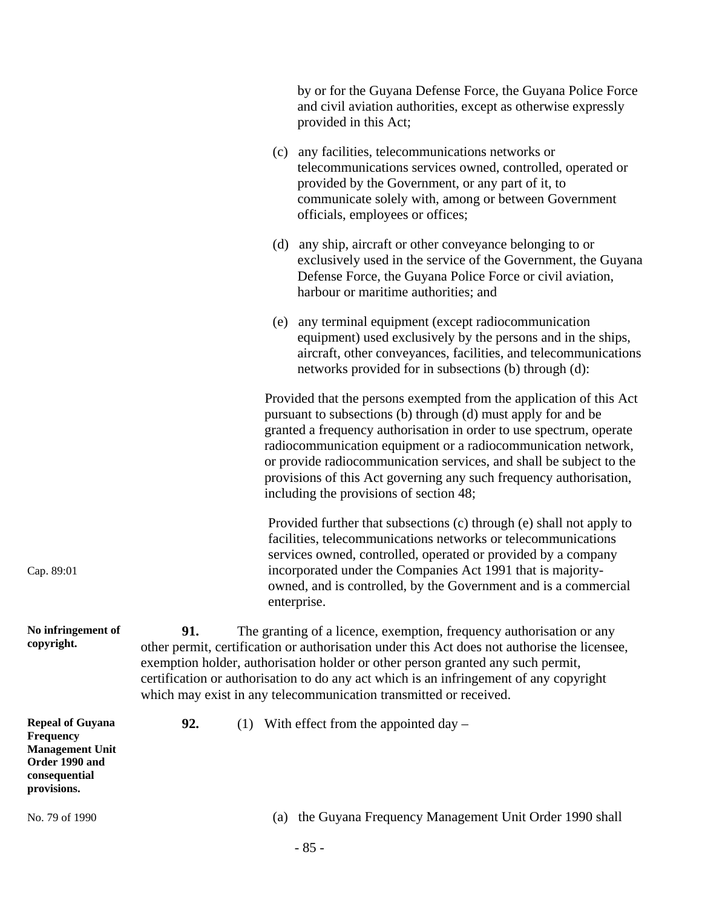|                                                                                                                  |                                                                                                                                                                                                                                                                                                                                                                                                                               |     | by or for the Guyana Defense Force, the Guyana Police Force<br>and civil aviation authorities, except as otherwise expressly<br>provided in this Act;                                                                                                                                                                                                                                                                                                                |
|------------------------------------------------------------------------------------------------------------------|-------------------------------------------------------------------------------------------------------------------------------------------------------------------------------------------------------------------------------------------------------------------------------------------------------------------------------------------------------------------------------------------------------------------------------|-----|----------------------------------------------------------------------------------------------------------------------------------------------------------------------------------------------------------------------------------------------------------------------------------------------------------------------------------------------------------------------------------------------------------------------------------------------------------------------|
|                                                                                                                  |                                                                                                                                                                                                                                                                                                                                                                                                                               |     | (c) any facilities, telecommunications networks or<br>telecommunications services owned, controlled, operated or<br>provided by the Government, or any part of it, to<br>communicate solely with, among or between Government<br>officials, employees or offices;                                                                                                                                                                                                    |
|                                                                                                                  |                                                                                                                                                                                                                                                                                                                                                                                                                               |     | (d) any ship, aircraft or other conveyance belonging to or<br>exclusively used in the service of the Government, the Guyana<br>Defense Force, the Guyana Police Force or civil aviation,<br>harbour or maritime authorities; and                                                                                                                                                                                                                                     |
|                                                                                                                  |                                                                                                                                                                                                                                                                                                                                                                                                                               |     | (e) any terminal equipment (except radiocommunication<br>equipment) used exclusively by the persons and in the ships,<br>aircraft, other conveyances, facilities, and telecommunications<br>networks provided for in subsections (b) through (d):                                                                                                                                                                                                                    |
|                                                                                                                  |                                                                                                                                                                                                                                                                                                                                                                                                                               |     | Provided that the persons exempted from the application of this Act<br>pursuant to subsections (b) through (d) must apply for and be<br>granted a frequency authorisation in order to use spectrum, operate<br>radiocommunication equipment or a radiocommunication network,<br>or provide radiocommunication services, and shall be subject to the<br>provisions of this Act governing any such frequency authorisation,<br>including the provisions of section 48; |
| Cap. 89:01                                                                                                       |                                                                                                                                                                                                                                                                                                                                                                                                                               |     | Provided further that subsections (c) through (e) shall not apply to<br>facilities, telecommunications networks or telecommunications<br>services owned, controlled, operated or provided by a company<br>incorporated under the Companies Act 1991 that is majority-<br>owned, and is controlled, by the Government and is a commercial<br>enterprise.                                                                                                              |
| No infringement of<br>copyright.                                                                                 | 91.<br>The granting of a licence, exemption, frequency authorisation or any<br>other permit, certification or authorisation under this Act does not authorise the licensee,<br>exemption holder, authorisation holder or other person granted any such permit,<br>certification or authorisation to do any act which is an infringement of any copyright<br>which may exist in any telecommunication transmitted or received. |     |                                                                                                                                                                                                                                                                                                                                                                                                                                                                      |
| <b>Repeal of Guyana</b><br>Frequency<br><b>Management Unit</b><br>Order 1990 and<br>consequential<br>provisions. | 92.                                                                                                                                                                                                                                                                                                                                                                                                                           |     | (1) With effect from the appointed day $-$                                                                                                                                                                                                                                                                                                                                                                                                                           |
| No. 79 of 1990                                                                                                   |                                                                                                                                                                                                                                                                                                                                                                                                                               | (a) | the Guyana Frequency Management Unit Order 1990 shall                                                                                                                                                                                                                                                                                                                                                                                                                |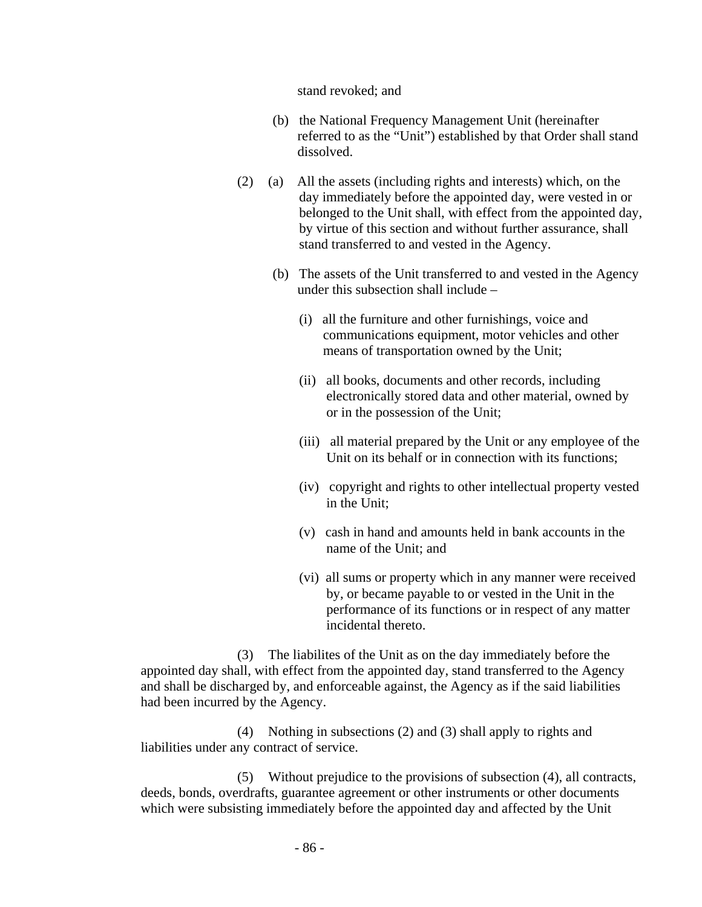stand revoked; and

- (b) the National Frequency Management Unit (hereinafter referred to as the "Unit") established by that Order shall stand dissolved.
- (2) (a) All the assets (including rights and interests) which, on the day immediately before the appointed day, were vested in or belonged to the Unit shall, with effect from the appointed day, by virtue of this section and without further assurance, shall stand transferred to and vested in the Agency.
	- (b) The assets of the Unit transferred to and vested in the Agency under this subsection shall include –
		- (i) all the furniture and other furnishings, voice and communications equipment, motor vehicles and other means of transportation owned by the Unit;
		- (ii) all books, documents and other records, including electronically stored data and other material, owned by or in the possession of the Unit;
		- (iii) all material prepared by the Unit or any employee of the Unit on its behalf or in connection with its functions;
		- (iv) copyright and rights to other intellectual property vested in the Unit;
		- (v) cash in hand and amounts held in bank accounts in the name of the Unit; and
		- (vi) all sums or property which in any manner were received by, or became payable to or vested in the Unit in the performance of its functions or in respect of any matter incidental thereto.

(3) The liabilites of the Unit as on the day immediately before the appointed day shall, with effect from the appointed day, stand transferred to the Agency and shall be discharged by, and enforceable against, the Agency as if the said liabilities had been incurred by the Agency.

(4) Nothing in subsections (2) and (3) shall apply to rights and liabilities under any contract of service.

(5) Without prejudice to the provisions of subsection (4), all contracts, deeds, bonds, overdrafts, guarantee agreement or other instruments or other documents which were subsisting immediately before the appointed day and affected by the Unit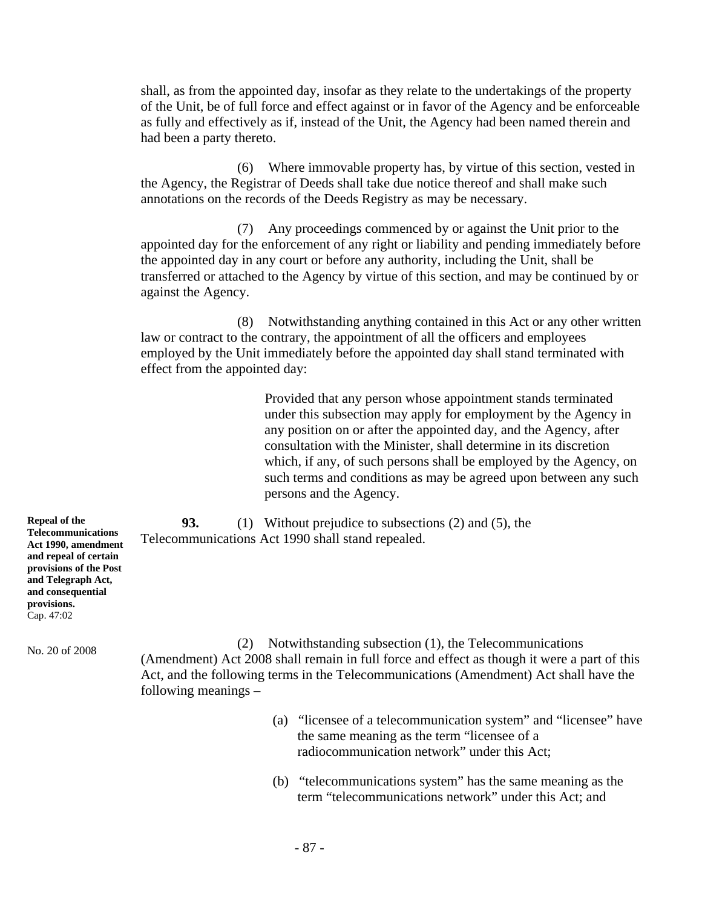shall, as from the appointed day, insofar as they relate to the undertakings of the property of the Unit, be of full force and effect against or in favor of the Agency and be enforceable as fully and effectively as if, instead of the Unit, the Agency had been named therein and had been a party thereto.

(6) Where immovable property has, by virtue of this section, vested in the Agency, the Registrar of Deeds shall take due notice thereof and shall make such annotations on the records of the Deeds Registry as may be necessary.

(7) Any proceedings commenced by or against the Unit prior to the appointed day for the enforcement of any right or liability and pending immediately before the appointed day in any court or before any authority, including the Unit, shall be transferred or attached to the Agency by virtue of this section, and may be continued by or against the Agency.

(8) Notwithstanding anything contained in this Act or any other written law or contract to the contrary, the appointment of all the officers and employees employed by the Unit immediately before the appointed day shall stand terminated with effect from the appointed day:

> Provided that any person whose appointment stands terminated under this subsection may apply for employment by the Agency in any position on or after the appointed day, and the Agency, after consultation with the Minister, shall determine in its discretion which, if any, of such persons shall be employed by the Agency, on such terms and conditions as may be agreed upon between any such persons and the Agency.

**93.** (1) Without prejudice to subsections (2) and (5), the Telecommunications Act 1990 shall stand repealed.

**Repeal of the Telecommunications Act 1990, amendment and repeal of certain provisions of the Post and Telegraph Act, and consequential provisions.**  Cap. 47:02

No. 20 of 2008 (2) Notwithstanding subsection (1), the Telecommunications (Amendment) Act 2008 shall remain in full force and effect as though it were a part of this Act, and the following terms in the Telecommunications (Amendment) Act shall have the following meanings –

- (a) "licensee of a telecommunication system" and "licensee" have the same meaning as the term "licensee of a radiocommunication network" under this Act;
- (b) "telecommunications system" has the same meaning as the term "telecommunications network" under this Act; and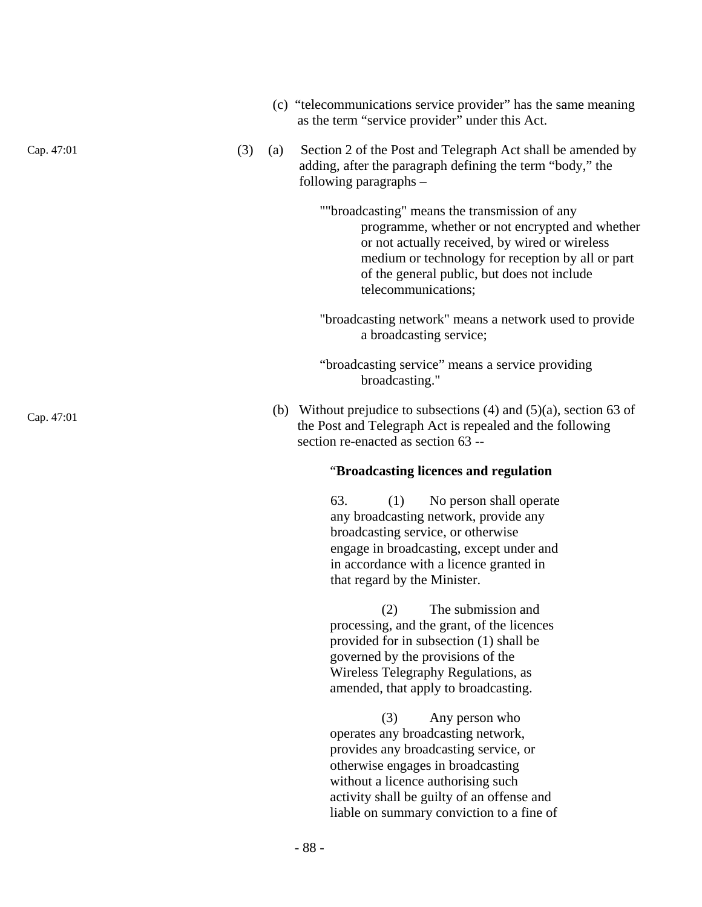- (c) "telecommunications service provider" has the same meaning as the term "service provider" under this Act.
- Cap. 47:01 (3) (a) Section 2 of the Post and Telegraph Act shall be amended by adding, after the paragraph defining the term "body," the following paragraphs –

""broadcasting" means the transmission of any programme, whether or not encrypted and whether or not actually received, by wired or wireless medium or technology for reception by all or part of the general public, but does not include telecommunications;

- "broadcasting network" means a network used to provide a broadcasting service;
- "broadcasting service" means a service providing broadcasting."
- Cap. 47:01 (b) Without prejudice to subsections (4) and (5)(a), section 63 of the Post and Telegraph Act is repealed and the following section re-enacted as section 63 --

# "**Broadcasting licences and regulation**

63. (1) No person shall operate any broadcasting network, provide any broadcasting service, or otherwise engage in broadcasting, except under and in accordance with a licence granted in that regard by the Minister.

(2) The submission and processing, and the grant, of the licences provided for in subsection (1) shall be governed by the provisions of the Wireless Telegraphy Regulations, as amended, that apply to broadcasting.

(3) Any person who operates any broadcasting network, provides any broadcasting service, or otherwise engages in broadcasting without a licence authorising such activity shall be guilty of an offense and liable on summary conviction to a fine of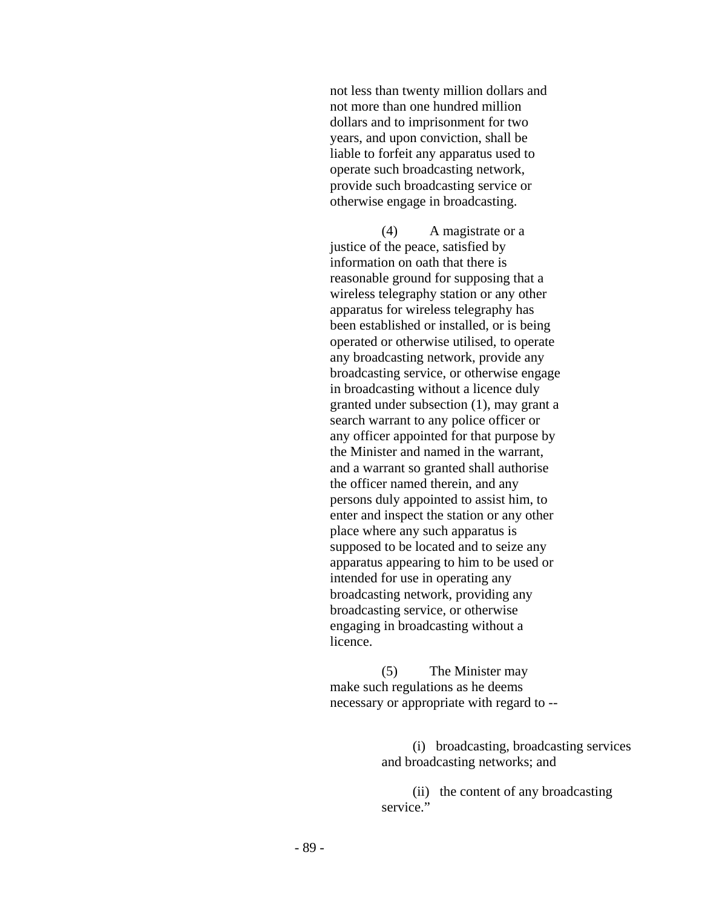not less than twenty million dollars and not more than one hundred million dollars and to imprisonment for two years, and upon conviction, shall be liable to forfeit any apparatus used to operate such broadcasting network, provide such broadcasting service or otherwise engage in broadcasting.

(4) A magistrate or a justice of the peace, satisfied by information on oath that there is reasonable ground for supposing that a wireless telegraphy station or any other apparatus for wireless telegraphy has been established or installed, or is being operated or otherwise utilised, to operate any broadcasting network, provide any broadcasting service, or otherwise engage in broadcasting without a licence duly granted under subsection (1), may grant a search warrant to any police officer or any officer appointed for that purpose by the Minister and named in the warrant, and a warrant so granted shall authorise the officer named therein, and any persons duly appointed to assist him, to enter and inspect the station or any other place where any such apparatus is supposed to be located and to seize any apparatus appearing to him to be used or intended for use in operating any broadcasting network, providing any broadcasting service, or otherwise engaging in broadcasting without a licence.

(5) The Minister may make such regulations as he deems necessary or appropriate with regard to --

> (i) broadcasting, broadcasting services and broadcasting networks; and

(ii) the content of any broadcasting service."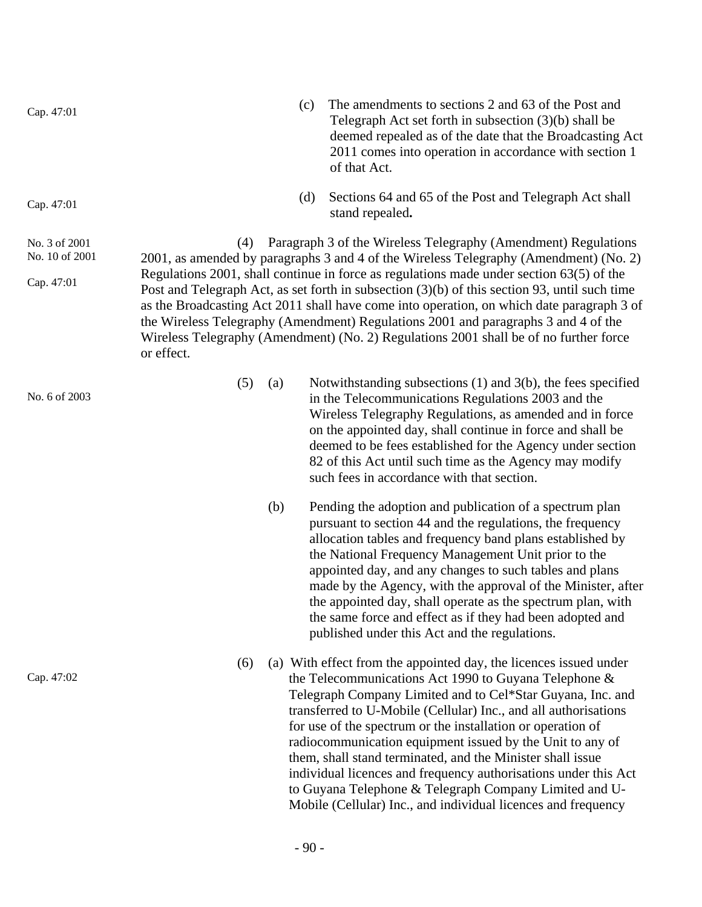| Cap. 47:01                                    | The amendments to sections 2 and 63 of the Post and<br>(c)<br>Telegraph Act set forth in subsection $(3)(b)$ shall be<br>deemed repealed as of the date that the Broadcasting Act<br>2011 comes into operation in accordance with section 1<br>of that Act.                                                                                                                                                                                                                                                                                                                                                                                                |
|-----------------------------------------------|------------------------------------------------------------------------------------------------------------------------------------------------------------------------------------------------------------------------------------------------------------------------------------------------------------------------------------------------------------------------------------------------------------------------------------------------------------------------------------------------------------------------------------------------------------------------------------------------------------------------------------------------------------|
| Cap. 47:01                                    | (d)<br>Sections 64 and 65 of the Post and Telegraph Act shall<br>stand repealed.                                                                                                                                                                                                                                                                                                                                                                                                                                                                                                                                                                           |
| No. 3 of 2001<br>No. 10 of 2001<br>Cap. 47:01 | Paragraph 3 of the Wireless Telegraphy (Amendment) Regulations<br>(4)<br>2001, as amended by paragraphs 3 and 4 of the Wireless Telegraphy (Amendment) (No. 2)<br>Regulations 2001, shall continue in force as regulations made under section $63(5)$ of the<br>Post and Telegraph Act, as set forth in subsection $(3)(b)$ of this section 93, until such time<br>as the Broadcasting Act 2011 shall have come into operation, on which date paragraph 3 of<br>the Wireless Telegraphy (Amendment) Regulations 2001 and paragraphs 3 and 4 of the<br>Wireless Telegraphy (Amendment) (No. 2) Regulations 2001 shall be of no further force<br>or effect.  |
| No. 6 of 2003                                 | (5)<br>Notwithstanding subsections $(1)$ and $3(b)$ , the fees specified<br>(a)<br>in the Telecommunications Regulations 2003 and the<br>Wireless Telegraphy Regulations, as amended and in force<br>on the appointed day, shall continue in force and shall be<br>deemed to be fees established for the Agency under section<br>82 of this Act until such time as the Agency may modify<br>such fees in accordance with that section.                                                                                                                                                                                                                     |
|                                               | (b)<br>Pending the adoption and publication of a spectrum plan<br>pursuant to section 44 and the regulations, the frequency<br>allocation tables and frequency band plans established by<br>the National Frequency Management Unit prior to the<br>appointed day, and any changes to such tables and plans<br>made by the Agency, with the approval of the Minister, after<br>the appointed day, shall operate as the spectrum plan, with<br>the same force and effect as if they had been adopted and<br>published under this Act and the regulations.                                                                                                    |
| Cap. 47:02                                    | (a) With effect from the appointed day, the licences issued under<br>(6)<br>the Telecommunications Act 1990 to Guyana Telephone &<br>Telegraph Company Limited and to Cel*Star Guyana, Inc. and<br>transferred to U-Mobile (Cellular) Inc., and all authorisations<br>for use of the spectrum or the installation or operation of<br>radiocommunication equipment issued by the Unit to any of<br>them, shall stand terminated, and the Minister shall issue<br>individual licences and frequency authorisations under this Act<br>to Guyana Telephone & Telegraph Company Limited and U-<br>Mobile (Cellular) Inc., and individual licences and frequency |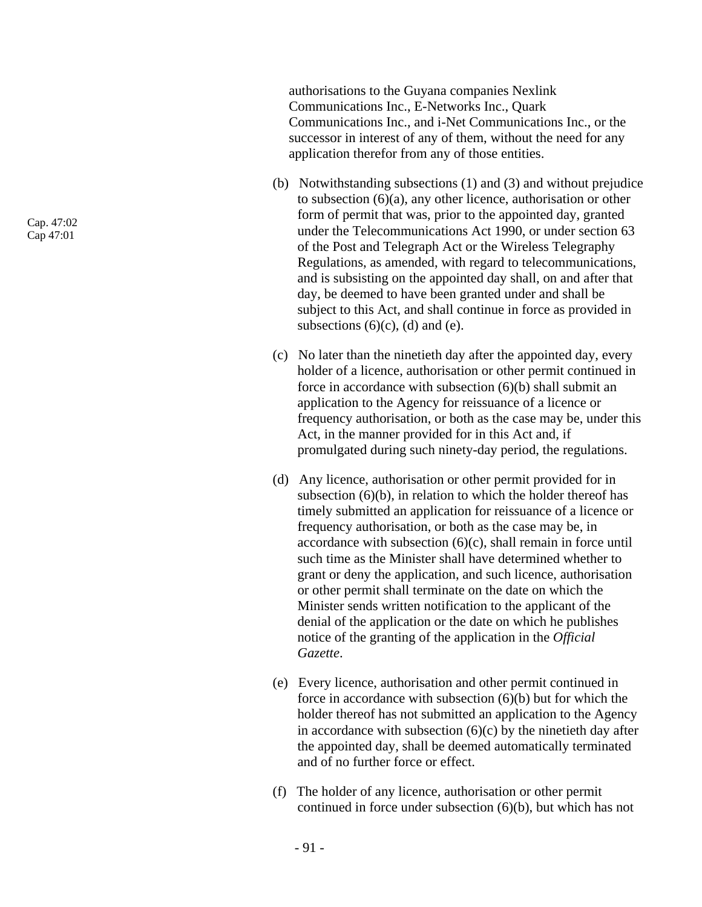authorisations to the Guyana companies Nexlink Communications Inc., E-Networks Inc., Quark Communications Inc., and i-Net Communications Inc., or the successor in interest of any of them, without the need for any application therefor from any of those entities.

- (b) Notwithstanding subsections (1) and (3) and without prejudice to subsection (6)(a), any other licence, authorisation or other form of permit that was, prior to the appointed day, granted under the Telecommunications Act 1990, or under section 63 of the Post and Telegraph Act or the Wireless Telegraphy Regulations, as amended, with regard to telecommunications, and is subsisting on the appointed day shall, on and after that day, be deemed to have been granted under and shall be subject to this Act, and shall continue in force as provided in subsections  $(6)(c)$ ,  $(d)$  and  $(e)$ .
- (c) No later than the ninetieth day after the appointed day, every holder of a licence, authorisation or other permit continued in force in accordance with subsection (6)(b) shall submit an application to the Agency for reissuance of a licence or frequency authorisation, or both as the case may be, under this Act, in the manner provided for in this Act and, if promulgated during such ninety-day period, the regulations.
- (d) Any licence, authorisation or other permit provided for in subsection  $(6)(b)$ , in relation to which the holder thereof has timely submitted an application for reissuance of a licence or frequency authorisation, or both as the case may be, in accordance with subsection  $(6)(c)$ , shall remain in force until such time as the Minister shall have determined whether to grant or deny the application, and such licence, authorisation or other permit shall terminate on the date on which the Minister sends written notification to the applicant of the denial of the application or the date on which he publishes notice of the granting of the application in the *Official Gazette*.
- (e) Every licence, authorisation and other permit continued in force in accordance with subsection (6)(b) but for which the holder thereof has not submitted an application to the Agency in accordance with subsection  $(6)(c)$  by the ninetieth day after the appointed day, shall be deemed automatically terminated and of no further force or effect.
- (f) The holder of any licence, authorisation or other permit continued in force under subsection (6)(b), but which has not

Cap. 47:02 Cap 47:01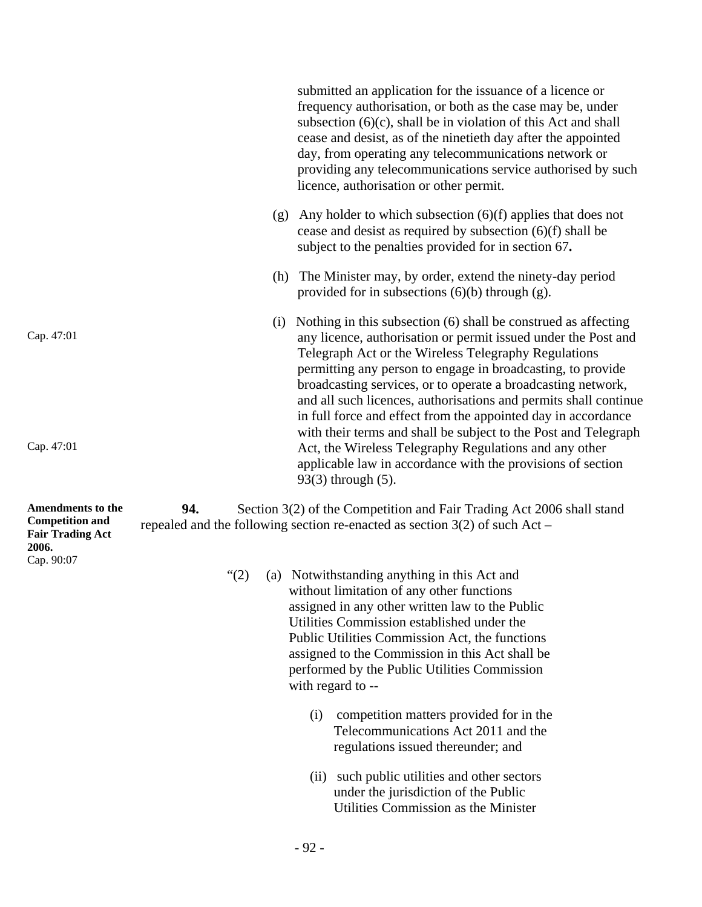|                                                                                               |          |     | submitted an application for the issuance of a licence or<br>frequency authorisation, or both as the case may be, under<br>subsection $(6)(c)$ , shall be in violation of this Act and shall<br>cease and desist, as of the ninetieth day after the appointed<br>day, from operating any telecommunications network or<br>providing any telecommunications service authorised by such<br>licence, authorisation or other permit.                                                                                                |
|-----------------------------------------------------------------------------------------------|----------|-----|---------------------------------------------------------------------------------------------------------------------------------------------------------------------------------------------------------------------------------------------------------------------------------------------------------------------------------------------------------------------------------------------------------------------------------------------------------------------------------------------------------------------------------|
|                                                                                               |          | (g) | Any holder to which subsection $(6)(f)$ applies that does not<br>cease and desist as required by subsection $(6)(f)$ shall be<br>subject to the penalties provided for in section 67.                                                                                                                                                                                                                                                                                                                                           |
|                                                                                               |          | (h) | The Minister may, by order, extend the ninety-day period<br>provided for in subsections $(6)(b)$ through $(g)$ .                                                                                                                                                                                                                                                                                                                                                                                                                |
| Cap. 47:01                                                                                    |          | (i) | Nothing in this subsection (6) shall be construed as affecting<br>any licence, authorisation or permit issued under the Post and<br>Telegraph Act or the Wireless Telegraphy Regulations<br>permitting any person to engage in broadcasting, to provide<br>broadcasting services, or to operate a broadcasting network,<br>and all such licences, authorisations and permits shall continue<br>in full force and effect from the appointed day in accordance<br>with their terms and shall be subject to the Post and Telegraph |
| Cap. 47:01                                                                                    |          |     | Act, the Wireless Telegraphy Regulations and any other<br>applicable law in accordance with the provisions of section<br>$93(3)$ through $(5)$ .                                                                                                                                                                                                                                                                                                                                                                                |
| Amendments to the<br><b>Competition and</b><br><b>Fair Trading Act</b><br>2006.<br>Cap. 90:07 | 94.      |     | Section 3(2) of the Competition and Fair Trading Act 2006 shall stand<br>repealed and the following section re-enacted as section $3(2)$ of such Act –                                                                                                                                                                                                                                                                                                                                                                          |
|                                                                                               | $\lq(2)$ |     | (a) Notwithstanding anything in this Act and<br>without limitation of any other functions<br>assigned in any other written law to the Public<br>Utilities Commission established under the<br>Public Utilities Commission Act, the functions<br>assigned to the Commission in this Act shall be<br>performed by the Public Utilities Commission<br>with regard to --                                                                                                                                                            |
|                                                                                               |          |     | competition matters provided for in the<br>(i)<br>Telecommunications Act 2011 and the<br>regulations issued thereunder; and                                                                                                                                                                                                                                                                                                                                                                                                     |
|                                                                                               |          |     | (ii) such public utilities and other sectors<br>under the jurisdiction of the Public<br>Utilities Commission as the Minister                                                                                                                                                                                                                                                                                                                                                                                                    |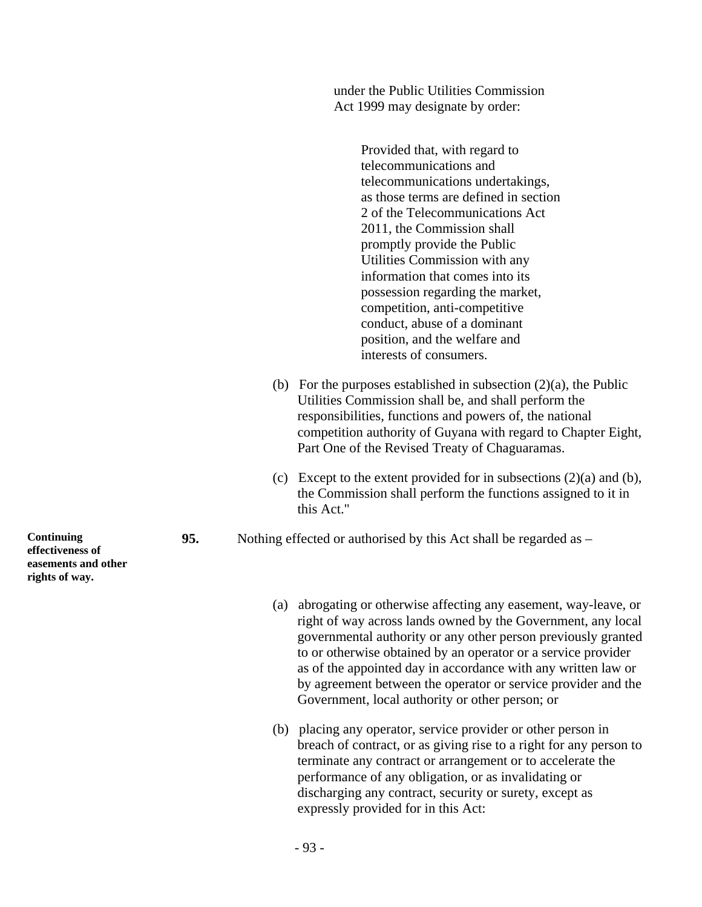under the Public Utilities Commission Act 1999 may designate by order:

> Provided that, with regard to telecommunications and telecommunications undertakings, as those terms are defined in section 2 of the Telecommunications Act 2011, the Commission shall promptly provide the Public Utilities Commission with any information that comes into its possession regarding the market, competition, anti-competitive conduct, abuse of a dominant position, and the welfare and interests of consumers.

- (b) For the purposes established in subsection  $(2)(a)$ , the Public Utilities Commission shall be, and shall perform the responsibilities, functions and powers of, the national competition authority of Guyana with regard to Chapter Eight, Part One of the Revised Treaty of Chaguaramas.
- (c) Except to the extent provided for in subsections  $(2)(a)$  and  $(b)$ , the Commission shall perform the functions assigned to it in this Act."
- **95.** Nothing effected or authorised by this Act shall be regarded as
	- (a) abrogating or otherwise affecting any easement, way-leave, or right of way across lands owned by the Government, any local governmental authority or any other person previously granted to or otherwise obtained by an operator or a service provider as of the appointed day in accordance with any written law or by agreement between the operator or service provider and the Government, local authority or other person; or
	- (b) placing any operator, service provider or other person in breach of contract, or as giving rise to a right for any person to terminate any contract or arrangement or to accelerate the performance of any obligation, or as invalidating or discharging any contract, security or surety, except as expressly provided for in this Act:

**Continuing effectiveness of easements and other rights of way.**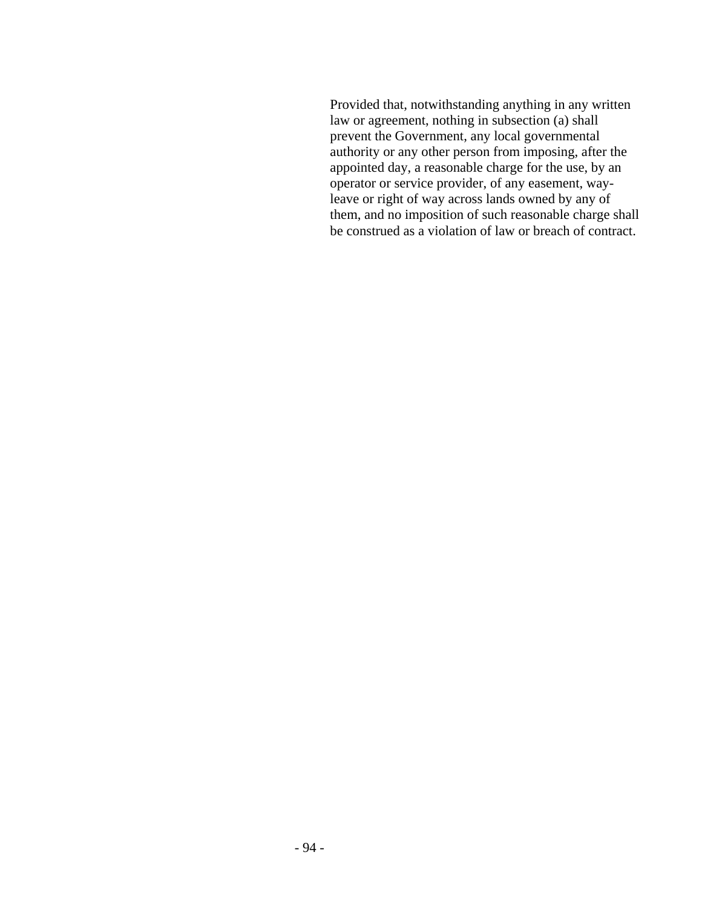Provided that, notwithstanding anything in any written law or agreement, nothing in subsection (a) shall prevent the Government, any local governmental authority or any other person from imposing, after the appointed day, a reasonable charge for the use, by an operator or service provider, of any easement, wayleave or right of way across lands owned by any of them, and no imposition of such reasonable charge shall be construed as a violation of law or breach of contract.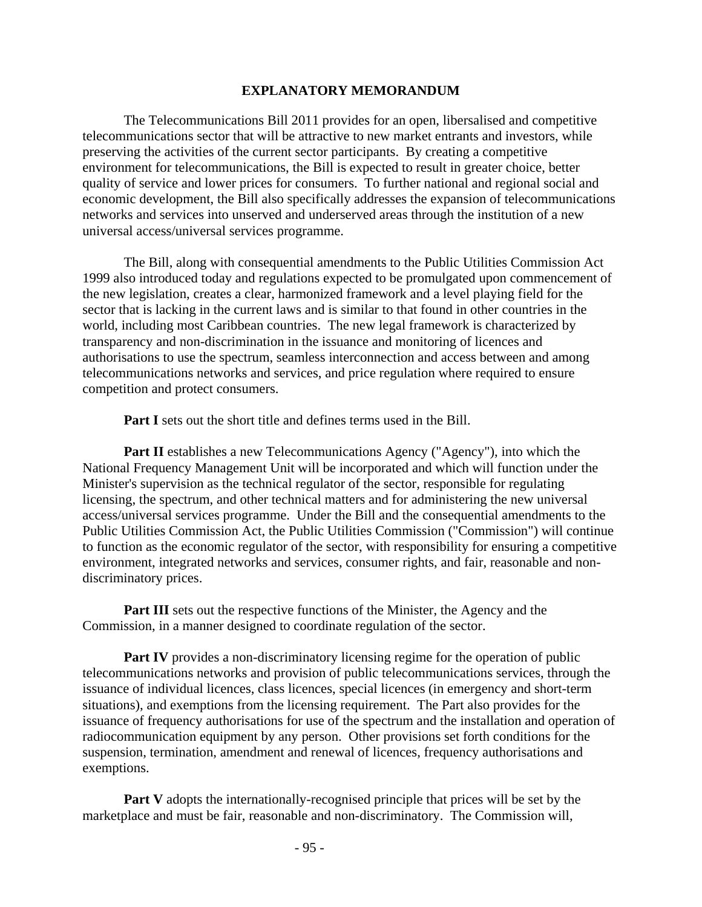### **EXPLANATORY MEMORANDUM**

 The Telecommunications Bill 2011 provides for an open, libersalised and competitive telecommunications sector that will be attractive to new market entrants and investors, while preserving the activities of the current sector participants. By creating a competitive environment for telecommunications, the Bill is expected to result in greater choice, better quality of service and lower prices for consumers. To further national and regional social and economic development, the Bill also specifically addresses the expansion of telecommunications networks and services into unserved and underserved areas through the institution of a new universal access/universal services programme.

 The Bill, along with consequential amendments to the Public Utilities Commission Act 1999 also introduced today and regulations expected to be promulgated upon commencement of the new legislation, creates a clear, harmonized framework and a level playing field for the sector that is lacking in the current laws and is similar to that found in other countries in the world, including most Caribbean countries. The new legal framework is characterized by transparency and non-discrimination in the issuance and monitoring of licences and authorisations to use the spectrum, seamless interconnection and access between and among telecommunications networks and services, and price regulation where required to ensure competition and protect consumers.

**Part I** sets out the short title and defines terms used in the Bill.

**Part II** establishes a new Telecommunications Agency ("Agency"), into which the National Frequency Management Unit will be incorporated and which will function under the Minister's supervision as the technical regulator of the sector, responsible for regulating licensing, the spectrum, and other technical matters and for administering the new universal access/universal services programme. Under the Bill and the consequential amendments to the Public Utilities Commission Act, the Public Utilities Commission ("Commission") will continue to function as the economic regulator of the sector, with responsibility for ensuring a competitive environment, integrated networks and services, consumer rights, and fair, reasonable and nondiscriminatory prices.

**Part III** sets out the respective functions of the Minister, the Agency and the Commission, in a manner designed to coordinate regulation of the sector.

**Part IV** provides a non-discriminatory licensing regime for the operation of public telecommunications networks and provision of public telecommunications services, through the issuance of individual licences, class licences, special licences (in emergency and short-term situations), and exemptions from the licensing requirement. The Part also provides for the issuance of frequency authorisations for use of the spectrum and the installation and operation of radiocommunication equipment by any person. Other provisions set forth conditions for the suspension, termination, amendment and renewal of licences, frequency authorisations and exemptions.

**Part V** adopts the internationally-recognised principle that prices will be set by the marketplace and must be fair, reasonable and non-discriminatory. The Commission will,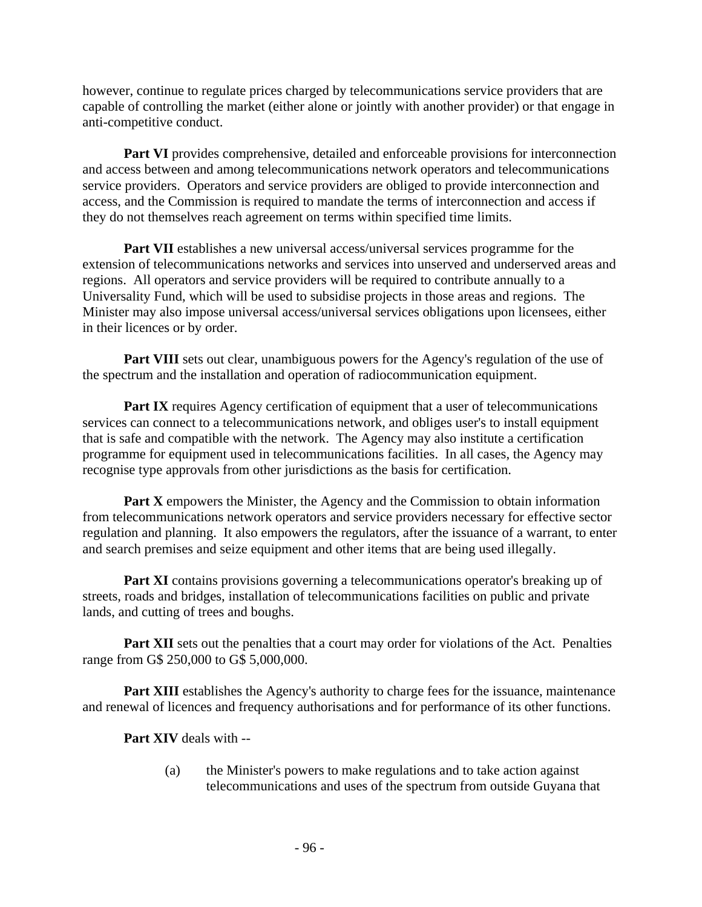however, continue to regulate prices charged by telecommunications service providers that are capable of controlling the market (either alone or jointly with another provider) or that engage in anti-competitive conduct.

**Part VI** provides comprehensive, detailed and enforceable provisions for interconnection and access between and among telecommunications network operators and telecommunications service providers. Operators and service providers are obliged to provide interconnection and access, and the Commission is required to mandate the terms of interconnection and access if they do not themselves reach agreement on terms within specified time limits.

**Part VII** establishes a new universal access/universal services programme for the extension of telecommunications networks and services into unserved and underserved areas and regions. All operators and service providers will be required to contribute annually to a Universality Fund, which will be used to subsidise projects in those areas and regions. The Minister may also impose universal access/universal services obligations upon licensees, either in their licences or by order.

**Part VIII** sets out clear, unambiguous powers for the Agency's regulation of the use of the spectrum and the installation and operation of radiocommunication equipment.

**Part IX** requires Agency certification of equipment that a user of telecommunications services can connect to a telecommunications network, and obliges user's to install equipment that is safe and compatible with the network. The Agency may also institute a certification programme for equipment used in telecommunications facilities. In all cases, the Agency may recognise type approvals from other jurisdictions as the basis for certification.

Part X empowers the Minister, the Agency and the Commission to obtain information from telecommunications network operators and service providers necessary for effective sector regulation and planning. It also empowers the regulators, after the issuance of a warrant, to enter and search premises and seize equipment and other items that are being used illegally.

**Part XI** contains provisions governing a telecommunications operator's breaking up of streets, roads and bridges, installation of telecommunications facilities on public and private lands, and cutting of trees and boughs.

**Part XII** sets out the penalties that a court may order for violations of the Act. Penalties range from G\$ 250,000 to G\$ 5,000,000.

**Part XIII** establishes the Agency's authority to charge fees for the issuance, maintenance and renewal of licences and frequency authorisations and for performance of its other functions.

**Part XIV** deals with --

(a) the Minister's powers to make regulations and to take action against telecommunications and uses of the spectrum from outside Guyana that